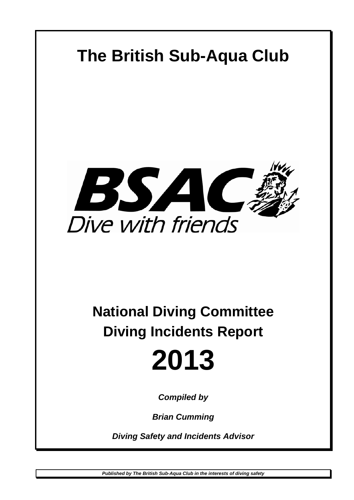

# **National Diving Committee Diving Incidents Report**

# **2013**

*Compiled by* 

*Brian Cumming* 

*Diving Safety and Incidents Advisor*

*Published by The British Sub-Aqua Club in the interests of diving safety*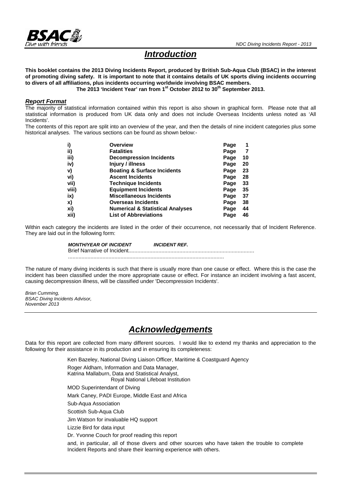

# *Introduction*

**This booklet contains the 2013 Diving Incidents Report, produced by British Sub-Aqua Club (BSAC) in the interest of promoting diving safety. It is important to note that it contains details of UK sports diving incidents occurring to divers of all affiliations, plus incidents occurring worldwide involving BSAC members.** 

The 2013 'Incident Year' ran from 1<sup>st</sup> October 2012 to 30<sup>th</sup> September 2013.

#### *Report Format*

The majority of statistical information contained within this report is also shown in graphical form. Please note that all statistical information is produced from UK data only and does not include Overseas Incidents unless noted as 'All Incidents'.

The contents of this report are split into an overview of the year, and then the details of nine incident categories plus some historical analyses. The various sections can be found as shown below:-

|       | <b>Overview</b>                             | Page |    |
|-------|---------------------------------------------|------|----|
| ii)   | <b>Fatalities</b>                           | Page |    |
| iii)  | <b>Decompression Incidents</b>              | Page | 10 |
| iv)   | Injury / illness                            | Page | 20 |
| V)    | <b>Boating &amp; Surface Incidents</b>      | Page | 23 |
| vi)   | <b>Ascent Incidents</b>                     | Page | 28 |
| vii)  | <b>Technique Incidents</b>                  | Page | 33 |
| viii) | <b>Equipment Incidents</b>                  | Page | 35 |
| ix)   | <b>Miscellaneous Incidents</b>              | Page | 37 |
| X)    | <b>Overseas Incidents</b>                   | Page | 38 |
| xi)   | <b>Numerical &amp; Statistical Analyses</b> | Page | 44 |
| xii)  | <b>List of Abbreviations</b>                | Page | 46 |

Within each category the incidents are listed in the order of their occurrence, not necessarily that of Incident Reference. They are laid out in the following form:

> *MONTH/YEAR OF INCIDENT INCIDENT REF.*  Brief Narrative of Incident.................................................................................... ........................................................................................................

The nature of many diving incidents is such that there is usually more than one cause or effect. Where this is the case the incident has been classified under the more appropriate cause or effect. For instance an incident involving a fast ascent, causing decompression illness, will be classified under 'Decompression Incidents'.

*Brian Cumming, BSAC Diving Incidents Advisor, November 2013* 

# *Acknowledgements*

Data for this report are collected from many different sources. I would like to extend my thanks and appreciation to the following for their assistance in its production and in ensuring its completeness:

Ken Bazeley, National Diving Liaison Officer, Maritime & Coastguard Agency

Roger Aldham, Information and Data Manager, Katrina Mallaburn, Data and Statistical Analyst, Royal National Lifeboat Institution MOD Superintendant of Diving Mark Caney, PADI Europe, Middle East and Africa Sub-Aqua Association Scottish Sub-Aqua Club Jim Watson for invaluable HQ support Lizzie Bird for data input Dr. Yvonne Couch for proof reading this report

and, in particular, all of those divers and other sources who have taken the trouble to complete Incident Reports and share their learning experience with others.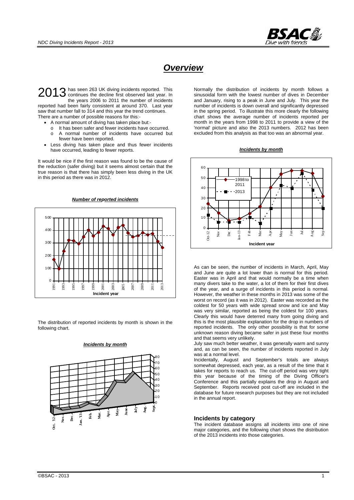

# *Overview*

has seen 263 UK diving incidents reported. This 2013 has seen 263 UK diving incidents reported. This continues the decline first observed last year. In the years 2006 to 2011 the number of incidents reported had been fairly consistent at around 370. Last year saw that number fall to 314 and this year the trend continues. There are a number of possible reasons for this:-

- A normal amount of diving has taken place but:
	- o It has been safer and fewer incidents have occurred.
	- o A normal number of incidents have occurred but fewer have been reported.
- Less diving has taken place and thus fewer incidents have occurred, leading to fewer reports.

It would be nice if the first reason was found to be the cause of the reduction (safer diving) but it seems almost certain that the true reason is that there has simply been less diving in the UK in this period as there was in 2012.



The distribution of reported incidents by month is shown in the following chart.



*Incidents by month*

Normally the distribution of incidents by month follows a sinusoidal form with the lowest number of dives in December and January, rising to a peak in June and July. This year the number of incidents is down overall and significantly depressed in the spring period. To illustrate this more clearly the following chart shows the average number of incidents reported per month in the years from 1998 to 2011 to provide a view of the 'normal' picture and also the 2013 numbers. 2012 has been excluded from this analysis as that too was an abnormal year.

*Incidents by month*



As can be seen, the number of incidents in March, April, May and June are quite a lot lower than is normal for this period. Easter was in April and that would normally be a time when many divers take to the water, a lot of them for their first dives of the year, and a surge of incidents in this period is normal. However, the weather in these months in 2013 was some of the worst on record (as it was in 2012). Easter was recorded as the coldest for 50 years with wide spread snow and ice and May was very similar, reported as being the coldest for 100 years. Clearly this would have deterred many from going diving and this is the most plausible explanation for the drop in numbers of reported incidents. The only other possibility is that for some unknown reason diving became safer in just these four months and that seems very unlikely.

July saw much better weather, it was generally warm and sunny and, as can be seen, the number of incidents reported in July was at a normal level.

Incidentally, August and September's totals are always somewhat depressed, each year, as a result of the time that it takes for reports to reach us. The cut-off period was very tight this year because of the timing of the Diving Officer's Conference and this partially explains the drop in August and September. Reports received post cut-off are included in the database for future research purposes but they are not included in the annual report.

#### **Incidents by category**

The incident database assigns all incidents into one of nine major categories, and the following chart shows the distribution of the 2013 incidents into those categories.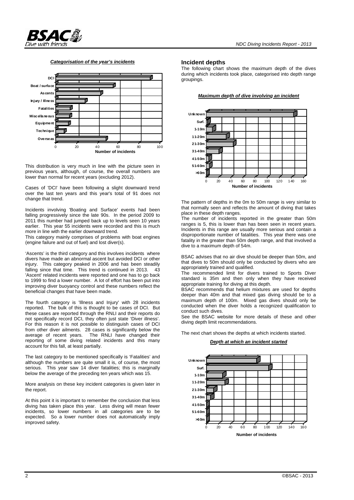#### *Categorisation of the year's incidents*



This distribution is very much in line with the picture seen in previous years, although, of course, the overall numbers are lower than normal for recent years (excluding 2012).

Cases of 'DCI' have been following a slight downward trend over the last ten years and this year's total of 91 does not change that trend.

Incidents involving 'Boating and Surface' events had been falling progressively since the late 90s. In the period 2009 to 2011 this number had jumped back up to levels seen 10 years earlier. This year 55 incidents were recorded and this is much more in line with the earlier downward trend.

This category mainly comprises of problems with boat engines (engine failure and out of fuel) and lost diver(s).

'Ascents' is the third category and this involves incidents where divers have made an abnormal ascent but avoided DCI or other injury. This category peaked in 2006 and has been steadily falling since that time. This trend is continued in 2013. 43 'Ascent' related incidents were reported and one has to go back to 1999 to find a lower number. A lot of effort has been put into improving diver buoyancy control and these numbers reflect the beneficial changes that have been made.

The fourth category is 'Illness and Injury' with 28 incidents reported. The bulk of this is thought to be cases of DCI. But these cases are reported through the RNLI and their reports do not specifically record DCI, they often just state 'Diver illness'. For this reason it is not possible to distinguish cases of DCI from other diver ailments. 28 cases is significantly below the average of recent years. The RNLI have changed their The RNLI have changed their reporting of some diving related incidents and this many account for this fall, at least partially.

The last category to be mentioned specifically is 'Fatalities' and although the numbers are quite small it is, of course, the most serious. This year saw 14 diver fatalities; this is marginally below the average of the preceding ten years which was 15.

More analysis on these key incident categories is given later in the report.

At this point it is important to remember the conclusion that less diving has taken place this year. Less diving will mean fewer incidents, so lower numbers in all categories are to be expected. So a lower number does not automatically imply improved safety.

#### **Incident depths**

The following chart shows the maximum depth of the dives during which incidents took place, categorised into depth range groupings.

*Maximum depth of dive involving an incident*



The pattern of depths in the 0m to 50m range is very similar to that normally seen and reflects the amount of diving that takes place in these depth ranges.

The number of incidents reported in the greater than 50m ranges is 5, this is lower than has been seen in recent years. Incidents in this range are usually more serious and contain a disproportionate number of fatalities. This year there was one fatality in the greater than 50m depth range, and that involved a dive to a maximum depth of 54m.

BSAC advises that no air dive should be deeper than 50m, and that dives to 50m should only be conducted by divers who are appropriately trained and qualified.

The recommended limit for divers trained to Sports Diver standard is 35m and then only when they have received appropriate training for diving at this depth.

BSAC recommends that helium mixtures are used for depths deeper than 40m and that mixed gas diving should be to a maximum depth of 100m. Mixed gas dives should only be conducted when the diver holds a recognized qualification to conduct such dives.

See the BSAC website for more details of these and other diving depth limit recommendations.

The next chart shows the depths at which incidents started.

#### *Depth at which an incident started*

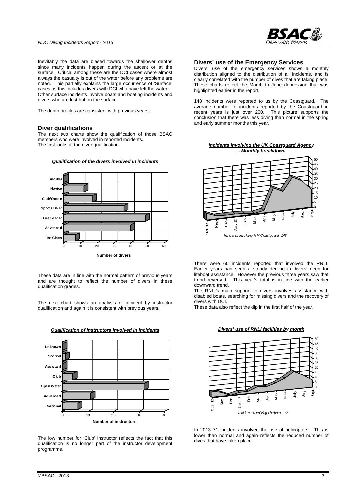

Inevitably the data are biased towards the shallower depths since many incidents happen during the ascent or at the surface. Critical among these are the DCI cases where almost always the casualty is out of the water before any problems are noted. This partially explains the large occurrence of 'Surface' cases as this includes divers with DCI who have left the water. Other surface incidents involve boats and boating incidents and divers who are lost but on the surface.

The depth profiles are consistent with previous years.

#### **Diver qualifications**

The next two charts show the qualification of those BSAC members who were involved in reported incidents. The first looks at the diver qualification.



*Qualification of the divers involved in incidents*

These data are in line with the normal pattern of previous years and are thought to reflect the number of divers in these qualification grades.

The next chart shows an analysis of incident by instructor qualification and again it is consistent with previous years.



*Qualification of instructors involved in incidents*

The low number for 'Club' instructor reflects the fact that this qualification is no longer part of the instructor development programme.

#### **Divers' use of the Emergency Services**

Divers' use of the emergency services shows a monthly distribution aligned to the distribution of all incidents, and is clearly correlated with the number of dives that are taking place. These charts reflect the March to June depression that was highlighted earlier in the report.

148 incidents were reported to us by the Coastguard. The average number of incidents reported by the Coastguard in recent years is just over 200. This picture supports the conclusion that there was less diving than normal in the spring and early summer months this year.





There were 66 incidents reported that involved the RNLI. Earlier years had seen a steady decline in divers' need for lifeboat assistance. However the previous three years saw that trend reversed. This year's total is in line with the earlier This year's total is in line with the earlier downward trend.

The RNLI's main support to divers involves assistance with disabled boats, searching for missing divers and the recovery of divers with DCI.

These data also reflect the dip in the first half of the year.





In 2013 71 incidents involved the use of helicopters. This is lower than normal and again reflects the reduced number of dives that have taken place.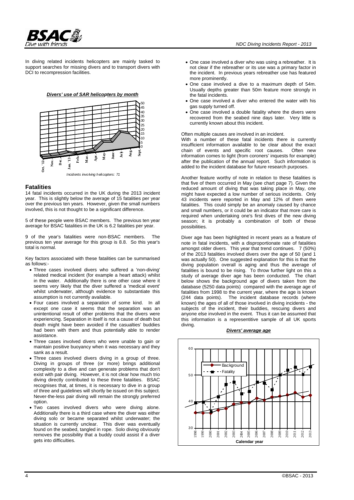

In diving related incidents helicopters are mainly tasked to support searches for missing divers and to transport divers with DCI to recompression facilities.





#### **Fatalities**

14 fatal incidents occurred in the UK during the 2013 incident year. This is slightly below the average of 15 fatalities per year over the previous ten years. However, given the small numbers involved, this is not thought to be a significant difference.

5 of these people were BSAC members. The previous ten year average for BSAC fatalities in the UK is 6.2 fatalities per year.

9 of the year's fatalities were non-BSAC members. The previous ten year average for this group is 8.8. So this year's total is normal.

Key factors associated with these fatalities can be summarised as follows:-

- Three cases involved divers who suffered a 'non-diving' related medical incident (for example a heart attack) whilst in the water. Additionally there is one other case where it seems very likely that the diver suffered a 'medical event' whilst underwater, although evidence to substantiate this assumption is not currently available.
- Four cases involved a separation of some kind. In all except one case it seems that the separation was an unintentional result of other problems that the divers were experiencing. Separation in itself is not a cause of death but death might have been avoided if the casualties' buddies had been with them and thus potentially able to render assistance.
- Three cases involved divers who were unable to gain or maintain positive buoyancy when it was necessary and they sank as a result.
- Three cases involved divers diving in a group of three. Diving in groups of three (or more) brings additional complexity to a dive and can generate problems that don't exist with pair diving. However, it is not clear how much trio diving directly contributed to these three fatalities. BSAC recognises that, at times, it is necessary to dive in a group of three and guidelines will shortly be issued on this subject. Never-the-less pair diving will remain the strongly preferred option.
- Two cases involved divers who were diving alone. Additionally there is a third case where the diver was either diving solo or became separated whilst underwater; the situation is currently unclear. This diver was eventually found on the seabed, tangled in rope. Solo diving obviously removes the possibility that a buddy could assist if a diver gets into difficulties.
- One case involved a diver who was using a rebreather. It is not clear if the rebreather or its use was a primary factor in the incident. In previous years rebreather use has featured more prominently.
- One case involved a dive to a maximum depth of 54m. Usually depths greater than 50m feature more strongly in the fatal incidents.
- One case involved a diver who entered the water with his gas supply turned off.
- One case involved a double fatality where the divers were recovered from the seabed nine days later. Very little is currently known about this incident.

#### Often multiple causes are involved in an incident.

With a number of these fatal incidents there is currently insufficient information available to be clear about the exact chain of events and specific root causes. Often new information comes to light (from coroners' inquests for example) after the publication of the annual report. Such information is added to the incident database for future research purposes.

Another feature worthy of note in relation to these fatalities is that five of them occurred in May (see chart page 7). Given the reduced amount of diving that was taking place in May, one might have expected a low number of serious incidents. Only 43 incidents were reported in May and 12% of them were fatalities. This could simply be an anomaly caused by chance and small numbers, or it could be an indicator that more care is required when undertaking one's first dives of the new diving season; it is probably a combination of both of these possibilities.

Diver age has been highlighted in recent years as a feature of note in fatal incidents, with a disproportionate rate of fatalities amongst older divers. This year that trend continues. 7 (50%) of the 2013 fatalities involved divers over the age of 50 (and 1 was actually 50). One suggested explanation for this is that the diving population overall is aging and thus the average of fatalities is bound to be rising. To throw further light on this a study of average diver age has been conducted. The chart below shows the background age of divers taken from the database (5250 data points) compared with the average age of fatalities from 1998 to the current year, where the age is known (244 data points). The incident database records (where known) the ages of all of those involved in diving incidents - the subjects of the incident, their buddies, rescuing divers and anyone else involved in the event. Thus it can be assumed that this information is a representitive sample of all UK sports diving.

#### *Divers' average age*

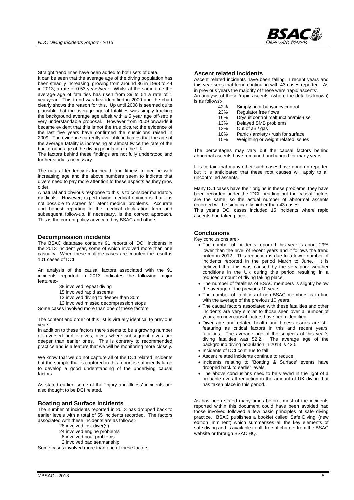

Straight trend lines have been added to both sets of data.

It can be seen that the average age of the diving population has been steadily increasing, growing from around 36 in 1998 to 44 in 2013; a rate of 0.53 years/year. Whilst at the same time the average age of fatalities has risen from 39 to 54 a rate of 1 year/year. This trend was first identified in 2009 and the chart clearly shows the reason for this. Up until 2008 is seemed quite plausible that the average age of fatalities was simply tracking the background average age albeit with a 5 year age off-set; a very understandable proposal. However from 2009 onwards it became evident that this is not the true picture; the evidence of the last five years have confirmed the suspicions raised in 2009. The evidence currently available indicates that the age of the average fatality is increasing at almost twice the rate of the background age of the diving population in the UK.

The factors behind these findings are not fully understood and further study is necessary.

The natural tendency is for health and fitness to decline with increasing age and the above numbers seem to indicate that divers need to pay more attention to these aspects as they grow older.

A natural and obvious response to this is to consider mandatory medicals. However, expert diving medical opinion is that it is not possible to screen for latent medical problems. Accurate and honest reporting in the medical declaration form and subsequent follow-up, if necessary, is the correct approach. This is the current policy advocated by BSAC and others.

#### **Decompression incidents**

The BSAC database contains 91 reports of 'DCI' incidents in the 2013 incident year, some of which involved more than one casualty. When these multiple cases are counted the result is 101 cases of DCI.

An analysis of the causal factors associated with the 91 incidents reported in 2013 indicates the following major features:-

- 38 involved repeat diving
- 15 involved rapid ascents
- 13 involved diving to deeper than 30m
- 13 involved missed decompression stops
- Some cases involved more than one of these factors.

The content and order of this list is virtually identical to previous years.

In addition to these factors there seems to be a growing number of reversed profile dives; dives where subsequent dives are deeper than earlier ones. This is contrary to recommended practice and is a feature that we will be monitoring more closely.

We know that we do not capture all of the DCI related incidents but the sample that is captured in this report is sufficiently large to develop a good understanding of the underlying causal factors.

As stated earlier, some of the 'Injury and Illness' incidents are also thought to be DCI related.

#### **Boating and Surface incidents**

The number of incidents reported in 2013 has dropped back to earlier levels with a total of 55 incidents recorded. The factors associated with these incidents are as follows:-

- 28 involved lost diver(s)
- 24 involved engine problems
- 8 involved boat problems
- 2 involved bad seamanship

Some cases involved more than one of these factors.

#### **Ascent related incidents**

Ascent related incidents have been falling in recent years and this year sees that trend continuing with 43 cases reported. As in previous years the majority of these were 'rapid ascents'. An analysis of these 'rapid ascents' (where the detail is known) is as follows:-

- Simply poor buoyancy control
- 23% Regulator free flows
- 16% Drysuit control malfunction/mis-use<br>13% Delayed SMB problems
- 13% Delayed SMB problems<br>13% Out of air / gas
- Out of air / gas
- 10% Panic / anxiety / rush for surface
- 10% Weighting or weight related issues

The percentages may vary but the causal factors behind abnormal ascents have remained unchanged for many years.

It is certain that many other such cases have gone un-reported but it is anticipated that these root causes will apply to all uncontrolled ascents.

Many DCI cases have their origins in these problems; they have been recorded under the 'DCI' heading but the causal factors are the same, so the actual number of abnormal ascents recorded will be significantly higher than 43 cases.

This year's DCI cases included 15 incidents where rapid ascents had taken place.

#### **Conclusions**

Key conclusions are:-

- The number of incidents reported this year is about 29% lower than the level of recent years and it follows the trend noted in 2012. This reduction is due to a lower number of incidents reported in the period March to June. It is believed that this was caused by the very poor weather conditions in the UK during this period resulting in a reduced amount of diving taking place.
- The number of fatalities of BSAC members is slightly below the average of the previous 10 years.
- The number of fatalities of non-BSAC members is in line with the average of the previous 10 years.
- The causal factors associated with these fatalities and other incidents are very similar to those seen over a number of years; no new causal factors have been identified.
- Diver age and related health and fitness issues are still featuring as critical factors in this and recent years' fatalities. The average age of the subjects of this year's diving fatalities was 52.2. The average age of the background diving population in 2013 is 42.5.
- Incidents of DCI continue to fall.
- Ascent related incidents continue to reduce.
- Incidents relating to 'Boating & Surface' events have dropped back to earlier levels.
- The above conclusions need to be viewed in the light of a probable overall reduction in the amount of UK diving that has taken place in this period.

As has been stated many times before, most of the incidents reported within this document could have been avoided had those involved followed a few basic principles of safe diving practice. BSAC publishes a booklet called 'Safe Diving' (new edition imminent) which summarises all the key elements of safe diving and is available to all, free of charge, from the BSAC website or through BSAC HQ.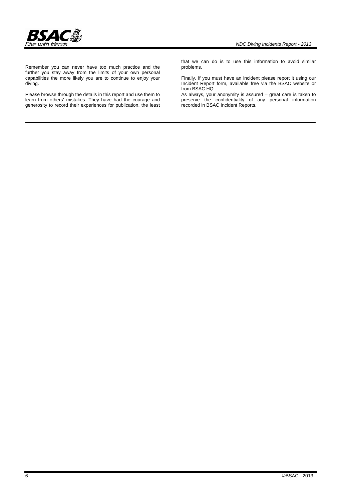

Remember you can never have too much practice and the further you stay away from the limits of your own personal capabilities the more likely you are to continue to enjoy your diving.

Please browse through the details in this report and use them to learn from others' mistakes. They have had the courage and generosity to record their experiences for publication, the least that we can do is to use this information to avoid similar problems.

Finally, if you must have an incident please report it using our Incident Report form, available free via the BSAC website or from BSAC HQ.

As always, your anonymity is assured – great care is taken to preserve the confidentiality of any personal information recorded in BSAC Incident Reports.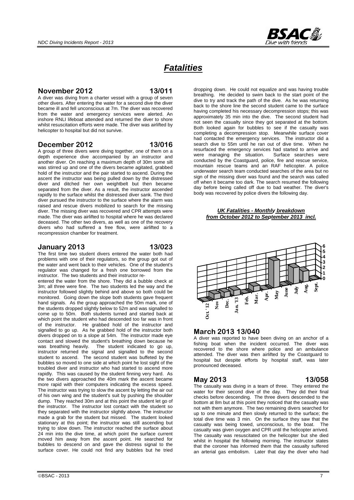

# *Fatalities*

### **November 2012 13/011**

A diver was diving from a charter vessel with a group of seven other divers. After entering the water for a second dive the diver became ill and fell unconscious at 7m. The diver was recovered from the water and emergency services were alerted. An inshore RNLI lifeboat attended and returned the diver to shore whilst resuscitation efforts were made. The diver was airlifted by helicopter to hospital but did not survive.

#### **December 2012 13/016**

A group of three divers were diving together, one of them on a depth experience dive accompanied by an instructor and another diver. On reaching a maximum depth of 30m some silt was stirred up and one of the divers became agitated, grabbed hold of the instructor and the pair started to ascend. During the ascent the instructor was being pulled down by the distressed diver and ditched her own weightbelt but then became separated from the diver. As a result, the instructor ascended rapidly to the surface whilst the distressed diver sank. The third diver pursued the instructor to the surface where the alarm was raised and rescue divers mobilized to search for the missing diver. The missing diver was recovered and CPR attempts were made. The diver was airlifted to hospital where he was declared deceased. The other two divers, as well as one of the recovery divers who had suffered a free flow, were airlifted to a recompression chamber for treatment.

### **January 2013 13/023**

The first time two student divers entered the water both had problems with one of their regulators, so the group got out of the water and went back to their vehicles. One of the student's regulator was changed for a fresh one borrowed from the instructor. The two students and their instructor re-

entered the water from the shore. They did a bubble check at 3m; all three were fine. The two students led the way and the instructor followed slightly behind and above so both could be monitored. Going down the slope both students gave frequent hand signals. As the group approached the 50m mark, one of the students dropped slightly below to 52m and was signalled to come up to 50m. Both students turned and started back at which point the student who had descended too far was in front of the instructor. He grabbed hold of the instructor and signalled to go up. As he grabbed hold of the instructor both divers dropped on to a slope at 54m. The instructor made eye contact and slowed the student's breathing down because he was breathing heavily. The student indicated to go up, instructor returned the signal and signalled to the second student to ascend. The second student was buffeted by the bubbles so moved to one side at which point he lost sight of the troubled diver and instructor who had started to ascend more rapidly. This was caused by the student finning very hard. As the two divers approached the 40m mark the ascent became more rapid with their computers indicating the excess speed. The instructor was trying to slow the ascent by letting the air out of his own wing and the student's suit by pushing the shoulder dump. They reached 30m and at this point the student let go of the instructor. The instructor lost contact with the student so they separated with the instructor slightly above. The instructor made a grab for the student but missed. The student looked stationary at this point; the instructor was still ascending but trying to slow down. The instructor reached the surface about 24 min into the dive time, at which point the surface current moved him away from the ascent point. He searched for bubbles to descend on and gave the distress signal to the surface cover. He could not find any bubbles but he tried

dropping down. He could not equalize and was having trouble breathing. He decided to swim back to the start point of the dive to try and track the path of the dive. As he was returning back to the shore line the second student came to the surface having completed his necessary decompression stops; this was approximately 35 min into the dive. The second student had not seen the casualty since they got separated at the bottom. Both looked again for bubbles to see if the casualty was completing a decompression stop. Meanwhile surface cover had contacted the emergency services. The instructor did a search dive to 55m until he ran out of dive time. When he resurfaced the emergency services had started to arrive and were managing the situation. Surface searches were conducted by the Coastguard, police, fire and rescue service, mountain rescue teams and an RAF helicopter. A police underwater search team conducted searches of the area but no sign of the missing diver was found and the search was called off when it became too dark. The search resumed the following day before being called off due to bad weather. The diver's body was recovered by police divers the following day.

#### *UK Fatalities - Monthly breakdown from October 2012 to September 2013 incl.*



### **March 2013 13/040**

A diver was reported to have been diving on an anchor of a fishing boat when the incident occurred. The diver was recovered to the shore where police and an ambulance attended. The diver was then airlifted by the Coastguard to hospital but despite efforts by hospital staff, was later pronounced deceased.

### **May 2013 13/058**

The casualty was diving in a team of three. They entered the water for their second dive of the day. They did their final checks before descending. The three divers descended to the bottom at 8m but at this point they noticed that the casualty was not with them anymore. The two remaining divers searched for up to one minute and then slowly returned to the surface; the total dive time was 3 min. On the surface they saw that the casualty was being towed, unconscious, to the boat. The casualty was given oxygen and CPR until the helicopter arrived. The casualty was resuscitated on the helicopter but she died whilst in hospital the following morning. The instructor states that the coroner has informed them that the casualty suffered an arterial gas embolism. Later that day the diver who had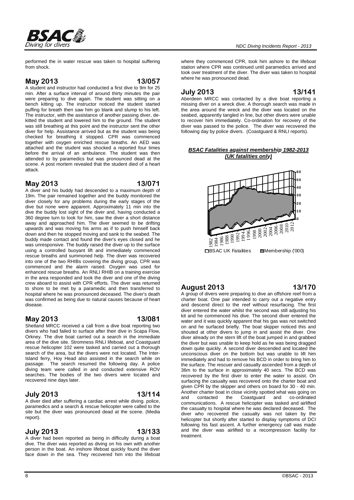

performed the in water rescue was taken to hospital suffering from shock.

#### **May 2013 13/057**

A student and instructor had conducted a first dive to 9m for 25 min. After a surface interval of around thirty minutes the pair were preparing to dive again. The student was sitting on a bench kitting up. The instructor noticed the student started puffing for breath then saw him go blank and slump to his left. The instructor, with the assistance of another passing diver, dekitted the student and lowered him to the ground. The student was still breathing at this point and the instructor sent the other diver for help. Assistance arrived but as the student was being checked for breathing it stopped. CPR was commenced together with oxygen enriched rescue breaths. An AED was attached and the student was shocked a reported four times before the arrival of an ambulance. The student was then attended to by paramedics but was pronounced dead at the scene. A post mortem revealed that the student died of a heart attack.

#### **May 2013 13/071**

A diver and his buddy had descended to a maximum depth of 19m. The pair remained together and the buddy monitored the diver closely for any problems during the early stages of the dive but none were apparent. Approximately 11 min into the dive the buddy lost sight of the diver and, having conducted a 360 degree turn to look for him, saw the diver a short distance away and approached him. The diver seemed to be drifting upwards and was moving his arms as if to push himself back down and then he stopped moving and sank to the seabed. The buddy made contact and found the diver's eyes closed and he was unresponsive. The buddy raised the diver up to the surface using a controlled buoyant lift and immediately commenced rescue breaths and summoned help. The diver was recovered into one of the two RHIBs covering the diving group, CPR was commenced and the alarm raised. Oxygen was used for enhanced rescue breaths. An RNLI RHIB on a training exercise in the area responded and took the diver and one of the diving crew aboard to assist with CPR efforts. The diver was returned to shore to be met by a paramedic and then transferred to hospital where he was pronounced deceased. The diver's death was confirmed as being due to natural causes because of heart disease.

### **May 2013 13/081**

Shetland MRCC received a call from a dive boat reporting two divers who had failed to surface after their dive in Scapa Flow, Orkney. The dive boat carried out a search in the immediate area of the dive site. Stromness RNLI lifeboat, and Coastguard rescue helicopter 102 were tasked and carried out a thorough search of the area, but the divers were not located. The Inter-Island ferry, Hoy Head also assisted in the search while on passage. The search resumed the following day. A police diving team were called in and conducted extensive ROV searches. The bodies of the two divers were located and recovered nine days later.

#### **July 2013 13/114**

A diver died after suffering a cardiac arrest while diving. police, paramedics and a search & rescue helicopter were called to the site but the diver was pronounced dead at the scene. (Media report).

#### **July 2013 13/133**

A diver had been reported as being in difficulty during a boat dive. The diver was reported as diving on his own with another person in the boat. An inshore lifeboat quickly found the diver face down in the sea. They recovered him into the lifeboat

where they commenced CPR, took him ashore to the lifeboat station where CPR was continued until paramedics arrived and took over treatment of the diver. The diver was taken to hospital where he was pronounced dead.

### **July 2013 13/141**

Aberdeen MRCC was contacted by a dive boat reporting a missing diver on a wreck dive. A thorough search was made in the area around the wreck and the diver was located on the seabed, apparently tangled in line, but other divers were unable to recover him immediately. Co-ordination for recovery of the diver was passed to the police. The diver was recovered the following day by police divers. (Coastguard & RNLI reports).

#### *BSAC Fatalities against membership 1982-2013 (UK fatalities only)*



### **August 2013 13/170**

A group of divers were preparing to dive an offshore reef from a charter boat. One pair intended to carry out a negative entry and descend direct to the reef without resurfacing. The first diver entered the water whilst the second was still adjusting his kit and he commenced his dive. The second diver entered the water and it was quickly apparent that his gas was not switched on and he surfaced briefly. The boat skipper noticed this and shouted at other divers to jump in and assist the diver. One diver already on the stern lift of the boat jumped in and grabbed the diver but was unable to keep hold as he was being dragged down quite quickly. A second diver descended and located the unconscious diver on the bottom but was unable to lift him immediately and had to remove his BCD in order to bring him to the surface. The rescuer and casualty ascended from a depth of 36m to the surface in approximately 40 secs. The BCD was recovered by the first diver to enter the water to assist. On surfacing the casualty was recovered onto the charter boat and given CPR by the skipper and others on board for 30 - 40 min. Another charter boat in close vicinity spotted what was going on and contacted the Coastguard and co-ordinated communications. A rescue helicopter was tasked and airlifted the casualty to hospital where he was declared deceased. The diver who recovered the casualty was not taken by the helicopter but shortly after started to display symptoms of DCI following his fast ascent. A further emergency call was made and the diver was airlifted to a recompression facility for treatment.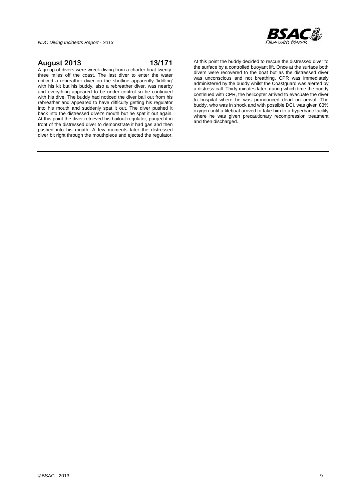

### **August 2013 13/171**

A group of divers were wreck diving from a charter boat twentythree miles off the coast. The last diver to enter the water noticed a rebreather diver on the shotline apparently 'fiddling' with his kit but his buddy, also a rebreather diver, was nearby and everything appeared to be under control so he continued with his dive. The buddy had noticed the diver bail out from his rebreather and appeared to have difficulty getting his regulator into his mouth and suddenly spat it out. The diver pushed it back into the distressed diver's mouth but he spat it out again. At this point the diver retrieved his bailout regulator, purged it in front of the distressed diver to demonstrate it had gas and then pushed into his mouth. A few moments later the distressed diver bit right through the mouthpiece and ejected the regulator.

At this point the buddy decided to rescue the distressed diver to the surface by a controlled buoyant lift. Once at the surface both divers were recovered to the boat but as the distressed diver was unconscious and not breathing. CPR was immediately administered by the buddy whilst the Coastguard was alerted by a distress call. Thirty minutes later, during which time the buddy continued with CPR, the helicopter arrived to evacuate the diver to hospital where he was pronounced dead on arrival. The buddy, who was in shock and with possible DCI, was given 83% oxygen until a lifeboat arrived to take him to a hyperbaric facility where he was given precautionary recompression treatment and then discharged.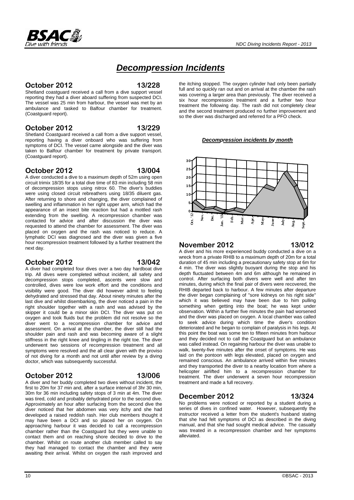

**October 2012 13/228** 

Dive with friends

Shetland coastguard received a call from a dive support vessel reporting they had a diver aboard suffering from suspected DCI. The vessel was 25 min from harbour, the vessel was met by an ambulance and tasked to Balfour chamber for treatment. (Coastguard report).

#### **October 2012 13/229**

Shetland Coastguard received a call from a dive support vessel, reporting having a diver onboard who was suffering from symptoms of DCI. The vessel came alongside and the diver was taken to Balfour chamber for treatment by private transport. (Coastguard report).

#### **October 2012 13/004**

A diver conducted a dive to a maximum depth of 52m using open circuit trimix 18/35 for a total dive time of 83 min including 58 min of decompression stops using nitrox 60. The diver's buddies were using closed circuit rebreathers using 18/35 diluent gas. After returning to shore and changing, the diver complained of swelling and inflammation in her right upper arm, which had the appearance of an insect bite reaction but had a mottled rash extending from the swelling. A recompression chamber was contacted for advice and after discussion the diver was requested to attend the chamber for assessment. The diver was placed on oxygen and the rash was noticed to reduce. A lymphatic DCI was diagnosed and the diver was given a five hour recompression treatment followed by a further treatment the next day.

### **October 2012 13/042**

A diver had completed four dives over a two day hardboat dive trip. All dives were completed without incident, all safety and decompression stops completed, ascents were slow and controlled, dives were low work effort and the conditions and visibility were good. The diver did however admit to feeling dehydrated and stressed that day. About ninety minutes after the last dive and whilst disembarking, the diver noticed a pain in the right shoulder together with a rash and was advised by the skipper it could be a minor skin DCI. The diver was put on oxygen and took fluids but the problem did not resolve so the diver went to a recompression chamber for advice and assessment. On arrival at the chamber, the diver still had the shoulder pain and rash and was becoming aware of a slight stiffness in the right knee and tingling in the right toe. The diver underwent two sessions of recompression treatment and all symptoms were resolved and the all clear given with the proviso of not diving for a month and not until after review by a diving doctor, which was subsequently successful.

### **October 2012 13/006**

A diver and her buddy completed two dives without incident, the first to 20m for 37 min and, after a surface interval of 3hr 30 min, 30m for 36 min including safety stops of 3 min at 4m. The diver was tired, cold and probably dehydrated prior to the second dive. Approximately an hour after surfacing from the second dive the diver noticed that her abdomen was very itchy and she had developed a raised reddish rash. Her club members thought it may have been a DCI and so placed her on oxygen. On approaching harbour it was decided to call a recompression chamber rather than the Coastguard but they were unable to contact them and on reaching shore decided to drive to the chamber. Whilst on route another club member called to say they had managed to contact the chamber and they were awaiting their arrival. Whilst on oxygen the rash improved and the itching stopped. The oxygen cylinder had only been partially full and so quickly ran out and on arrival at the chamber the rash was covering a larger area than previously. The diver received a six hour recompression treatment and a further two hour treatment the following day. The rash did not completely clear and the second treatment produced no further improvement and so the diver was discharged and referred for a PFO check.

*Decompression incidents by month*



#### **November 2012 13/012**

A diver and his more experienced buddy conducted a dive on a wreck from a private RHIB to a maximum depth of 20m for a total duration of 45 min including a precautionary safety stop at 6m for 4 min. The diver was slightly buoyant during the stop and his depth fluctuated between 4m and 6m although he remained in control. After surfacing both divers were well and after ten minutes, during which the final pair of divers were recovered, the RHIB departed back to harbour. A few minutes after departure the diver began complaining of "sore kidneys on his right side" which it was believed may have been due to him pulling something when getting into the boat; he was kept under observation. Within a further five minutes the pain had worsened and the diver was placed on oxygen. A local chamber was called to seek advice during which time the diver's condition deteriorated and he began to complain of paralysis in his legs. At this point the boat was some ten to fifteen minutes from harbour and they decided not to call the Coastguard but an ambulance was called instead. On regaining harbour the diver was unable to walk, twenty-five minutes after the onset of symptoms. He was laid on the pontoon with legs elevated, placed on oxygen and remained conscious. An ambulance arrived within five minutes and they transported the diver to a nearby location from where a helicopter airlifted him to a recompression chamber for treatment. The diver underwent a seven hour recompression treatment and made a full recovery.

# **December 2012 13/324**

No problems were noticed or reported by a student during a series of dives in confined water. However, subsequently the instructor received a letter from the student's husband stating that she had felt symptoms of DCI as described in the diving manual, and that she had sought medical advice. The casualty was treated in a recompression chamber and her symptoms alleviated.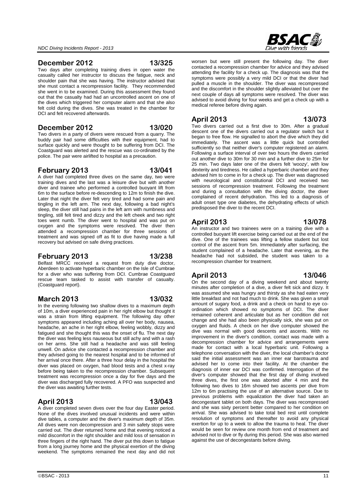#### **December 2012 13/325**

Two days after completing training dives in open water the casualty called her instructor to discuss the fatigue, neck and shoulder pain that she was having. The instructor advised that she must contact a recompression facility. They recommended she went in to be examined. During this assessment they found out that the casualty had had an uncontrolled ascent on one of the dives which triggered her computer alarm and that she also felt cold during the dives. She was treated in the chamber for DCI and felt recovered afterwards.

#### **December 2012 13/020**

Two divers in a party of divers were rescued from a quarry. The buddy pair had some difficulties with their equipment, had to surface quickly and were thought to be suffering from DCI. The Coastguard was alerted and the rescue was co-ordinated by the police. The pair were airlifted to hospital as a precaution.

#### **February 2013 13/041**

A diver had completed three dives on the same day, two were training dives and the last was a leisure dive but with another diver and trainee who performed a controlled buoyant lift from 6m to the surface before re-descending to 12m to finish the dive. Later that night the diver felt very tired and had some pain and tingling in the left arm. The next day, following a bad night's sleep, the diver still had pains in the left arm with numbness and tingling, still felt tired and dizzy and the left cheek and two right toes went numb. The diver went to hospital and was put on oxygen and the symptoms were resolved. The diver then attended a recompression chamber for three sessions of treatment and was signed off as fit to dive having made a full recovery but advised on safe diving practices.

### **February 2013 13/238**

Belfast MRCC received a request from duty dive doctor, Aberdeen to activate hyperbaric chamber on the Isle of Cumbrae for a diver who was suffering from DCI. Cumbrae Coastguard rescue team tasked to assist with transfer of casualty. (Coastguard report).

### **March 2013 13/032**

In the evening following two shallow dives to a maximum depth of 10m, a diver experienced pain in her right elbow but thought it was a strain from lifting equipment. The following day other symptoms appeared including aching all over her body, nausea, headache, an ache in her right elbow, feeling wobbly, dizzy and fatigued and she thought this was the onset of flu. The next day the diver was feeling less nauseous but still achy and with a rash on her arms. She still had a headache and was still feeling unwell. On advice she contacted a recompression chamber and they advised going to the nearest hospital and to be informed of her arrival once there. After a three hour delay in the hospital the diver was placed on oxygen, had blood tests and a chest x-ray before being taken to the recompression chamber. Subsequent treatment was recompression once a day for five days and the diver was discharged fully recovered. A PFO was suspected and the diver was awaiting further tests.

# **April 2013 13/043**

A diver completed seven dives over the four day Easter period. None of the dives involved unusual incidents and were within dive tables, a computer and the diver's maximum depth of 35m. All dives were non decompression and 3 min safety stops were carried out. The diver returned home and that evening noticed a mild discomfort in the right shoulder and mild loss of sensation in three fingers of the right hand. The diver put this down to fatigue from a long journey home and the physical exertion of the diving weekend. The symptoms remained the next day and did not

 $\circ$ BSAC - 2013 11

worsen but were still present the following day. The diver contacted a recompression chamber for advice and they advised attending the facility for a check up. The diagnosis was that the symptoms were possibly a very mild DCI or that the diver had pulled a muscle in the shoulder. The diver was recompressed and the discomfort in the shoulder slightly alleviated but over the next couple of days all symptoms were resolved. The diver was advised to avoid diving for four weeks and get a check up with a medical referee before diving again.

### **April 2013 13/073**

Two divers carried out a first dive to 30m. After a gradual descent one of the divers carried out a regulator switch but it began to free flow. He signalled to abort the dive which they did immediately. The ascent was a little quick but controlled sufficiently so that neither diver's computer registered an alarm. Following a surface interval of over two hours the divers carried out another dive to 30m for 30 min and a further dive to 25m for 25 min. Two days later one of the divers felt 'woozy', with low dexterity and tiredness. He called a hyperbaric chamber and they advised him to come in for a check up. The diver was diagnosed with neurological and constitutional DCI and received two sessions of recompression treatment. Following the treatment and during a consultation with the diving doctor, the diver complained of recent dehydration. This led to a diagnosis of adult onset type one diabetes, the dehydrating effects of which predisposed the diver to the recent DCI.

### **April 2013 13/078**

An instructor and two trainees were on a training dive with a controlled buoyant lift exercise being carried out at the end of the dive. One of the trainees was lifting a fellow student but lost control of the ascent from 5m. Immediately after surfacing, the student complained of a headache. Later that evening, as the headache had not subsided, the student was taken to a recompression chamber for treatment.

### **April 2013 13/046**

On the second day of a diving weekend and about twenty minutes after completion of a dive, a diver felt sick and dizzy. It was assumed she was hungry and thirsty as she had eaten very little breakfast and not had much to drink. She was given a small amount of sugary food, a drink and a check on hand to eye coordination which showed no symptoms of DCI. The diver remained coherent and articulate but as her condition did not change and she had also been physically sick, she was put on oxygen and fluids. A check on her dive computer showed the dive was normal with good descents and ascents. With no improvement in the diver's condition, contact was made with a decompression chamber for advice and arrangements were made for contact with a local hyperbaric unit. Following a telephone conversation with the diver, the local chamber's doctor said the initial assessment was an inner ear barotrauma and advised her to come into their facility. At the chamber the diagnosis of inner ear DCI was confirmed. Interrogation of the diver's computer showed that the first day of diving involved three dives, the first one was aborted after 4 min and the following two dives to 16m showed two ascents per dive from 12m to 6m practising the use of an alternative source. Due to previous problems with equalization the diver had taken an decongestant tablet on both days. The diver was recompressed and she was sixty percent better compared to her condition on arrival. She was advised to take total bed rest until complete resolution of symptoms and thereafter to avoid any physical exertion for up to a week to allow the trauma to heal. The diver would be seen for review one month from end of treatment and advised not to dive or fly during this period. She was also warned against the use of decongestants before diving.

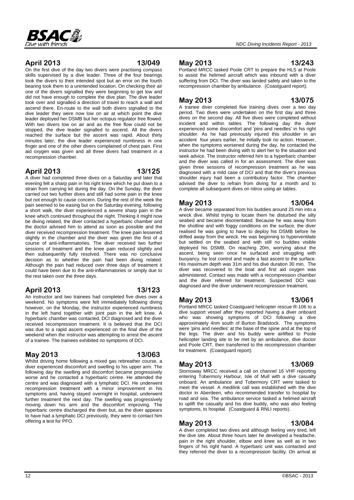

On the first dive of the day two divers were practising compass skills supervised by a dive leader. Three of the four bearings took the divers to their intended spot but an error on the fourth bearing took them to a unintended location. On checking their air one of the divers signalled they were beginning to get low and did not have enough to complete the dive plan. The dive leader took over and signalled a direction of travel to reach a wall and ascend there. En-route to the wall both divers signalled to the dive leader they were now low on air at which point the dive leader deployed her DSMB but her octopus regulator free flowed.

With two divers low on air and as the free flow could not be stopped, the dive leader signalled to ascend. All the divers reached the surface but the ascent was rapid. About thirty minutes later, the dive leader experienced numbness in one finger and one of the other divers complained of chest pain. First aid oxygen was given and all three divers had treatment in a recompression chamber.

### **April 2013 13/125**

A diver had completed three dives on a Saturday and later that evening felt a sharp pain in his right knee which he put down to a strain from carrying kit during the day. On the Sunday, the diver carried out two further dives and still had some pain in the knee but not enough to cause concern. During the rest of the week the pain seemed to be easing but on the Saturday evening, following a short walk, the diver experienced a severe sharp pain in the knee which continued throughout the night. Thinking it might now be diving related, the diver contacted a hyperbaric chamber and the doctor advised him to attend as soon as possible and the diver received recompression treatment. The knee pain lessened slightly in the chamber and the diver was given the first of a course of anti-inflammatories. The diver received two further sessions of treatment and the knee pain reduced slightly and then subsequently fully resolved. There was no conclusive decision as to whether the pain had been diving related. Although the pain had reduced over three days of treatment it could have been due to the anti-inflammatories or simply due to the rest taken over the three days.

### **April 2013 13/123**

An instructor and two trainees had completed five dives over a weekend. No symptoms were felt immediately following diving however, on the Monday, the instructor experienced numbness in the left hand together with joint pain in the left knee. A hyperbaric chamber was contacted. DCI diagnosed and the diver received recompression treatment. It is believed that the DCI was due to a rapid ascent experienced on the final dive of the weekend when the instructor was attempting to arrest the ascent of a trainee. The trainees exhibited no symptoms of DCI.

# **May 2013 13/063**

Whilst driving home following a mixed gas rebreather course, a diver experienced discomfort and swelling to his upper arm. The following day the swelling and discomfort became progressively worse and he contacted a hyperbaric centre. He attended the centre and was diagnosed with a lymphatic DCI. He underwent recompression treatment with a minor improvement in his symptoms and, having stayed overnight in hospital, underwent further treatment the next day. The swelling was progressively moving down his arm and the discomfort improving. The hyperbaric centre discharged the diver but, as the diver appears to have had a lymphatic DCI previously, they were to contact him offering a test for PFO.

# **May 2013 13/243**

Portland MRCC tasked Poole CRT to prepare the HLS at Poole to assist the helimed aircraft which was inbound with a diver suffering from DCI. The diver was landed safely and taken to the recompression chamber by ambulance. (Coastguard report).

# **May 2013 13/075**

A trainee diver completed five training dives over a two day period. Two dives were undertaken on the first day and three dives on the second day. All five dives were completed without incident and within tables. The following day the diver experienced some discomfort and 'pins and needles' in his right shoulder. As he had previously injured this shoulder in an accident four years earlier, he initially took no action. However, when the symptoms worsened during the day, he contacted the instructor he had been diving with to alert her to the situation and seek advice. The instructor referred him to a hyperbaric chamber and the diver was called in for an assessment. The diver was given three sessions of recompression treatment as he was diagnosed with a mild case of DCI and that the diver's previous shoulder injury had been a contributory factor. The chamber advised the diver to refrain from diving for a month and to complete all subsequent dives on nitrox using air tables.

# **May 2013 13/064**

A diver became separated from his buddies around 25 min into a wreck dive. Whilst trying to locate them he disturbed the silty seabed and became disorientated. Because he was away from the shotline and with foggy conditions on the surface, the diver realised he was going to have to deploy his DSMB before he drifted away from the wreck. He was beginning to hyperventilate but settled on the seabed and with still no buddies visible deployed his DSMB. On reaching 20m, worrying about the ascent, being seen once he surfaced and struggling with buoyancy, he lost control and made a fast ascent to the surface. His maximum depth was 31m and his dive duration 30 min. The diver was recovered to the boat and first aid oxygen was administered. Contact was made with a recompression chamber and the diver referred for treatment. Suspected DCI was diagnosed and the diver underwent recompression treatment.

### **May 2013 13/061**

Portland MRCC tasked Coastguard helicopter rescue R-106 to a dive support vessel after they reported having a diver onboard who was showing symptoms of DCI following a dive approximately 4nm south of Burton Bradstock. The symptoms were 'pins and needles' at the base of the spine and at the top of the legs. The diver and his buddy were airlifted to Poole helicopter landing site to be met by an ambulance, dive doctor and Poole CRT, then transferred to the recompression chamber for treatment. (Coastguard report).

### **May 2013 13/069**

Stornoway MRCC received a call on channel 16 VHF reporting entering Tobermory Harbour, Isle of Mull with a dive casualty onboard. An ambulance and Tobermory CRT were tasked to meet the vessel. A medilink call was established with the dive doctor in Aberdeen, who recommended transfer to hospital by road and sea. The ambulance service tasked a helimed aircraft to uplift the casualty and his dive buddy, who was also feeling symptoms, to hospital. (Coastguard & RNLI reports).

# **May 2013 13/084**

A diver completed two dives and although feeling very tired, left the dive site. About three hours later he developed a headache, pain in the right shoulder, elbow and knee as well as in two fingers of his right hand. A hyperbaric unit was contacted and they referred the diver to a recompression facility. On arrival at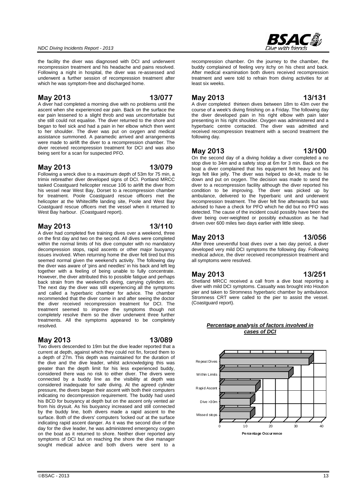the facility the diver was diagnosed with DCI and underwent recompression treatment and his headache and pains resolved. Following a night in hospital, the diver was re-assessed and underwent a further session of recompression treatment after which he was symptom-free and discharged home.

#### **May 2013 13/077**

A diver had completed a morning dive with no problems until the ascent when she experienced ear pain. Back on the surface the ear pain lessened to a slight throb and was uncomfortable but she still could not equalise. The diver returned to the shore and began to feel sick and had a pain in her elbow which then went to her shoulder. The diver was put on oxygen and medical assistance summoned. A paramedic arrived and arrangements were made to airlift the diver to a recompression chamber. The diver received recompression treatment for DCI and was also being sent for a scan for suspected PFO.

#### **May 2013 13/079**

Following a wreck dive to a maximum depth of 53m for 75 min, a trimix rebreather diver developed signs of DCI. Portland MRCC tasked Coastguard helicopter rescue 106 to airlift the diver from his vessel near West Bay, Dorset to a recompression chamber for treatment. Poole Coastguard rescue officers met the helicopter at the Whitecliffe landing site, Poole and West Bay Coastguard rescue officers met the vessel when it returned to West Bay harbour. (Coastguard report).

### **May 2013 13/110**

A diver had completed five training dives over a weekend, three on the first day and two on the second. All dives were completed within the normal limits of his dive computer with no mandatory decompression stops, rapid ascents or other major buoyancy issues involved. When returning home the diver felt tired but this seemed normal given the weekend's activity. The following day the diver was aware of 'pins and needles' in his back and left leg together with a feeling of being unable to fully concentrate. However, the diver attributed this to possible fatigue and perhaps back strain from the weekend's diving, carrying cylinders etc. The next day the diver was still experiencing all the symptoms and called a hyperbaric chamber for advice. The chamber recommended that the diver come in and after seeing the doctor the diver received recompression treatment for DCI. The treatment seemed to improve the symptoms though not completely resolve them so the diver underwent three further treatments. All the symptoms appeared to be completely resolved.

### **May 2013 13/089**

Two divers descended to 19m but the dive leader reported that a

current at depth, against which they could not fin, forced them to a depth of 27m. This depth was maintained for the duration of the dive and the dive leader, whilst acknowledging this was greater than the depth limit for his less experienced buddy, considered there was no risk to either diver. The divers were connected by a buddy line as the visibility at depth was considered inadequate for safe diving. At the agreed cylinder pressure, the divers began their ascent with both their computers indicating no decompression requirement. The buddy had used his BCD for buoyancy at depth but on the ascent only vented air from his drysuit. As his buoyancy increased and still connected by the buddy line, both divers made a rapid ascent to the surface. Both of the divers' computers 'locked out' at the surface indicating rapid ascent danger. As it was the second dive of the day for the dive leader, he was administered emergency oxygen on the boat as it returned to shore. Neither diver reported any symptoms of DCI but on reaching the shore the dive manager sought medical advice and both divers were sent to a

# RSA

recompression chamber. On the journey to the chamber, the buddy complained of feeling very itchy on his chest and back. After medical examination both divers received recompression treatment and were told to refrain from diving activities for at least six weeks.

#### **May 2013 13/131**

A diver completed thirteen dives between 18m to 43m over the course of a week's diving finishing on a Friday. The following day the diver developed pain in his right elbow with pain later presenting in his right shoulder. Oxygen was administered and a hyperbaric centre contacted. The diver was admitted and received recompression treatment with a second treatment the following day.

#### **May 2013 13/100**

On the second day of a diving holiday a diver completed a no stop dive to 34m and a safety stop at 6m for 3 min. Back on the boat a diver complained that his equipment felt heavy and his legs felt like jelly. The diver was helped to de-kit, made to lie down and put on oxygen. The decision was made to send the diver to a recompression facility although the diver reported his condition to be improving. The diver was picked up by ambulance, delivered to the hyperbaric unit and underwent recompression treatment. The diver felt fine afterwards but was advised to have a check for PFO which he did but no PFO was detected. The cause of the incident could possibly have been the diver being over-weighted or possibly exhaustion as he had driven over 600 miles two days earlier with little sleep.

#### **May 2013 13/056**

After three uneventful boat dives over a two day period, a diver developed very mild DCI symptoms the following day. Following medical advice, the diver received recompression treatment and all symptoms were resolved.

#### **May 2013 13/251**

#### Shetland MRCC received a call from a dive boat reporting a diver with mild DCI symptoms. Casualty was brought into Houton pier and taken to Stromness hyperbaric chamber by ambulance. Stromness CRT were called to the pier to assist the vessel. (Coastguard report).



*Percentage analysis of factors involved in cases of DCI*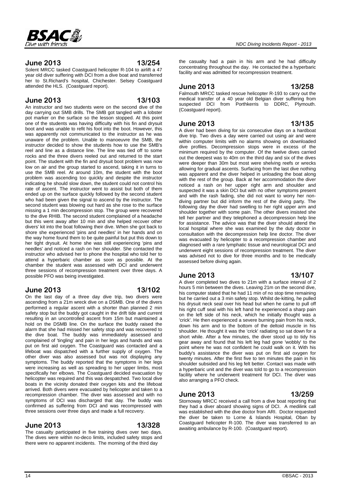### **June 2013 13/254**

Solent MRCC tasked Coastguard helicopter R-104 to airlift a 47 year old diver suffering with DCI from a dive boat and transferred her to St.Richard's hospital, Chichester. Selsey Coastguard attended the HLS. (Coastguard report).

### **June 2013 13/103**

An instructor and two students were on the second dive of the day carrying out SMB drills. The SMB got tangled with a lobster pot marker on the surface so the lesson stopped. At this point one of the students was having difficulty with his fin and drysuit boot and was unable to refit his foot into the boot. However, this was apparently not communicated to the instructor as he was unaware of the problem. Unable to manoeuvre the SMB, the instructor decided to show the students how to use the SMB's reel and line as a distance line. The line was tied off to some rocks and the three divers reeled out and returned to the start point. The student with the fin and drysuit boot problem was now low on air and the group started to ascend, taking it in turns to use the SMB reel. At around 10m, the student with the boot problem was ascending too quickly and despite the instructor indicating he should slow down, the student could not control his rate of ascent. The instructor went to assist but both of them ended up on the surface quickly followed by the second student who had been given the signal to ascend by the instructor. The second student was blowing out hard as she rose to the surface missing a 1 min decompression stop. The group were recovered to the dive RHIB. The second student complained of a headache but this went away after 10 min and she helped recover other divers' kit into the boat following their dive. When she got back to shore she experienced 'pins and needles' in her hands and on the way home found them to be quite painful but put this down to her tight drysuit. At home she was still experiencing 'pins and needles' and noticed a rash on her shoulder. She contacted the instructor who advised her to phone the hospital who told her to attend a hyperbaric chamber as soon as possible. At the chamber the student was assessed with DCI and underwent three sessions of recompression treatment over three days. A possible PFO was being investigated.

#### **June 2013 13/102**

#### On the last day of a three day dive trip, two divers were ascending from a 21m wreck dive on a DSMB. One of the divers performed a regular ascent with a shorter than planned 2 min safety stop but the buddy got caught in the drift tide and current resulting in an uncontrolled ascent from 15m but maintained a hold on the DSMB line. On the surface the buddy raised the alarm that she had missed her safety stop and was recovered to the dive boat. The buddy was immediately assessed and complained of 'tingling' and pain in her legs and hands and was put on first aid oxygen. The Coastguard was contacted and a lifeboat was dispatched with a further supply of oxygen. The other diver was also assessed but was not displaying any symptoms. The buddy reported that the symptoms in her legs were increasing as well as spreading to her upper limbs, most specifically her elbows. The Coastguard decided evacuation by helicopter was required and this was despatched. Two local dive boats in the vicinity donated their oxygen kits and the lifeboat arrived. Both divers were evacuated by helicopter and taken to a recompression chamber. The diver was assessed and with no symptoms of DCI was discharged that day. The buddy was confirmed as suffering from DCI and was recompressed with three sessions over three days and made a full recovery.

### **June 2013 13/328**

The casualty participated in five training dives over two days. The dives were within no-deco limits, included safety stops and there were no apparent incidents. The morning of the third day

the casualty had a pain in his arm and he had difficulty concentrating throughout the day. He contacted the a hyperbaric facility and was admitted for recompression treatment.

# **June 2013 13/258**

Falmouth MRCC tasked rescue helicopter R-193 to carry out the medical transfer of a 40 year old Belgian diver suffering from suspected DCI from Porthkerris to DDRC, Plymouth. (Coastguard report).

### **June 2013 13/135**

A diver had been diving for six consecutive days on a hardboat dive trip. Two dives a day were carried out using air and were within computer limits with no alarms showing on downloaded dive profiles. Decompression stops were in excess of the minimum required by the computer. Of the twelve dives carried out the deepest was to 40m on the third day and six of the dives were deeper than 30m but most were shelving reefs or wrecks allowing for gradual ascents. Surfacing from the last dive nothing was apparent and the diver helped in unloading the boat along with the rest of the group. Back at her accommodation the diver noticed a rash on her upper right arm and shoulder and suspected it was a skin DCI but with no other symptoms present and with the rash fading, she did not want to worry her nondiving partner but did inform the rest of the diving party. The following day the diver had swelling to her right upper arm and shoulder together with some pain. The other divers insisted she tell her partner and they telephoned a decompression help line for assistance. The advice was that the diver should attend the local hospital where she was examined by the duty doctor in consultation with the decompression help line doctor. The diver was evacuated by helicopter to a recompression chamber and diagnosed with a rare lymphatic tissue and neurological DCI and underwent eight sessions of recompression treatment. The diver was advised not to dive for three months and to be medically assessed before diving again.

### **June 2013 13/107**

A diver completed two dives to 21m with a surface interval of 2 hours 5 min between the dives. Leaving 21m on the second dive, his computer stated that he had 11 min of no stop time remaining but he carried out a 3 min safety stop. Whilst de-kitting, he pulled his drysuit neck seal over his head but when he came to pull off his right cuff seal with his left hand he experienced a sharp pain on the left side of his neck, which he initially thought was a 'crick'. He then experienced a severe burning pain from his neck, down his arm and to the bottom of the deltoid muscle in his shoulder. He thought it was the 'crick' radiating so sat down for a short while. After a few minutes, the diver stood up to tidy his gear away and found that his left leg had gone 'wobbly' to the point where he was not confident he could walk on it. With his buddy's assistance the diver was put on first aid oxygen for twenty minutes. After the first five to ten minutes the pain in his shoulder subsided and his leg felt better. Contact was made with a hyperbaric unit and the diver was told to go to a recompression facility where he underwent treatment for DCI. The diver was also arranging a PFO check.

# **June 2013 13/259**

Stornoway MRCC received a call from a dive boat reporting that they had a diver aboard showing signs of DCI. A medilink call was established with the dive doctor from ARI. Doctor requested the diver be taken to Lorne & Islands Hospital, Oban by Coastguard helicopter R-100. The diver was transferred to an awaiting ambulance by R-100. (Coastguard report).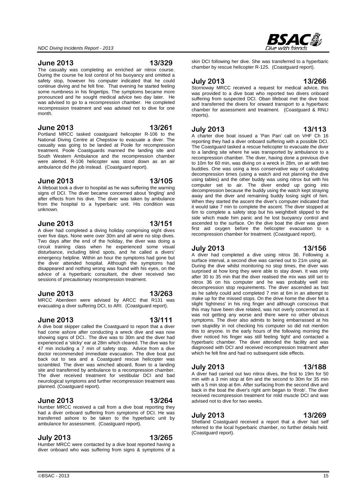#### **June 2013 13/329**

The casualty was completing an enriched air nitrox course. During the course he lost control of his buoyancy and omitted a safety stop, however his computer indicated that he could continue diving and he felt fine. That evening he started feeling some numbness in his fingertips. The symptoms became more pronounced and he sought medical advice two day later. He was advised to go to a recompression chamber. He completed recompression treatment and was advised not to dive for one month.

#### **June 2013 13/261**

Portland MRCC tasked coastguard helicopter R-106 to the National Diving Centre at Chepstow to evacuate a diver. The casualty was going to be landed at Poole for recompression treatment. Poole Coastguards manned the landing site and South Western Ambulance and the recompression chamber were alerted. R-106 helicopter was stood down as an air ambulance did the job instead. (Coastguard report).

#### **June 2013 13/105**

A lifeboat took a diver to hospital as he was suffering the warning signs of DCI. The diver became concerned about 'tingling' and after effects from his dive. The diver was taken by ambulance from the hospital to a hyperbaric unit. His condition was unknown.

#### **June 2013 13/151**

A diver had completed a diving holiday comprising eight dives over five days. None were over 30m and all were no stop dives. Two days after the end of the holiday, the diver was doing a circuit training class when he experienced some visual disturbance, including blind spots, and he called a divers' emergency helpline. Within an hour the symptoms had gone but the diver attended hospital. Although the symptoms had disappeared and nothing wrong was found with his eyes, on the advice of a hyperbaric consultant, the diver received two sessions of precautionary recompression treatment.

#### **June 2013 13/263**

MRCC Aberdeen were advised by ARCC that R131 was evacuating a diver suffering DCI, to ARI. (Coastguard report).

### **June 2013 13/111**

A dive boat skipper called the Coastguard to report that a diver had come ashore after conducting a wreck dive and was now showing signs of DCI.. The dive was to 30m and the diver had experienced a 'sticky' ear at 28m which cleared. The dive was for  $47$  min including  $a$   $7$  min of safety stop. Advice from a dive doctor recommended immediate evacuation. The dive boat put back out to sea and a Coastguard rescue helicopter was scrambled. The diver was winched aboard, flown to a landing site and transferred by ambulance to a recompression chamber. The diver received treatment for vestibular DCI and bad neurological symptoms and further recompression treatment was planned. (Coastguard report).

### **June 2013 13/264**

Humber MRCC received a call from a dive boat reporting they had a diver onboard suffering from symptoms of DCI. He was transferred ashore to be taken to the hyperbaric unit by ambulance for assessment. (Coastguard report).

### **July 2013 13/265**

Humber MRCC were contacted by a dive boat reported having a diver onboard who was suffering from signs & symptoms of a

skin DCI following her dive. She was transferred to a hyperbaric chamber by rescue helicopter R-125. (Coastguard report).

#### **July 2013 13/266**

Stornoway MRCC received a request for medical advice, this was provided to a dive boat who reported two divers onboard suffering from suspected DCI. Oban lifeboat met the dive boat and transferred the divers for onward transport to a hyperbaric chamber for assessment and treatment. (Coastguard & RNLI reports).

#### **July 2013 13/113**

A charter dive boat issued a 'Pan Pan' call on VHF Ch 16 reporting they had a diver onboard suffering with a possible DCI. The Coastguard tasked a rescue helicopter to evacuate the diver to a landing site where he was transported by ambulance to a recompression chamber. The diver, having done a previous dive to 10m for 60 min, was diving on a wreck in 28m, on air with two buddies. One was using a less conservative way of calculating decompression times (using a watch and not planning the dive using tables) and the other buddy was using nitrox but with his computer set to air. The diver ended up going into decompression because the buddy using the watch kept straying away and the diver and remaining buddy losing sight of him. When they started the ascent the diver's computer indicated that it would take 7 min to complete the ascent. The diver stopped at 6m to complete a safety stop but his weightbelt slipped to the side which made him panic and he lost buoyancy control and ascended to the surface. On the dive boat the diver was given first aid oxygen before the helicopter evacuation to a recompression chamber for treatment. (Coastguard report).

#### **July 2013 13/156**

A diver had completed a dive using nitrox 36. Following a surface interval, a second dive was carried out to 21m using air. During the dive whilst monitoring no stop times, the diver was surprised at how long they were able to stay down. It was only after 30 to 35 min that the diver realised the mix was still set to nitrox 36 on his computer and he was probably well into decompression stop requirements. The diver ascended as fast as he safely could and completed 7 min at 6m in an attempt to make up for the missed stops. On the drive home the diver felt a slight 'tightness' in his ring finger and although conscious that this may have been dive related, was not overly concerned as it was not getting any worse and there were no other obvious symptoms. The diver also admits to being embarrassed at his own stupidity in not checking his computer so did not mention this to anyone. In the early hours of the following morning the diver noticed his finger was still feeling 'tight' and contacted a hyperbaric chamber. The diver attended the facility and was diagnosed with DCI and received recompression treatment after which he felt fine and had no subsequent side effects.

#### **July 2013 13/188**

A diver had carried out two nitrox dives, the first to 19m for 50 min with a 3 min stop at 6m and the second to 30m for 35 min with a 5 min stop at 6m. After surfacing from the second dive and back in the boat the diver's right arm began to 'throb'. The diver received recompression treatment for mild muscle DCI and was advised not to dive for two weeks.

#### **July 2013 13/269**

Shetland Coastguard received a report that a diver had self referred to the local hyperbaric chamber, no further details held. (Coastguard report).

 $\circ$ BSAC - 2013 15

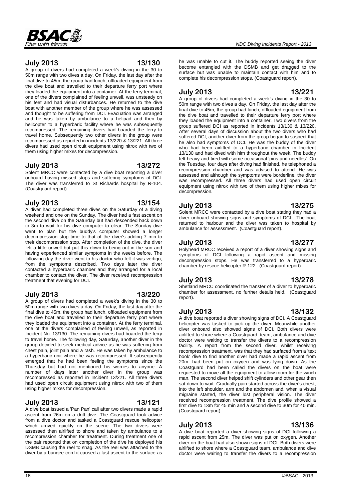

### **July 2013 13/130**

A group of divers had completed a week's diving in the 30 to 50m range with two dives a day. On Friday, the last day after the final dive to 45m, the group had lunch, offloaded equipment from the dive boat and travelled to their departure ferry port where they loaded the equipment into a container. At the ferry terminal, one of the divers complained of feeling unwell, was unsteady on his feet and had visual disturbances. He returned to the dive boat with another member of the group where he was assessed and thought to be suffering from DCI. Evacuation was arranged and he was taken by ambulance to a helipad and then by helicopter to a hyperbaric facility where he was subsequently recompressed. The remaining divers had boarded the ferry to travel home. Subsequently two other divers in the group were recompressed as reported in incidents 13/220 & 13/221. All three divers had used open circuit equipment using nitrox with two of them using higher mixes for decompression.

#### **July 2013 13/272**

Solent MRCC were contacted by a dive boat reporting a diver onboard having missed stops and suffering symptoms of DCI. The diver was transferred to St Richards hospital by R-104. (Coastguard report).

### **July 2013 13/154**

A diver had completed three dives on the Saturday of a diving weekend and one on the Sunday. The diver had a fast ascent on the second dive on the Saturday but had descended back down to 3m to wait for his dive computer to clear. The Sunday dive went to plan but the buddy's computer showed a longer decompression stop time to that of the diver's adding 7 min to their decompression stop. After completion of the dive, the diver felt a little unwell but put this down to being out in the sun and having experienced similar symptoms in the weeks before. The following day the diver went to his doctor who felt it was vertigo, from the symptoms described. Two days later the diver contacted a hyperbaric chamber and they arranged for a local chamber to contact the diver. The diver received recompression treatment that evening for DCI.

### **July 2013 13/220**

A group of divers had completed a week's diving in the 30 to 50m range with two dives a day. On Friday, the last day after the final dive to 45m, the group had lunch, offloaded equipment from the dive boat and travelled to their departure ferry port where they loaded the equipment into a container. At the ferry terminal, one of the divers complained of feeling unwell, as reported in Incident No. 13/130. The remaining divers had boarded the ferry to travel home. The following day, Saturday, another diver in the group decided to seek medical advice as he was suffering from chest pain, joint pain and a rash. He was taken by ambulance to a hyperbaric unit where he was recompressed. It subsequently emerged that he had been feeling the symptoms since the Thursday but had not mentioned his worries to anyone. A number of days later another diver in the group was recompressed as reported in Incident 13/221. All three divers had used open circuit equipment using nitrox with two of them using higher mixes for decompression.

### **July 2013 13/121**

A dive boat issued a 'Pan Pan' call after two divers made a rapid ascent from 26m on a drift dive. The Coastguard took advice from a dive doctor and tasked a Coastguard rescue helicopter which arrived quickly on the scene. The two divers were assessed then airlifted to shore and taken by ambulance to a recompression chamber for treatment. During treatment one of the pair reported that on completion of the dive he deployed his DSMB causing the reel to snag. As the reel was attached to the diver by a bungee cord it caused a fast ascent to the surface as

he was unable to cut it. The buddy reported seeing the diver become entangled with the DSMB and get dragged to the surface but was unable to maintain contact with him and to complete his decompression stops. (Coastguard report).

 *NDC Diving Incidents Report - 2013* 

### **July 2013 13/221**

A group of divers had completed a week's diving in the 30 to 50m range with two dives a day. On Friday, the last day after the final dive to 45m, the group had lunch, offloaded equipment from the dive boat and travelled to their departure ferry port where they loaded the equipment into a container. Two divers from the group suffered DCI as reported in Incidents 13/130 & 13/220. After several days of discussion about the two divers who had suffered DCI, another diver from the group began to suspect that he also had symptoms of DCI. He was the buddy of the diver who had been airlifted to a hyperbaric chamber in Incident 13/130 and had dived with him throughout the week. The buddy felt heavy and tired with some occasional 'pins and needles'. On the Tuesday, four days after diving had finished, he telephoned a recompression chamber and was advised to attend. He was assessed and although the symptoms were borderline, the diver was recompressed. All three divers had used open circuit equipment using nitrox with two of them using higher mixes for decompression.

**July 2013 13/275** Solent MRCC were contacted by a dive boat stating they had a diver onboard showing signs and symptoms of DCI. The boat returned to harbour and the diver was taken to hospital by

#### **July 2013 13/277**

Holyhead MRCC received a report of a diver showing signs and symptoms of DCI following a rapid ascent and missing decompression stops. He was transferred to a hyperbaric chamber by rescue helicopter R-122. (Coastguard report).

ambulance for assessment. (Coastguard report).

### **July 2013 13/278**

Shetland MRCC coordinated the transfer of a diver to hyperbaric chamber for assessment, no further details held. (Coastguard report).

#### **July 2013 13/132**

A dive boat reported a diver showing signs of DCI. A Coastguard helicopter was tasked to pick up the diver. Meanwhile another diver onboard also showed signs of DCI. Both divers were airlifted to shore where a Coastguard team, ambulance and dive doctor were waiting to transfer the divers to a recompression facility. A report from the second diver, whilst receiving recompression treatment, was that they had surfaced from a 'text book' dive to find another diver had made a rapid ascent from 20m, had been put on oxygen and was lying down. As the Coastguard had been called the divers on the boat were requested to move all the equipment to allow room for the winch man. The second diver helped shift cylinders and other gear then sat down to wait. Gradually pain started across the diver's chest, into the left shoulder, arm and the abdomen and, when a visual migraine started, the diver lost peripheral vision. The diver received recompression treatment. The dive profile showed a first dive to 13m for 45 min and a second dive to 30m for 40 min. (Coastguard report).

# **July 2013 13/136**

A dive boat reported a diver showing signs of DCI following a rapid ascent from 25m. The diver was put on oxygen. Another diver on the boat had also shown signs of DCI. Both divers were airlifted to shore where a Coastguard team, ambulance and dive doctor were waiting to transfer the divers to a recompression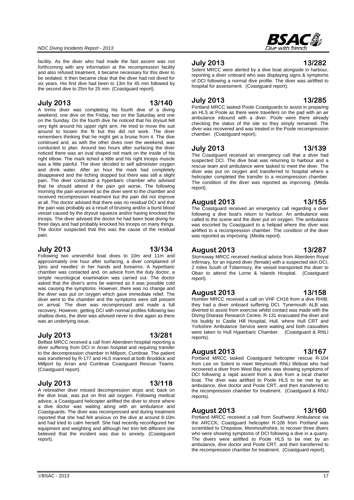facility. As the diver who had made the fast ascent was not forthcoming with any information at the recompression facility and also refused treatment, it became necessary for this diver to be sedated. It then became clear that the diver had not dived for six years. His first dive had been to 13m for 45 min followed by the second dive to 25m for 25 min. (Coastguard report).

#### **July 2013 13/140**

A trimix diver was completing his fourth dive of a diving weekend, one dive on the Friday, two on the Saturday and one on the Sunday. On the fourth dive he noticed that his drysuit felt very tight around his upper right arm. He tried to move the suit around to loosen the fit but this did not work. The diver remembers thinking that he might get a bruise from it. The dive continued and, as with the other dives over the weekend, was conducted to plan. Around two hours after surfacing the diver noticed there was an oval shaped red mark on the inside of his right elbow. The mark itched a little and his right triceps muscle was a little painful. The diver decided to self administer oxygen and drink water. After an hour the mark had completely disappeared and the itching stopped but there was still a slight pain. The diver contacted a hyperbaric chamber who advised that he should attend if the pain got worse. The following morning the pain worsened so the diver went to the chamber and received recompression treatment but the pain did not improve at all. The doctor advised that there was no residual DCI and that the pain was probably as a result of bruising and/or a burst blood vessel caused by the drysuit squeeze and/or having knocked the triceps. The diver advised the doctor he had been boat diving for three days and had probably knocked his triceps on many things. The doctor suspected that this was the cause of the residual pain.

#### **July 2013 13/134**

Following two uneventful boat dives to 10m and 11m and approximately one hour after surfacing, a diver complained of 'pins and needles' in her hands and forearms. A hyperbaric chamber was contacted and, on advice from the duty doctor, a simple neurological examination was carried out. The doctor asked that the diver's arms be warmed as it was possible cold was causing the symptoms. However, there was no change and the diver was put on oxygen which gave immediate relief. The diver went to the chamber and the symptoms were still present on arrival. The diver was recompressed and made a full recovery. However, getting DCI with normal profiles following two shallow dives, the diver was advised never to dive again as there was an underlying issue.

#### **July 2013 13/281**

Belfast MRCC received a call from Aberdeen hospital reporting a diver suffering from DCI in Arran hospital and requiring transfer to the decompression chamber in Millport, Cumbrae. The patient was transferred by R-177 and HLS manned at both Broddick and Millport by Arran and Cumbrae Coastguard Rescue Teams. (Coastguard report).

#### **July 2013 13/118**

A rebreather diver missed decompression stops and, back on the dive boat, was put on first aid oxygen. Following medical advice, a Coastguard helicopter airlifted the diver to shore where a dive doctor was waiting along with an ambulance and Coastguards. The diver was recompressed and during treatment reported that she had felt anxious on the dive at around 8-10m and had tried to calm herself. She had recently reconfigured her equipment and weighting and although her trim felt different she believed that the incident was due to anxiety. (Coastguard report).

## **July 2013 13/282**

Solent MRCC were alerted by a dive boat alongside in harbour, reporting a diver onboard who was displaying signs & symptoms of DCI following a normal dive profile. The diver was airlifted to hospital for assessment. (Coastguard report).

#### **July 2013 13/285**

Portland MRCC tasked Poole Coastguards to assist in preparing an HLS at Poole as there were travellers on the pad with an air ambulance inbound with a diver. Poole were there already checking the status of the site so they simply remained. The diver was recovered and was treated in the Poole recompression chamber. (Coastguard report).

#### **July 2013 13/139**

The Coastguard received an emergency call that a diver had suspected DCI. The dive boat was returning to harbour and a rescue team and ambulance were tasked to meet the diver. The diver was put on oxygen and transferred to hospital where a helicopter completed the transfer to a recompression chamber. The condition of the diver was reported as improving. (Media report).

### **August 2013 13/155**

The Coastguard received an emergency call regarding a diver following a dive boat's return to harbour. An ambulance was called to the scene and the diver put on oxygen. The ambulance was escorted by Coastguard to a helipad where the diver was airlifted to a recompression chamber. The condition of the diver was reported as improving. (Media report).

#### **August 2013 13/287**

Stornoway MRCC received medical advice from Aberdeen Royal Infirmary, for an injured diver (female) with a suspected skin DCI, 2 miles South of Tobermory, the vessel transported the diver to Oban to attend the Lorne & Islands Hospital. (Coastguard report).

#### **August 2013 13/158**

Humber MRCC received a call on VHF CH16 from a dive RHIB; they had a diver onboard suffering DCI. Tynemouth ALB was diverted to assist from exercise whilst contact was made with the Diving Disease Research Centre. R-131 evacuated the diver and his buddy to Castle Hill Hospital, Hull, where Hull CRT and Yorkshire Ambulance Service were waiting and both casualties were taken to Hull Hyperbaric Chamber. (Coastguard & RNLI reports).

#### **August 2013 13/167**

Portland MRCC tasked Coastguard helicopter rescue R-104 from Lee on Solent to meet Weymouth RNLI lifeboat who had recovered a diver from West Bay who was showing symptoms of DCI following a rapid ascent from a dive from a local charter boat. The diver was airlifted to Poole HLS to be met by an ambulance, dive doctor and Poole CRT, and then transferred to the recompression chamber for treatment. (Coastguard & RNLI reports).

### **August 2013 13/160**

Portland MRCC received a call from Southwest Ambulance via the ARCCK, Coastguard helicopter R-106 from Portland was scrambled to Chepstow, Monmouthshire, to recover three divers who were showing symptoms of DCI following a dive in a quarry. The divers were airlifted to Poole HLS to be met by an ambulance, dive doctor and Poole CRT, and then transferred to the recompression chamber for treatment. (Coastguard report).

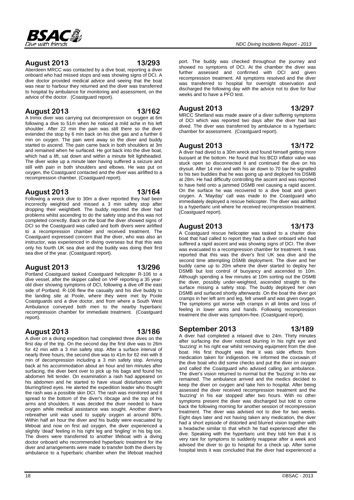

### **August 2013 13/293**

Aberdeen MRCC was contacted by a dive boat, reporting a diver onboard who had missed stops and was showing signs of DCI. A dive doctor provided medical advice and seeing that the boat was near to harbour they returned and the diver was transferred to hospital by ambulance for monitoring and assessment, on the advice of the doctor. (Coastguard report).

### **August 2013 13/162**

A trimix diver was carrying out decompression on oxygen at 6m following a dive to 51m when he noticed a mild ache in his left shoulder. After 22 min the pain was still there so the diver extended the stop by 6 min back on his dive gas and a further 6 min on oxygen. The pain went away so the diver and buddy started to ascend. The pain came back in both shoulders at 3m and remained when he surfaced. He got back into the dive boat, which had a lift, sat down and within a minute felt lightheaded. The diver woke up a minute later having suffered a seizure and still with pain in both shoulders and elbows. He was put on oxygen, the Coastguard contacted and the diver was airlifted to a recompression chamber. (Coastguard report).

### **August 2013 13/164**

Following a wreck dive to 30m a diver reported they had been incorrectly weighted and missed a 3 min safety stop after dropping their weightbelt. The buddy reported the diver had problems whilst ascending to do the safety stop and this was not completed correctly. Back on the boat the diver showed signs of DCI so the Coastguard was called and both divers were airlifted to a recompression chamber and received treatment. The Coastguard expressed concern that the diver, who was also an instructor, was experienced in diving overseas but that this was only his fourth UK sea dive and the buddy was doing their first sea dive of the year. (Coastguard report).

### **August 2013 13/296**

Portland Coastguard tasked Coastguard helicopter R-106 to a dive vessel, after the skipper called on VHF reporting a 35 yearold diver showing symptoms of DCI, following a dive off the east side of Portland. R-106 flew the casualty and his dive buddy to the landing site at Poole, where they were met by Poole Coastguards and a dive doctor, and from where a South West Ambulance conveyed both men to the nearby hyperbaric recompression chamber for immediate treatment. (Coastguard report).

### **August 2013 13/186**

A diver on a diving expedition had completed three dives on the first day of the trip. On the second day the first dive was to 26m for 42 min with a 3 min safety stop. After a surface interval of nearly three hours, the second dive was to 41m for 62 min with 8 min of decompression including a 3 min safety stop. Arriving back at his accommodation about an hour and ten minutes after surfacing, the diver bent over to pick up his bags and found his abdomen felt tender. On examination a rash had appeared on his abdomen and he started to have visual disturbances with blurring/tired eyes. He alerted the expedition leader who thought the rash was a possible skin DCI. The rash was monitored and it spread to the bottom of the diver's ribcage and the top of his arms and shoulders. It was decided the diver needed to have oxygen while medical assistance was sought. Another diver's rebreather unit was used to supply oxygen at around 80%. Within half an hour the diver and his buddy were evacuated by lifeboat and now on first aid oxygen, the diver experienced a slightly 'dead' feeling in his right leg and 'tingling' in his big toe. The divers were transferred to another lifeboat with a diving doctor onboard who recommended hyperbaric treatment for the diver and arrangements were made to transfer both the divers by ambulance to a hyperbaric chamber when the lifeboat reached

port. The buddy was checked throughout the journey and showed no symptoms of DCI. At the chamber the diver was further assessed and confirmed with DCI and given recompression treatment. All symptoms resolved and the diver was transferred to hospital for overnight observation and discharged the following day with the advice not to dive for four weeks and to have a PFO test.

chamber for assessment. (Coastguard report).

**August 2013 13/297** MRCC Shetland was made aware of a diver suffering symptoms of DCI which was reported two days after the diver had last dived. The diver was transferred by ambulance to a hyperbaric

# **August 2013 13/172**

A diver had dived to a 30m wreck and found himself getting more buoyant at the bottom. He found that his BCD inflator valve was stuck open so disconnected it and continued the dive on his drysuit. After 14 min and with his air down to 70 bar he signalled to his two buddies that he was going up and deployed his DSMB at 28m. He had difficulty controlling the ascent and was reported to have held onto a jammed DSMB reel causing a rapid ascent. On the surface he was recovered to a dive boat and given oxygen. A 'Mayday' call was made to the Coastguard who immediately deployed a rescue helicopter. The diver was airlifted to a hyperbaric unit where he received recompression treatment. (Coastguard report).

### **August 2013 13/173**

#### A Coastguard rescue helicopter was tasked to a charter dive boat that had called to report they had a diver onboard who had suffered a rapid ascent and was showing signs of DCI. The diver was evacuated to a recompression chamber for treatment. It was reported that this was the diver's first UK sea dive and the second time attempting DSMB deployment. The diver and her buddy came up to 20m where the diver started to deploy her DSMB but lost control of buoyancy and ascended to 10m. Although spending a few minutes at 10m sorting out the DSMB the diver, possibly under-weighted, ascended straight to the surface missing a safety stop. The buddy deployed her own DSMB and surfaced shortly afterwards .On the boat the diver got cramps in her left arm and leg, felt unwell and was given oxygen. The symptoms got worse with cramps in all limbs and loss of feeling in lower arms and hands. Following recompression treatment the diver was symptom-free. (Coastguard report).

**September 2013 13/189** A diver had completed a relaxed dive to 24m. Thirty minutes after surfacing the diver noticed blurring in his right eye and 'buzzing' in his right ear whilst removing equipment from the dive boat. His first thought was that it was side effects from medication taken for indigestion. He informed the coxswain of the dive boat who did some checks and put the diver on oxygen and called the Coastguard who advised calling an ambulance. The diver's vision returned to normal but the 'buzzing' in his ear remained. The ambulance arrived and the medics decided to keep the diver on oxygen and take him to hospital. After being assessed the diver received recompression treatment and the 'buzzing' in his ear stopped after two hours. With no other symptoms present the diver was discharged but told to come back the following morning for another session of recompression treatment. The diver was advised not to dive for two weeks.

Eight days later and not having taken any medication, the diver had a short episode of distorted and blurred vision together with a headache similar to that which he had experienced after the dive. Speaking with the hyperbaric unit they told him that it is very rare for symptoms to suddenly reappear after a week and advised the diver to go to hospital for a check up. After some hospital tests it was concluded that the diver had experienced a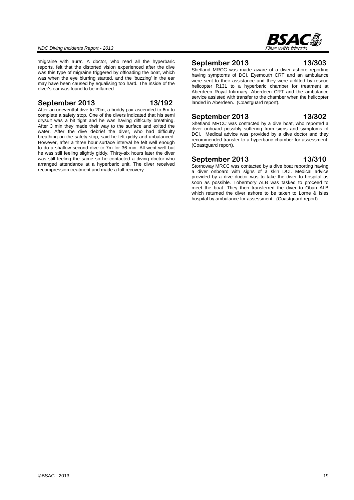

'migraine with aura'. A doctor, who read all the hyperbaric reports, felt that the distorted vision experienced after the dive was this type of migraine triggered by offloading the boat, which was when the eye blurring started, and the 'buzzing' in the ear may have been caused by equalising too hard. The inside of the diver's ear was found to be inflamed.

#### **September 2013 13/192**

After an uneventful dive to 20m, a buddy pair ascended to 6m to complete a safety stop. One of the divers indicated that his semi drysuit was a bit tight and he was having difficulty breathing. After 3 min they made their way to the surface and exited the water. After the dive debrief the diver, who had difficulty breathing on the safety stop, said he felt giddy and unbalanced. However, after a three hour surface interval he felt well enough to do a shallow second dive to 7m for 36 min. All went well but he was still feeling slightly giddy. Thirty-six hours later the diver was still feeling the same so he contacted a diving doctor who arranged attendance at a hyperbaric unit. The diver received recompression treatment and made a full recovery.

### **September 2013 13/303**

Shetland MRCC was made aware of a diver ashore reporting having symptoms of DCI. Eyemouth CRT and an ambulance were sent to their assistance and they were airlifted by rescue helicopter R131 to a hyperbaric chamber for treatment at Aberdeen Royal Infirmary. Aberdeen CRT and the ambulance service assisted with transfer to the chamber when the helicopter landed in Aberdeen. (Coastguard report).

### **September 2013 13/302**

Shetland MRCC was contacted by a dive boat, who reported a diver onboard possibly suffering from signs and symptoms of DCI. Medical advice was provided by a dive doctor and they recommended transfer to a hyperbaric chamber for assessment. (Coastguard report).

#### **September 2013 13/310**

Stornoway MRCC was contacted by a dive boat reporting having a diver onboard with signs of a skin DCI. Medical advice provided by a dive doctor was to take the diver to hospital as soon as possible. Tobermory ALB was tasked to proceed to meet the boat. They then transferred the diver to Oban ALB which returned the diver ashore to be taken to Lorne & Isles hospital by ambulance for assessment. (Coastguard report).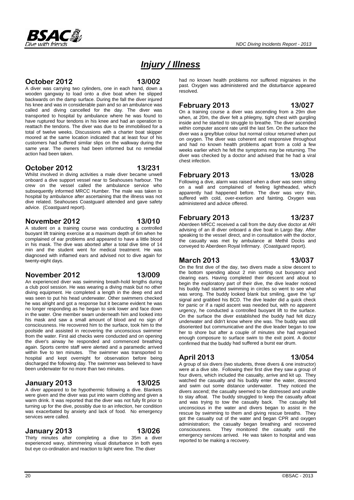

# *Injury / Illness*

#### **October 2012 13/002**

A diver was carrying two cylinders, one in each hand, down a wooden gangway to load onto a dive boat when he slipped backwards on the damp surface. During the fall the diver injured his knee and was in considerable pain and so an ambulance was called and diving cancelled for the day. The diver was transported to hospital by ambulance where he was found to have ruptured four tendons in his knee and had an operation to reattach the tendons. The diver was due to be immobilised for a total of twelve weeks. Discussions with a charter boat skipper moored at the same location indicated that at least four of his customers had suffered similar slips on the walkway during the same year. The owners had been informed but no remedial action had been taken.

#### **October 2012 13/231**

Whilst involved in diving activities a male diver became unwell onboard a dive support vessel near to Seahouses harbour. The crew on the vessel called the ambulance service who subsequently informed MRCC Humber. The male was taken to hospital by ambulance after ascertaining that the illness was not dive related. Seahouses Coastguard attended and gave safety advice. (Coastguard report).

### **November 2012 13/010**

A student on a training course was conducting a controlled buoyant lift training exercise at a maximum depth of 6m when he complained of ear problems and appeared to have a little blood in his mask. The dive was aborted after a total dive time of 14 min and the student went for medical treatment. He was diagnosed with inflamed ears and advised not to dive again for twenty-eight days.

a club pool session. He was wearing a diving mask but no other

#### **November 2012 13/009** An experienced diver was swimming breath-hold lengths during

diving equipment. He completed a length in the deep end and was seen to put his head underwater. Other swimmers checked he was alright and got a response but it became evident he was no longer responding as he began to sink lower and face down in the water. One member swam underneath him and looked into his mask and saw a small amount of blood and no sign of consciousness. He recovered him to the surface, took him to the poolside and assisted in recovering the unconscious swimmer from the water. First aid checks were conducted and on opening the diver's airway he responded and commenced breathing again. Sports centre staff were alerted and a paramedic arrived within five to ten minutes. The swimmer was transported to hospital and kept overnight for observation before being discharged the following day. The swimmer was believed to have

### **January 2013 13/025**

A diver appeared to be hypothermic following a dive. Blankets were given and the diver was put into warm clothing and given a warm drink. It was reported that the diver was not fully fit prior to turning up for the dive, possibly due to an infection, her condition was exacerbated by anxiety and lack of food. No emergency services were called.

been underwater for no more than two minutes.

### **January 2013 13/026**

Thirty minutes after completing a dive to 35m a diver experienced wavy, shimmering visual disturbance in both eyes but eye co-ordination and reaction to light were fine. The diver

had no known health problems nor suffered migraines in the past. Oxygen was administered and the disturbance appeared resolved.

### **February 2013 13/027**

On a training course a diver was ascending from a 29m dive when, at 20m, the diver felt a phlegmy, tight chest with gurgling inside and he started to struggle to breathe. The diver ascended within computer ascent rate until the last 5m. On the surface the diver was a grey/blue colour but normal colour returned when put on oxygen. The diver was coherent and responsive throughout and had no known health problems apart from a cold a few weeks earlier which he felt the symptoms may be returning. The diver was checked by a doctor and advised that he had a viral chest infection.

### **February 2013 13/028**

Following a dive, alarm was raised when a diver was seen sitting on a wall and complained of feeling lightheaded, which apparently had happened before. The diver was very thin, suffered with cold, over-exertion and fainting. Oxygen was administered and advice offered.

#### **February 2013 13/237**

Aberdeen MRCC received a call from the duty dive doctor at ARI advising of an ill diver onboard a dive boat in Largo Bay. After speaking to the vessel direct, and in consultation with the doctor, the casualty was met by ambulance at Methil Docks and conveyed to Aberdeen Royal Infirmary. (Coastguard report).

### **March 2013 13/037**

On the first dive of the day, two divers made a slow descent to the bottom spending about 2 min sorting out buoyancy and clearing ears. Having completed their descent and about to begin the exploratory part of their dive, the dive leader noticed his buddy had started swimming in circles so went to see what was wrong. The buddy looked blank but smiling, gave the 'up' signal and grabbed his BCD. The dive leader did a quick check for panic or if a rapid ascent was needed but, with no apparent urgency, he conducted a controlled buoyant lift to the surface. On the surface the diver established the buddy had felt dizzy underwater and didn't know where she was. The buddy was still disoriented but communicative and the dive leader began to tow her to shore but after a couple of minutes she had regained enough composure to surface swim to the exit point. A doctor confirmed that the buddy had suffered a burst ear drum.

### **April 2013 13/054**

A group of six divers (two students, three divers & one instructor) were at a dive site. Following their first dive they saw a group of four divers, which included the casualty, arrive and kit up. They watched the casualty and his buddy enter the water, descend and swim out some distance underwater. They noticed the divers ascend; the casualty seemed to be distressed and unable to stay afloat. The buddy struggled to keep the casualty afloat and was trying to tow the casualty back. The casualty fell unconscious in the water and divers began to assist in the rescue by swimming to them and giving rescue breaths. They got the casualty out of the water and began CPR and oxygen administration; the casualty began breathing and recovered consciousness. They monitored the casualty until the emergency services arrived. He was taken to hospital and was reported to be making a recovery.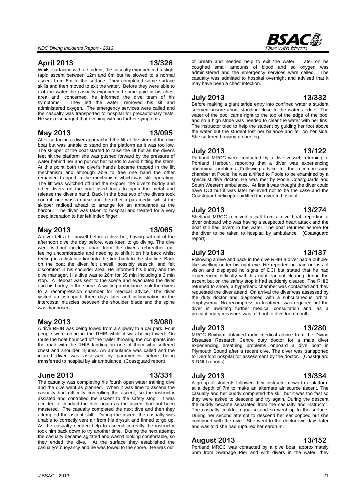### **April 2013 13/326**

Whilst surfacing with a student, the casualty experienced a slight rapid ascent between 12m and 6m but he slowed to a normal ascent from 6m to the surface. They completed some surface skills and then moved to exit the water. Before they were able to exit the water the casualty experienced some pain in his chest area and, concerned, he informed the dive team of his symptoms. They left the water, removed his kit and administered oxygen. The emergency services were called and the casualty was transported to hospital for precautionary tests. He was discharged that evening with no further symptoms.

### **May 2013 13/095**

After surfacing a diver approached the lift at the stern of the dive boat but was unable to stand on the platform as it was too low. The skipper of the boat started to raise the lift but as the diver's feet hit the platform she was pushed forward by the pressure of water behind her and put out her hands to avoid hitting the stern. At this point both the diver's hands became trapped in the lift mechanism and although able to free one hand the other remained trapped in the mechanism which was still operating. The lift was switched off and the skipper, the diver's buddy and other divers on the boat used tools to open the metal and release the diver's hand. Back in the boat two of the divers took control, one was a nurse and the other a paramedic, whilst the skipper radioed ahead to arrange for an ambulance at the harbour. The diver was taken to hospital and treated for a very deep laceration to her left index finger.

### **May 2013 13/065**

A diver felt a bit unwell before a dive but, having sat out of the afternoon dive the day before, was keen to go diving. The dive went without incident apart from the diver's rebreather unit feeling uncomfortable and needing to shift it on his back whilst reeling in a distance line into the tide back to the shotline. Back on the boat the diver felt unwell, possibly seasick, and felt discomfort in his shoulder area. He informed his buddy and the dive manager. His dive was to 26m for 35 min including a 3 min stop. A lifeboat was sent to the scene and evacuated the diver and his buddy to the shore. A waiting ambulance took the divers to a recompression chamber for medical advice. The diver visited an osteopath three days later and inflammation in the intercostal muscles between the shoulder blade and the spine was diagnosed.

# **May 2013 13/080**

A dive RHIB was being towed from a slipway to a car park. Four people were riding in the RHIB while it was being towed. On route the boat bounced off the trailer throwing the occupants into the road with the RHIB landing on one of them who suffered chest and shoulder injuries. An ambulance was called and the injured diver was assessed by paramedics before being transferred to hospital by air ambulance. (Coastguard report).

### **June 2013 13/331**

The casualty was completing his fourth open water training dive and the dive went as planned. When it was time to ascend the casualty had difficulty controlling the ascent, so the instructor assisted and controlled the ascent to the safety stop. It was decided to conduct the dive again as the ascent had not been mastered. The casualty completed the next dive and then they attempted the ascent skill. During the ascent the casualty was unable to correctly vent air from his drysuit and finned to go up. As the casualty needed help to ascend correctly the instructor took him back down to try another time. During the next attempt the casualty became agitated and wasn't looking comfortable, so they ended the dive. At the surface they established the casualty's buoyancy and he was towed to the shore. He was out

of breath and needed help to exit the water. Later on he coughed small amounts of blood and so oxygen was administered and the emergency services were called. The casualty was admitted to hospital overnight and advised that it may have been a chest infection.

### **July 2013 13/332**

Before making a giant stride entry into confined water a student seemed unsure about standing close to the water's edge. The water of the pool came right to the top of the edge of the pool and so a high stride was needed to clear the water with her fins. The instructor tried to help the student by guiding her foot above the water but the student lost her balance and fell on her side. She suffered bruising on her leg.

### **July 2013 13/122**

Portland MRCC were contacted by a dive vessel, returning to Portland Harbour, reporting that a diver was experiencing abdominal problems. Following advice for the recompression chamber at Poole, he was airlifted to Poole to be examined by a specialist dive doctor. He was met by Poole Coastguards and South Western ambulance. At first it was thought the diver could have DCI but it was later believed not to be the case and the Coastguard helicopter airlifted the diver to hospital.

### **July 2013 13/274**

Shetland MRCC received a call from a dive boat, reporting a diver onboard who was having a suspected heart attack and the boat still had divers in the water. The boat returned ashore for the diver to be taken to hospital by ambulance. (Coastguard report).

### **July 2013 13/137**

Following a dive and back in the dive RHIB a diver had a bubblelike swelling under his right eye. He reported no pain or loss of vision and displayed no signs of DCI but stated that he had experienced difficulty with his right ear not clearing during the ascent but on the safety stop it had suddenly cleared. The RHIB returned to shore, a hyperbaric chamber was contacted and they requested the diver attend. On arrival the diver was assessed by the duty doctor and diagnosed with a subcutaneous orbital emphysema. No recompression treatment was required but the diver is awaiting further medical consultation and, as a precautionary measure, was told not to dive for a month.

#### **July 2013 13/280**

MRCC Brixham obtained radio medical advice from the Diving Diseases Research Centre duty doctor for a male diver experiencing breathing problems onboard a dive boat in Plymouth Sound after a recent dive. The diver was transported to Derriford hospital for assessment by the doctor. (Coastguard & RNLI reports).

### **July 2013 13/334**

A group of students followed their instructor down to a platform at a depth of 7m to make an alternate air source ascent. The casualty and her buddy completed the skill but it was too fast so they were asked to descend and try again. During the descent the buddy became separated from the casualty and instructor. The casualty couldn't equalise and so went up to the surface. During her second attempt to descend her ear popped but she continued with the dive. She went to the doctor two days later and was told she had ruptured her eardrum.

#### **August 2013 13/152**

Portland MRCC was contacted by a dive boat, approximately 5nm from Swanage Pier and with divers in the water, they

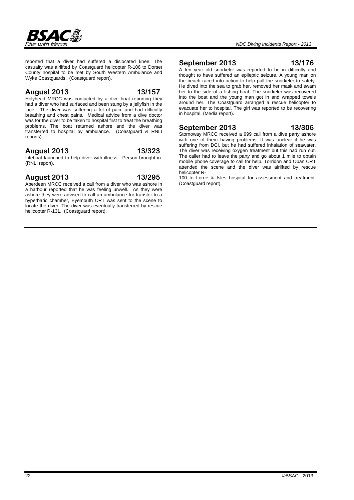

reported that a diver had suffered a dislocated knee. The casualty was airlifted by Coastguard helicopter R-106 to Dorset County hospital to be met by South Western Ambulance and Wyke Coastguards. (Coastguard report).

#### **August 2013 13/157**

Holyhead MRCC was contacted by a dive boat reporting they had a diver who had surfaced and been stung by a jellyfish in the face. The diver was suffering a lot of pain, and had difficulty breathing and chest pains. Medical advice from a dive doctor was for the diver to be taken to hospital first to treat the breathing problems. The boat returned ashore and the diver was transferred to hospital by ambulance. (Coastguard & RNLI reports).

#### **August 2013 13/323**

Lifeboat launched to help diver with illness. Person brought in. (RNLI report).

#### **August 2013 13/295**

Aberdeen MRCC received a call from a diver who was ashore in a harbour reported that he was feeling unwell. As they were ashore they were advised to call an ambulance for transfer to a hyperbaric chamber, Eyemouth CRT was sent to the scene to locate the diver. The diver was eventually transferred by rescue helicopter R-131. (Coastguard report).

#### **September 2013 13/176**

#### A ten year old snorkeler was reported to be in difficulty and thought to have suffered an epileptic seizure. A young man on the beach raced into action to help pull the snorkeler to safety. He dived into the sea to grab her, removed her mask and swam her to the side of a fishing boat. The snorkeler was recovered into the boat and the young man got in and wrapped towels around her. The Coastguard arranged a rescue helicopter to evacuate her to hospital. The girl was reported to be recovering in hospital. (Media report).

#### **September 2013 13/306**

Stornoway MRCC received a 999 call from a dive party ashore with one of them having problems. It was unclear if he was suffering from DCI, but he had suffered inhalation of seawater. The diver was receiving oxygen treatment but this had run out. The caller had to leave the party and go about 1 mile to obtain mobile phone coverage to call for help. Torridon and Oban CRT attended the scene and the diver was airlifted by rescue helicopter R-

100 to Lorne & Isles hospital for assessment and treatment. (Coastguard report).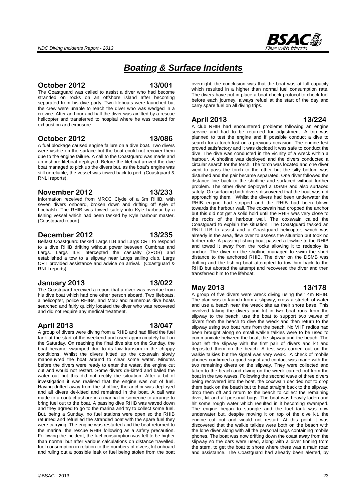# *Boating & Surface Incidents*

The Coastguard was called to assist a diver who had become stranded on rocks on an offshore island after becoming separated from his dive party. Two lifeboats were launched but the crew were unable to reach the diver who was wedged in a crevice. After an hour and half the diver was airlifted by a rescue helicopter and transferred to hospital where he was treated for exhaustion and exposure.

**October 2012 13/001** 

### **October 2012 13/086**

A fuel blockage caused engine failure on a dive boat. Two divers were visible on the surface but the boat could not recover them due to the engine failure. A call to the Coastguard was made and an inshore lifeboat deployed. Before the lifeboat arrived the dive boat managed to pick up the divers but, as the boat's engine was still unreliable, the vessel was towed back to port. (Coastguard & RNLI reports).

### **November 2012 13/233**

Information received from MRCC Clyde of a 6m RHIB, with seven divers onboard, broken down and drifting off Kyle of Lochalsh. The RHIB was towed safely into Kyle harbour by a fishing vessel which had been tasked by Kyle harbour master. (Coastguard report).

#### **December 2012 13/235**

Belfast Coastguard tasked Largs ILB and Largs CRT to respond to a dive RHIB drifting without power between Cumbrae and Largs. Largs ILB intercepted the casualty (2POB) and established a tow to a slipway near Largs sailing club. Largs CRT provided assistance and advice on arrival. (Coastguard & RNLI reports).

#### **January 2013 13/022**

The Coastguard received a report that a diver was overdue from his dive boat which had one other person aboard. Two lifeboats, a helicopter, police RHIBs, and MoD and numerous dive boats searched and fairly quickly located the diver who was recovered and did not require any medical treatment.

### **April 2013 13/047**

A group of divers were diving from a RHIB and had filled the fuel tank at the start of the weekend and used approximately half on the Saturday. On reaching the final dive site on the Sunday, the boat became swamped due to its low transom in the choppy conditions. Whilst the divers kitted up the coxswain slowly manoeuvred the boat around to clear some water. Minutes before the divers were ready to enter the water, the engine cut out and would not restart. Some divers de-kitted and bailed the water out but this did not rectify the situation. After a bit of investigation it was realised that the engine was out of fuel. Having drifted away from the shotline, the anchor was deployed and all divers de-kitted and remained in the boat. A call was made to a contact ashore in a marina for someone to arrange to bring fuel out to the boat. A passing dive RHIB was waved down and they agreed to go to the marina and try to collect some fuel. But, being a Sunday, no fuel stations were open so the RHIB returned and refuelled the stranded boat with the spare fuel they were carrying. The engine was restarted and the boat returned to the marina, the rescue RHIB following as a safety precaution. Following the incident, the fuel consumption was felt to be higher than normal but after various calculations on distance travelled, fuel consumption in relation to the numbers of divers, kit onboard and ruling out a possible leak or fuel being stolen from the boat overnight, the conclusion was that the boat was at full capacity which resulted in a higher than normal fuel consumption rate. The divers have put in place a boat check protocol to check fuel before each journey, always refuel at the start of the day and carry spare fuel on all diving trips.

### **April 2013 13/224**

A club RHIB had encountered problems following an engine service and had to be returned for adjustment. A trip was planned to test the engine and if possible conduct a dive to search for a torch lost on a previous occasion. The engine test proved satisfactory and it was decided it was safe to conduct the dive. The dive was conducted in the vicinity of a wreck within a harbour. A shotline was deployed and the divers conducted a circular search for the torch. The torch was located and one diver went to pass the torch to the other but the silty bottom was disturbed and the pair became separated. One diver followed the distance line back to the shotline and surfaced without further problem. The other diver deployed a DSMB and also surfaced safely. On surfacing both divers discovered that the boat was not approaching them. Whilst the divers had been underwater the RHIB engine had stopped and the RHIB had been blown towards the harbour wall. The coxswain had dropped the anchor but this did not get a solid hold until the RHIB was very close to the rocks of the harbour wall. The coxswain called the Coastguard to explain the situation. The Coastguard tasked an RNLI ILB to assist and a Coastguard helicopter, which was already in the area, flew over to assess the situation but took no further role. A passing fishing boat passed a towline to the RHIB and towed it away from the rocks allowing it to redeploy its anchor. The diver on the shotline managed to swim the short distance to the anchored RHIB. The diver on the DSMB was drifting and the fishing boat attempted to tow him back to the RHIB but aborted the attempt and recovered the diver and then transferred him to the lifeboat.

### **May 2013 13/178**

A group of five divers were wreck diving using their 4m RHIB. The plan was to launch from a slipway, cross a stretch of water and use a beach near the wreck site as their shore base. This involved taking the divers and kit in two boat runs from the slipway to the beach, use the boat to support two waves of divers from the beach to dive the wreck and then return to the slipway using two boat runs from the beach. No VHF radios had been brought along so small walkie talkies were to be used to communicate between the boat, the slipway and the beach. The boat left the slipway with the first pair of divers and kit and deposited them on the beach. A test was carried out on the walkie talkies but the signal was very weak. A check of mobile phones confirmed a good signal and contact was made with the two remaining divers on the slipway. They were collected and taken to the beach and diving on the wreck carried out from the boat in the two waves. Following the second wave of three divers being recovered into the boat, the coxswain decided not to drop them back on the beach but to head straight back to the slipway, drop them off and return to the beach to collect the remaining diver, kit and all personal bags. The boat was heavily laden and hit some rough water which resulted in it becoming swamped. The engine began to struggle and the fuel tank was now underwater but, despite moving it on top of the dive kit, the engine cut out and would not restart. At this point it was discovered that the walkie talkies were both on the beach with the lone diver along with all the personal bags containing mobile phones. The boat was now drifting down the coast away from the slipway so the oars were used, along with a diver finning from the stern, to get the boat to shore where there was a main road and assistance. The Coastguard had already been alerted, by

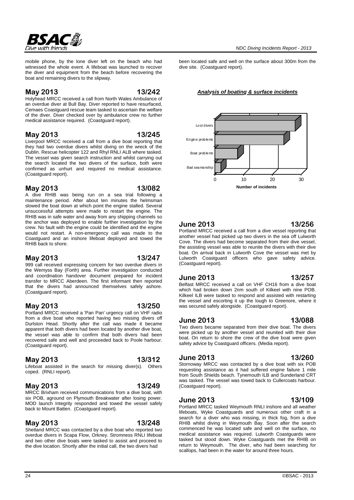mobile phone, by the lone diver left on the beach who had witnessed the whole event. A lifeboat was launched to recover the diver and equipment from the beach before recovering the boat and remaining divers to the slipway.

#### **May 2013 13/242**

**BSAC&** 

Holyhead MRCC received a call from North Wales Ambulance of an overdue diver at Bull Bay. Diver reported to have resurfaced, Cemaes Coastguard rescue team tasked to ascertain the welfare of the diver. Diver checked over by ambulance crew no further medical assistance required. (Coastguard report).

### **May 2013 13/245**

Liverpool MRCC received a call from a dive boat reporting that they had two overdue divers whilst diving on the wreck of the Dublin. Rescue helicopter 122 and Rhyl RNLI ALB where tasked. The vessel was given search instruction and whilst carrying out the search located the two divers of the surface, both were confirmed as unhurt and required no medical assistance. (Coastguard report).

### **May 2013 13/082**

A dive RHIB was being run on a sea trial following a maintenance period. After about ten minutes the helmsman slowed the boat down at which point the engine stalled. Several unsuccessful attempts were made to restart the engine. The RHIB was in safe water and away from any shipping channels so the anchor was deployed to enable further investigation by the crew. No fault with the engine could be identified and the engine would not restart. A non-emergency call was made to the Coastguard and an inshore lifeboat deployed and towed the RHIB back to shore.

#### **May 2013 13/247**

999 call received expressing concern for two overdue divers in the Wemyss Bay (Forth) area. Further investigation conducted and coordination handover document prepared for incident transfer to MRCC Aberdeen. The first informant then reported that the divers had announced themselves safely ashore. (Coastguard report).

### **May 2013 13/250**

Portland MRCC received a 'Pan Pan' urgency call on VHF radio from a dive boat who reported having two missing divers off Durlston Head. Shortly after the call was made it became apparent that both divers had been located by another dive boat, the vessel was able to confirm that both divers had been recovered safe and well and proceeded back to Poole harbour. (Coastguard report).

### **May 2013 13/312**

Lifeboat assisted in the search for missing diver(s). Others coped. (RNLI report).

### **May 2013 13/249**

MRCC Brixham received communications from a dive boat, with six POB, aground on Plymouth Breakwater after losing power. MOD launch Integrity responded and towed the vessel safely back to Mount Batten. (Coastguard report).

and two other dive boats were tasked to assist and proceed to the dive location. Shortly after the initial call, the two divers had

**May 2013 13/248** Shetland MRCC was contacted by a dive boat who reported two overdue divers in Scapa Flow, Orkney. Stromness RNLI lifeboat been located safe and well on the surface about 300m from the dive site. (Coastguard report).

*Analysis of boating & surface incidents*



### **June 2013 13/256**

Portland MRCC received a call from a dive vessel reporting that another vessel had picked up two divers in the sea off Lulworth Cove. The divers had become separated from their dive vessel, the assisting vessel was able to reunite the divers with their dive boat. On arrival back in Lulworth Cove the vessel was met by Lulworth Coastguard officers who gave safety advice. (Coastguard report).

### **June 2013 13/257**

Belfast MRCC received a call on VHF CH16 from a dive boat which had broken down 2nm south of Kilkeel with nine POB. Kilkeel ILB were tasked to respond and assisted with restarting the vessel and escorting it up the lough to Greenore, where it was secured safely alongside. (Coastguard report).

# **June 2013 13/088**

Two divers became separated from their dive boat. The divers were picked up by another vessel and reunited with their dive boat. On return to shore the crew of the dive boat were given safety advice by Coastguard officers. (Media report).

### **June 2013 13/260**

Stornoway MRCC was contacted by a dive boat with six POB requesting assistance as it had suffered engine failure 1 mile from South Shields beach. Tynemouth ILB and Sunderland CRT was tasked. The vessel was towed back to Cullercoats harbour. (Coastguard report).

### **June 2013 13/109**

Portland MRCC tasked Weymouth RNLI inshore and all weather lifeboats, Wyke Coastguards and numerous other craft in a search for a diver who was missing, in thick fog, from a dive RHIB whilst diving in Weymouth Bay. Soon after the search commenced he was located safe and well on the surface, no medical assistance was required. Lulworth Coastguards were tasked but stood down. Wyke Coastguards met the RHIB on return to Weymouth. The diver, who had been searching for scallops, had been in the water for around three hours.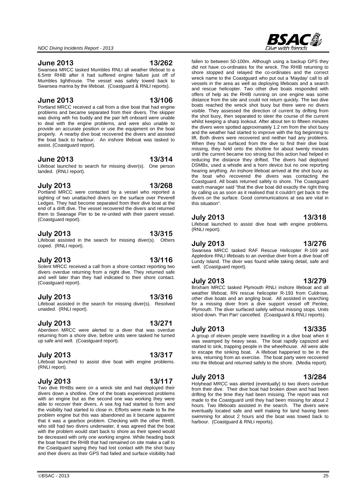#### **June 2013 13/262**

Swansea MRCC tasked Mumbles RNLI all weather lifeboat to a 6.5mtr RHIB after it had suffered engine failure just off of Mumbles lighthouse. The vessel was safely towed back to Swansea marina by the lifeboat. (Coastguard & RNLI reports).

### **June 2013 13/106**

Portland MRCC received a call from a dive boat that had engine problems and became separated from their divers. The skipper was diving with his buddy and the pair left onboard were unable to deal with the engine problems, and were also unable to provide an accurate position or use the equipment on the boat properly. A nearby dive boat recovered the divers and assisted the boat back to harbour. An inshore lifeboat was tasked to assist. (Coastguard report).

#### **June 2013 13/314**

Lifeboat launched to search for missing diver(s). One person landed. (RNLI report).

#### **July 2013 13/268**

Portland MRCC were contacted by a vessel who reported a sighting of two unattached divers on the surface over Peverell Ledges. They had become separated from their dive boat at the end of a drift dive. The vessel recovered the divers and returned them to Swanage Pier to be re-united with their parent vessel. (Coastguard report).

### **July 2013 13/315**

Lifeboat assisted in the search for missing diver(s). Others coped. (RNLI report).

#### **July 2013 13/116**

Solent MRCC received a call from a shore contact reporting two divers overdue returning from a night dive. They returned safe and well later than they had indicated to their shore contact. (Coastguard report).

### **July 2013 13/316**

Lifeboat assisted in the search for missing diver(s). Resolved unaided. (RNLI report).

### **July 2013 13/271**

Aberdeen MRCC were alerted to a diver that was overdue returning from a shore dive, before units were tasked he turned up safe and well. (Coastguard report).

### **July 2013 13/317**

Lifeboat launched to assist dive boat with engine problems. (RNLI report).

### **July 2013 13/117**

Two dive RHIBs were on a wreck site and had deployed their divers down a shotline. One of the boats experienced problems with an engine but as the second one was working they were able to recover their divers. A sea fog had started to form and the visibility had started to close in. Efforts were made to fix the problem engine but this was abandoned as it became apparent that it was a gearbox problem. Checking with the other RHIB, who still had two divers underwater, it was agreed that the boat with the problem would start back to shore as their speed would be decreased with only one working engine. While heading back the boat heard the RHIB that had remained on site make a call to the Coastguard saying they had lost contact with the shot buoy and their divers as their GPS had failed and surface visibility had

wreck name to the Coastguard who put out a 'Mayday' call to all vessels in the area as well as deploying lifeboats and a search and rescue helicopter. Two other dive boats responded with offers of help as the RHIB running on one engine was some distance from the site and could not return quickly. The two dive boats reached the wreck shot buoy but there were no divers visible. They assessed the direction of current by drifting from the shot buoy, then separated to steer the course of the current whilst keeping a sharp lookout. After about ten to fifteen minutes the divers were spotted approximately 1.2 nm from the shot buoy and the weather had started to improve with the fog beginning to lift. Both divers were recovered and neither had any problems. When they had surfaced from the dive to find their dive boat missing, they held onto the shotline for about twenty minutes until the current became too strong but this action had helped in reducing the distance they drifted. The divers had deployed DSMBs, used a whistle and a horn device but no one reporting hearing anything. An inshore lifeboat arrived at the shot buoy as the boat who recovered the divers was contacting the Coastguard. All boats returned safely to shore. The Coastguard watch manager said "that the dive boat did exactly the right thing by calling us as soon as it realised that it couldn't get back to the divers on the surface. Good communications at sea are vital in this situation".

fallen to between 50-100m. Although using a backup GPS they did not have co-ordinates for the wreck. The RHIB returning to shore stopped and relayed the co-ordinates and the correct

#### **July 2013 13/318**

Lifeboat launched to assist dive boat with engine problems. (RNLI report).

#### **July 2013 13/276**

#### Swansea MRCC tasked RAF Rescue Helicopter R-169 and Appledore RNLI lifeboats to an overdue diver from a dive boat off Lundy Island. The diver was found while taking detail, safe and well. (Coastguard report).

#### **July 2013 13/279**

Brixham MRCC tasked Plymouth RNLI inshore lifeboat and all weather lifeboat, RN rescue helicopter R-193 from Culdrose, other dive boats and an angling boat. All assisted in searching for a missing diver from a dive support vessel off Penlee. Plymouth. The diver surfaced safely without missing stops. Units stood down. 'Pan Pan' cancelled. (Coastguard & RNLI reports).

#### **July 2013 13/335**

A group of eleven people were travelling in a dive boat when it was swamped by heavy seas. The boat rapidly capsized and started to sink, trapping people in the wheelhouse. All were able to escape the sinking boat. A lifeboat happened to be in the area, returning from an exercise. The boat party were recovered into the lifeboat and returned safely to the shore. (Media report).

#### **July 2013 13/284**

Holyhead MRCC was alerted (eventually) to two divers overdue from their dive. Their dive boat had broken down and had been drifting for the time they had been missing. The report was not made to the Coastguard until they had been missing for about 2 hours. Two lifeboats assisted in the search. The divers were eventually located safe and well making for land having been swimming for about 2 hours and the boat was towed back to harbour. (Coastguard & RNLI reports).

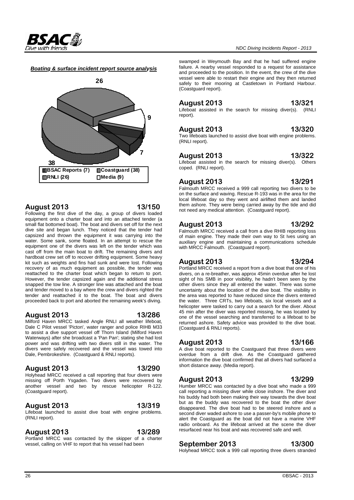

#### *Boating & surface incident report source analysis*



#### **August 2013 13/150**

Following the first dive of the day, a group of divers loaded equipment onto a charter boat and into an attached tender (a small flat bottomed boat). The boat and divers set off for the next dive site and began lunch. They noticed that the tender had capsized and thrown the equipment it was carrying into the water. Some sank, some floated. In an attempt to rescue the equipment one of the divers was left on the tender which was cast off from the main boat to drift. The remaining divers and hardboat crew set off to recover drifting equipment. Some heavy kit such as weights and fins had sunk and were lost. Following recovery of as much equipment as possible, the tender was reattached to the charter boat which began to return to port. However, the tender capsized again and the additional stress snapped the tow line. A stronger line was attached and the boat and tender moved to a bay where the crew and divers righted the tender and reattached it to the boat. The boat and divers proceeded back to port and aborted the remaining week's diving.

#### **August 2013 13/286**

Milford Haven MRCC tasked Angle RNLI all weather lifeboat, Dale C Pilot vessel 'Picton', water ranger and police RIHB M33 to assist a dive support vessel off Thorn Island (Milford Haven Waterways) after she broadcast a 'Pan Pan'; stating she had lost power and was drifting with two divers still in the water. The divers were safely recovered and the vessel was towed into Dale, Pembrokeshire. (Coastguard & RNLI reports).

#### **August 2013 13/290**

Holyhead MRCC received a call reporting that four divers were missing off Porth Ysgaden. Two divers were recovered by another vessel and two by rescue helicopter R-122. (Coastguard report).

#### **August 2013 13/319**

Lifeboat launched to assist dive boat with engine problems. (RNLI report).

#### **August 2013 13/289**

Portland MRCC was contacted by the skipper of a charter vessel, calling on VHF to report that his vessel had been

swamped in Weymouth Bay and that he had suffered engine failure. A nearby vessel responded to a request for assistance and proceeded to the position. In the event, the crew of the dive vessel were able to restart their engine and they then returned safely to their mooring at Castletown in Portland Harbour. (Coastguard report).

# **August 2013 13/321**

Lifeboat assisted in the search for missing diver(s). (RNLI report).

### **August 2013 13/320**

Two lifeboats launched to assist dive boat with engine problems. (RNLI report).

#### **August 2013 13/322**

Lifeboat assisted in the search for missing diver(s). Others coped. (RNLI report).

#### **August 2013 13/291**

Falmouth MRCC received a 999 call reporting two divers to be on the surface and waving. Rescue R-193 was in the area for the local lifeboat day so they went and airlifted them and landed them ashore. They were being carried away by the tide and did not need any medical attention. (Coastguard report).

### **August 2013 13/292**

Falmouth MRCC received a call from a dive RHIB reporting loss of main engine. They made their own way to St Ives using an auxiliary engine and maintaining a communications schedule with MRCC Falmouth. (Coastguard report).

#### **August 2013 13/294**

Portland MRCC received a report from a dive boat that one of his divers, on a re-breather, was approx 45min overdue after he lost sight of his SMB in poor visibility, he hadn't been seen by the other divers since they all entered the water. There was some uncertainty about the location of the dive boat. The visibility in the area was reported to have reduced since the divers entered the water. Three CRTs, two lifeboats, six local vessels and a helicopter were tasked to carry out a search for the diver. About 45 min after the diver was reported missing, he was located by one of the vessel searching and transferred to a lifeboat to be returned ashore. Safety advice was provided to the dive boat. (Coastguard & RNLI reports).

### **August 2013 13/166**

A dive boat reported to the Coastguard that three divers were overdue from a drift dive. As the Coastguard gathered information the dive boat confirmed that all divers had surfaced a short distance away. (Media report).

### **August 2013 13/299**

Humber MRCC was contacted by a dive boat who made a 999 call reporting a missing diver while close inshore. The diver and his buddy had both been making their way towards the dive boat but as the buddy was recovered to the boat the other diver disappeared. The dive boat had to be steered inshore and a second diver waded ashore to use a passer-by's mobile phone to alert the Coastguard as the boat did not have a marine VHF radio onboard. As the lifeboat arrived at the scene the diver resurfaced near his boat and was recovered safe and well.

### **September 2013 13/300**

Holyhead MRCC took a 999 call reporting three divers stranded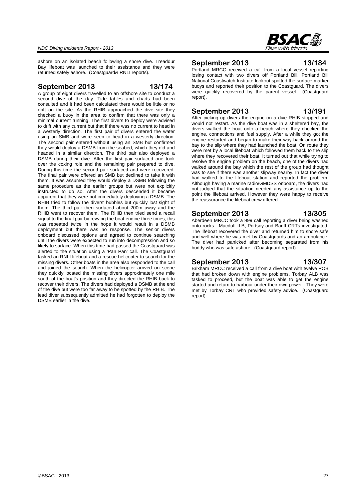

ashore on an isolated beach following a shore dive. Treaddur Bay lifeboat was launched to their assistance and they were returned safely ashore. (Coastguard& RNLI reports).

### **September 2013 13/174**

A group of eight divers travelled to an offshore site to conduct a second dive of the day. Tide tables and charts had been consulted and it had been calculated there would be little or no drift on the site. As the RHIB approached the dive site they checked a buoy in the area to confirm that there was only a minimal current running. The first divers to deploy were advised to drift with any current but that if there was no current to head in a westerly direction. The first pair of divers entered the water using an SMB and were seen to head in a westerly direction. The second pair entered without using an SMB but confirmed they would deploy a DSMB from the seabed, which they did and headed in a similar direction. The third pair also deployed a DSMB during their dive. After the first pair surfaced one took over the coxing role and the remaining pair prepared to dive. During this time the second pair surfaced and were recovered. The final pair were offered an SMB but declined to take it with them. It was assumed they would deploy a DSMB following the same procedure as the earlier groups but were not explicitly instructed to do so. After the divers descended it became apparent that they were not immediately deploying a DSMB. The RHIB tried to follow the divers' bubbles but quickly lost sight of them. The third pair then surfaced about 200m away and the RHIB went to recover them. The RHIB then tried send a recall signal to the final pair by revving the boat engine three times, this was repeated twice in the hope it would result in a DSMB deployment but there was no response. The senior divers onboard discussed options and agreed to continue searching until the divers were expected to run into decompression and so likely to surface. When this time had passed the Coastguard was alerted to the situation using a 'Pan Pan' call. The Coastguard tasked an RNLI lifeboat and a rescue helicopter to search for the missing divers. Other boats in the area also responded to the call and joined the search. When the helicopter arrived on scene they quickly located the missing divers approximately one mile south of the boat's position and they directed the RHIB back to recover their divers. The divers had deployed a DSMB at the end of the dive but were too far away to be spotted by the RHIB. The lead diver subsequently admitted he had forgotten to deploy the DSMB earlier in the dive.

### **September 2013 13/184**

Portland MRCC received a call from a local vessel reporting losing contact with two divers off Portland Bill. Portland Bill National Coastwatch Institute lookout spotted the surface marker buoys and reported their position to the Coastguard. The divers were quickly recovered by the parent vessel (Coastguard report).

### **September 2013 13/191**

After picking up divers the engine on a dive RHIB stopped and would not restart. As the dive boat was in a sheltered bay, the divers walked the boat onto a beach where they checked the engine, connections and fuel supply. After a while they got the engine restarted and began to make their way back around the bay to the slip where they had launched the boat. On route they were met by a local lifeboat which followed them back to the slip where they recovered their boat. It turned out that while trying to resolve the engine problem on the beach, one of the divers had walked around the bay which the rest of the group had thought was to see if there was another slipway nearby. In fact the diver had walked to the lifeboat station and reported the problem. Although having a marine radio/GMDSS onboard, the divers had not judged that the situation needed any assistance up to the point the lifeboat arrived. However they were happy to receive the reassurance the lifeboat crew offered.

### **September 2013 13/305**

Aberdeen MRCC took a 999 call reporting a diver being washed onto rocks. Macduff ILB, Portsoy and Banff CRTs investigated. The lifeboat recovered the diver and returned him to shore safe and well where he was met by Coastguards and an ambulance. The diver had panicked after becoming separated from his buddy who was safe ashore. (Coastguard report).

### **September 2013 13/307**

Brixham MRCC received a call from a dive boat with twelve POB that had broken down with engine problems. Torbay ALB was tasked to proceed, but the boat was able to get the engine started and return to harbour under their own power. They were met by Torbay CRT who provided safety advice. (Coastguard report).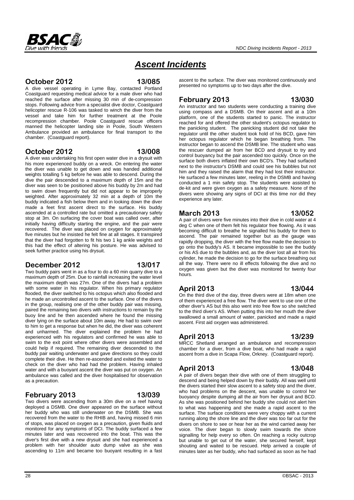

# *Ascent Incidents*

#### **October 2012 13/085**

A dive vessel operating in Lyme Bay, contacted Portland Coastguard requesting medical advice for a male diver who had reached the surface after missing 30 min of de-compression stops. Following advice from a specialist dive doctor, Coastguard helicopter rescue R-106 was tasked to winch the diver from the vessel and take him for further treatment at the Poole recompression chamber. Poole Coastguard rescue officers manned the helicopter landing site in Poole, South Western Ambulance provided an ambulance for final transport to the chamber. (Coastguard report).

### **October 2012 13/008**

A diver was undertaking his first open water dive in a drysuit with his more experienced buddy on a wreck. On entering the water the diver was unable to get down and was handed additional weights totalling 5 kg before he was able to descend. During the dive the pair descended to a maximum depth of 15m and the diver was seen to be positioned above his buddy by 2m and had to swim down frequently but did not appear to be improperly weighted. After approximately 32 min at a depth of 10m the buddy indicated a fish below them and in looking down the diver made a feet first ascent direct to the surface. His buddy ascended at a controlled rate but omitted a precautionary safety stop at 3m. On surfacing the cover boat was called over, after initially having difficulty starting the engine, and the pair were recovered. The diver was placed on oxygen for approximately five minutes but he insisted he felt fine at all stages. It transpired that the diver had forgotten to fit his two 1 kg ankle weights and this had the effect of altering his posture. He was advised to seek further practice using his drysuit.

### **December 2012 13/017**

Two buddy pairs went in as a four to do a 60 min quarry dive to a maximum depth of 25m. Due to rainfall increasing the water level the maximum depth was 27m. One of the divers had a problem with some water in his regulator. When his primary regulator flooded, the diver switched to his octopus which also flooded and he made an uncontrolled ascent to the surface. One of the divers in the group, realising one of the other buddy pair was missing, paired the remaining two divers with instructions to remain by the buoy line and he then ascended where he found the missing diver lying on the surface about 10m away. He had to swim over to him to get a response but when he did, the diver was coherent and unharmed. The diver explained the problem he had experienced with his regulators and confirmed he was able to swim to the exit point where other divers were assembled and could help if required. The remaining diver descended to the buddy pair waiting underwater and gave directions so they could complete their dive. He then re-ascended and exited the water to check on the diver who had had the problem. Having inhaled water and with a buoyant ascent the diver was put on oxygen. An ambulance was called and the diver hospitalised for observation as a precaution.

### **February 2013 13/039**

#### Two divers were ascending from a 30m dive on a reef having deployed a DSMB. One diver appeared on the surface without her buddy who was still underwater on the DSMB. She was recovered from the water to the RHIB and, having missed 6 min of stops, was placed on oxygen as a precaution, given fluids and monitored for any symptoms of DCI. The buddy surfaced a few minutes later and was recovered into the boat. This was the diver's first dive with a new drysuit and she had experienced a problem with her shoulder auto dump valve as she was ascending to 11m and became too buoyant resulting in a fast

ascent to the surface. The diver was monitored continuously and presented no symptoms up to two days after the dive.

# **February 2013 13/030**

An instructor and two students were conducting a training dive using compass and a DSMB. On their ascent and at a 10m platform, one of the students started to panic. The instructor reached for and offered the other student's octopus regulator to the panicking student. The panicking student did not take the regulator until the other student took hold of his BCD, gave him her octopus regulator which he began breathing from. The instructor began to ascend the DSMB line. The student who was the rescuer dumped air from her BCD and drysuit to try and control buoyancy but the pair ascended too quickly. Once on the surface both divers inflated their own BCD's. They had surfaced next to the instructor's DSMB and could see his bubbles but not him and they raised the alarm that they had lost their instructor. He surfaced a few minutes later, reeling in the DSMB and having conducted a 1 min safety stop. The students were assisted to de-kit and were given oxygen as a safety measure. None of the divers were showing any signs of DCI at this time nor did they experience any later.

# **March 2013 13/052**

A pair of divers were five minutes into their dive in cold water at 4 deg C when one of them felt his regulator free flowing. As it was becoming difficult to breathe he signalled his buddy for them to ascend. The pair remained together but as the gauge was rapidly dropping, the diver with the free flow made the decision to go onto the buddy's AS. It became impossible to see the buddy or his AS due to the bubbles and, as the diver lost all air from his cylinder, he made the decision to go for the surface breathing out all the way. There were no ill effects following the dive and no oxygen was given but the diver was monitored for twenty four hours.

### **April 2013 13/044**

On the third dive of the day, three divers were at 18m when one of them experienced a free flow. The diver went to use one of the other diver's AS but this also went into free flow so she switched to the third diver's AS. When putting this into her mouth the diver swallowed a small amount of water, panicked and made a rapid ascent. First aid oxygen was administered.

# **April 2013 13/239**

MRCC Shetland arranged an ambulance and recompression chamber for a diver, from a dive boat, who had made a rapid ascent from a dive in Scapa Flow, Orkney. (Coastguard report).

# **April 2013 13/048**

A pair of divers began their dive with one of them struggling to descend and being helped down by their buddy. All was well until the divers started their slow ascent to a safety stop and the diver, who had problems on the descent, was unable to control her buoyancy despite dumping all the air from her drysuit and BCD. As she was positioned behind her buddy she could not alert him to what was happening and she made a rapid ascent to the surface. The surface conditions were very choppy with a current running along the shore line and the diver was too far out for the divers on shore to see or hear her as the wind carried away her voice. The diver began to slowly swim towards the shore signalling for help every so often. On reaching a rocky outcrop but unable to get out of the water, she secured herself, kept shouting and waited to be rescued. Help arrived a couple of minutes later as her buddy, who had surfaced as soon as he had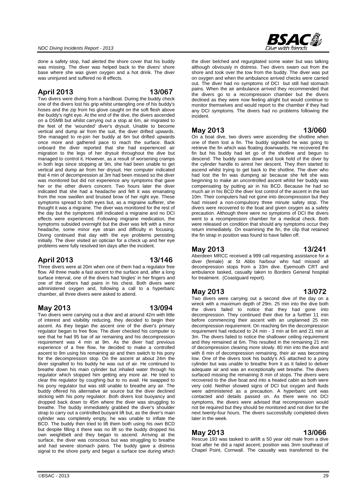

done a safety stop, had alerted the shore cover that his buddy was missing. The diver was helped back to the divers' shore base where she was given oxygen and a hot drink. The diver was uninjured and suffered no ill effects.

### **April 2013 13/067**

Two divers were diving from a hardboat. During the buddy check one of the divers lost his grip whilst untangling one of his buddy's hoses and the zip from his glove caught on the soft flesh above the buddy's right eye. At the end of the dive, the divers ascended on a DSMB but whilst carrying out a stop at 6m, air migrated to the feet of the 'wounded' diver's drysuit. Unable to become vertical and dump air from the suit, the diver drifted upwards. She managed to re-join her buddy at 6m but drifted upwards once more and gathered pace to reach the surface. Back onboard the diver reported that she had experienced air migration to the legs of her drysuit throughout the dive but managed to control it. However, as a result of worsening cramps in both legs since stopping at 9m, she had been unable to get vertical and dump air from her drysuit. Her computer indicated that 4 min of decompression at 3m had been missed so the diver was monitored but did not experience any symptoms that gave her or the other divers concern. Two hours later the diver indicated that she had a headache and felt it was emanating from the now swollen and bruised brow of her right eye. These symptoms spread to both eyes but, as a migraine sufferer, she thought it was a migraine. The diver was monitored for the rest of the day but the symptoms still indicated a migraine and no DCI effects were experienced. Following migraine medication, the symptoms subsided overnight but the diver was left with a minor headache, some minor eye strain and difficulty in focusing. Diving continued that day with the eye problems persisting initially. The diver visited an optician for a check up and her eye problems were fully resolved ten days after the incident.

### **April 2013 13/146**

Three divers were at 20m when one of them had a regulator free flow. All three made a fast ascent to the surface and, after a long surface interval, one of the divers had 'tingles' in her fingers and one of the others had pains in his chest. Both divers were administered oxygen and, following a call to a hyperbaric chamber, all three divers were asked to attend.

# **May 2013 13/094**

Two divers were carrying out a dive and at around 42m with little of interest and visibility reducing, they decided to begin their ascent. As they began the ascent one of the diver's primary regulator began to free flow. The diver checked his computer to see that he had 95 bar of air remaining and his decompression requirement was 4 min at 9m. As the diver had previous experience of a free flow, he decided to make a controlled ascent to 9m using his remaining air and then switch to his pony for the decompression stop. On the ascent at about 24m the diver signalled to his buddy he was out of air. He continued to breathe down his main cylinder but inhaled water through his regulator which stopped him getting any more air. He tried to clear the regulator by coughing but to no avail. He swapped to his pony regulator but was still unable to breathe any air. The buddy offered his alternative air source but the diver declined sticking with his pony regulator. Both divers lost buoyancy and dropped back down to 45m where the diver was struggling to breathe. The buddy immediately grabbed the diver's shoulder strap to carry out a controlled buoyant lift but, as the diver's main cylinder was completely empty, he was unable to inflate the BCD. The buddy then tried to lift them both using his own BCD but despite filling it there was no lift so the buddy dropped his own weightbelt and they began to ascend. Arriving at the surface, the diver was conscious but was struggling to breathe and had severe stomach pains. The buddy gave a distress signal to the shore party and began a surface tow during which

the diver belched and regurgitated some water but was talking although obviously in distress. Two divers swam out from the shore and took over the tow from the buddy. The diver was put on oxygen and when the ambulance arrived checks were carried out. The diver had no symptoms of DCI but still had stomach pains. When the air ambulance arrived they recommended that the divers go to a recompression chamber but the divers declined as they were now feeling alright but would continue to monitor themselves and would report to the chamber if they had any DCI symptoms. The divers had no problems following the incident.

### **May 2013 13/060**

On a boat dive, two divers were ascending the shotline when one of them lost a fin. The buddy signalled he was going to retrieve the fin which was floating downwards. He recovered the fin but his buddy had let go of the shotline and begun to descend. The buddy swam down and took hold of the diver by the cylinder handle to arrest her descent. They then started to ascend whilst trying to get back to the shotline. The diver who had lost the fin was dumping air because she felt she was beginning to make an uncontrolled ascent whilst her buddy was compensating by putting air in his BCD. Because he had so much air in his BCD the diver lost control of the ascent in the last 10m. Their computers had not gone into decompression but they had missed a non-compulsory three minute safety stop. The divers were recovered to the boat and given oxygen as a safety precaution. Although there were no symptoms of DCI the divers went to a recompression chamber for a medical check. Both were released on condition that should any symptoms occur they return immediately. On examining the fin, the clip that retained the fin strap in position was found to have fallen off.

#### **May 2013 13/241**

Aberdeen MRCC received a 999 call requesting assistance for a diver (female) at St Abbs harbour who had missed all decompression stops from a 33m dive. Eyemouth CRT and ambulance tasked, casualty taken to Borders General hospital for treatment. (Coastguard report).

### **May 2013 13/072**

Two divers were carrying out a second dive of the day on a wreck with a maximum depth of 29m. 25 min into the dive both the divers failed to notice that they had gone into decompression. They continued their dive for a further 11 min before commencing their ascent with an unplanned 25 min decompression requirement. On reaching 6m the decompression requirement had reduced to 24 min - 3 min at 6m and 21 min at 3m. The divers failed to notice the shallower ceiling requirement and they remained at 6m. This resulted in the remaining 21 min of decompression clearing more slowly. 80 min into the dive and with 8 min of decompression remaining, their air was becoming low. One of the divers took his buddy's AS attached to a pony cylinder but was unable to breathe from it as it failed to deliver adequate air and was an exceptionally wet breathe. The divers surfaced missing the remaining 8 min of stops. The divers were recovered to the dive boat and into a heated cabin as both were very cold. Neither showed signs of DCI but oxygen and fluids were administered as a precaution. A hyperbaric unit was contacted and details passed on. As there were no DCI symptoms, the divers were advised that recompression would not be required but they should be monitored and not dive for the next twenty-four hours. The divers successfully completed dives later in the week.

### **May 2013 13/066**

Rescue 193 was tasked to airlift a 50 year old male from a dive boat after he did a rapid ascent; position was 3nm southeast of Chapel Point, Cornwall. The casualty was transferred to the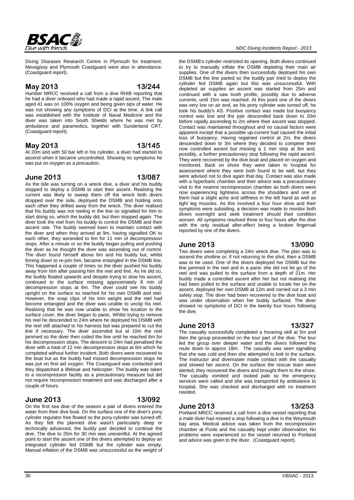#### *NDC Diving Incidents Report - 2013*

the DSMB's cylinder restricted its opening. Both divers continued to try to manually inflate the DSMB depleting their main air supplies. One of the divers then successfully deployed his own DSMB but the line parted so the buddy pair tried to deploy the cylinder fed DSMB again but this was unsuccessful. With depleted air supplies an ascent was started from 25m and continued with a saw tooth profile, possibly due to adverse currents, until 15m was reached. At this point one of the divers was very low on air and, as his pony cylinder was turned off, he took his buddy's AS. Positive contact was made but buoyancy control was lost and the pair descended back down to 20m before rapidly ascending to 2m where their ascent was stopped. Contact was maintained throughout and no causal factors were apparent except that a possible up-current had caused the initial loss of buoyancy. Having regained control at 2m, the divers descended down to 3m where they decided to complete their now controlled ascent but missing a 1 min stop at 6m and, possibly, a further precautionary stop following the rapid ascent. They were recovered by the dive boat and placed on oxygen and monitored. Back on shore they were taken to hospital for assessment where they were both found to be well, but they were advised not to dive again that day. Contact was also made with a hyperbaric chamber and their advice was a precautionary visit to the nearest recompression chamber as both divers were now experiencing tightness across the shoulders and one of them had a slight ache and stiffness in the left hand as well as tight leg muscles. As this involved a four hour drive and their symptoms were subsiding, a decision was made to monitor both divers overnight and seek treatment should their condition worsen. All symptoms resolved three to four hours after the dive with the only residual after-effect being a broken fingernail reported by one of the divers.

### **June 2013 13/090**

Two divers were completing a 24m wreck dive. The plan was to ascend the shotline or, if not returning to the shot, then a DSMB was to be used. One of the divers deployed her DSMB but the line jammed in the reel and in a panic she did not let go of the reel and was pulled to the surface from a depth of 21m. Her buddy made a controlled ascent after her but not realising she had been pulled to the surface and unable to locate her on the ascent, deployed her own DSMB at 12m and carried out a 3 min safety stop. The diver had been recovered to the dive boat and was under observation when her buddy surfaced. The diver showed no symptoms of DCI in the twenty four hours following the dive.

#### **June 2013 13/327**

The casualty successfully completed a hovering skill at 5m and then the group proceeded on the tour part of the dive. The tour led the group over deeper water and the divers followed the route down to approx 18m. The casualty was seen signalling that she was cold and then she attempted to bolt to the surface. The instructor and divemaster made contact with the casualty and slowed her ascent. On the surface the rescue team were alerted; they recovered the divers and brought them to the shore. The casualty vomited and looked pale so the emergency services were called and she was transported by ambulance to hospital. She was checked and discharged with no treatment needed.

### **June 2013 13/253**

Portland MRCC received a call from a dive vessel reporting that a male diver had missed a stop following a dive in the Weymouth bay area. Medical advice was taken from the recompression chamber at Poole and the casualty kept under observation. No problems were experienced so the vessel returned to Portland and advice was given to the diver. (Coastguard report).

Diving Diseases Research Centre in Plymouth for treatment. Mevagissy and Plymouth Coastguard were also in attendance. (Coastguard report).

#### **May 2013 13/244**

Humber MRCC received a call from a dive RHIB reporting that he had a diver onboard who had made a rapid ascent. The male aged 41 was on 100% oxygen and being given sips of water. He was not showing any symptoms of DCI at the time. A link call was established with the Institute of Naval Medicine and the diver was taken into South Shields where he was met by ambulance and paramedics, together with Sunderland CRT. (Coastguard report).

#### **May 2013 13/145**

At 20m and with 50 bar left in his cylinder, a diver had started to ascend when it became uncontrolled. Showing no symptoms he was put on oxygen as a precaution.

#### **June 2013 13/087**

As the tide was turning on a wreck dive, a diver and his buddy stopped to deploy a DSMB to start their ascent. Realising the current was likely to sweep them off the wreck both divers dropped over the side, deployed the DSMB and holding onto each other they drifted away from the wreck. The diver realised that his buddy was not reeling in the line so signalled for him to start doing so, which the buddy did, but then stopped again. The diver took the reel from his buddy to control the DSMB and their ascent rate. The buddy seemed keen to maintain contact with the diver and when they arrived at 9m, having signalled OK to each other, they ascended to 6m for 11 min of decompression stops. After a minute or so the buddy began pulling and pushing the diver as he thought the diver was ascending out of control. The diver found himself above 6m and his buddy but, whilst finning down to re-join him, became entangled in the DSMB line. This happened a couple of times so the diver pushed his buddy away from him after passing him the reel and line. As he did so, the buddy floated upwards and despite trying to slow his ascent, continued to the surface missing approximately 8 min of decompression stops at 6m. The diver could see his buddy upright on the surface so reached for his own DSMB and reel. However, the snap clips of his trim weight and the reel had become entangled and the diver was unable to unclip his reel. Realising that he was now unable to show his location to the surface cover, the diver began to panic. Whilst trying to remove his reel he descended to 24m where he deployed his DSMB with the reel still attached to his harness but was prepared to cut the line if necessary. The diver ascended but at 10m the reel jammed so the diver then coiled the line until he reached 6m for his decompression stops. The descent to 24m had penalised the diver with a total of 12 min decompression stops at 6m which he completed without further incident. Both divers were recovered to the boat but as the buddy had missed decompression stops he was put on first aid oxygen. The Coastguard was contacted and they dispatched a lifeboat and helicopter. The buddy was taken to a recompression facility as a precautionary measure but did not require recompression treatment and was discharged after a couple of hours.

### **June 2013 13/092**

On the first sea dive of the season a pair of divers entered the water from their dive boat. On the surface one of the diver's pony cylinder regulator free flowed so the pony cylinder was turned off. As they felt the planned dive wasn't particularly deep or technically advanced, the buddy pair decided to continue the dive. The dive to 25m for 30 min was uneventful. At the agreed point to start the ascent one of the divers attempted to deploy an integrated cylinder fed DSMB but the cylinder was empty. Manual inflation of the DSMB was unsuccessful as the weight of

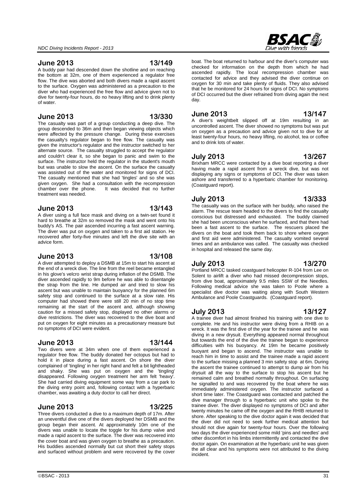#### **June 2013 13/149**

A buddy pair had descended down the shotline and on reaching the bottom at 32m, one of them experienced a regulator free flow. The dive was aborted and both divers made a rapid ascent to the surface. Oxygen was administered as a precaution to the diver who had experienced the free flow and advice given not to dive for twenty-four hours, do no heavy lifting and to drink plenty of water.

#### **June 2013 13/330**

The casualty was part of a group conducting a deep dive. The group descended to 36m and then began viewing objects which were affected by the pressure change. During these exercises the casualty's regulator began to free flow. The casualty was given the instructor's regulator and the instructor switched to her alternate source. The casualty struggled to accept the regulator and couldn't clear it, so she began to panic and swim to the surface. The instructor held the regulator in the student's mouth but was unable to slow the ascent. On the surface the casualty was assisted out of the water and monitored for signs of DCI. The casualty mentioned that she had 'tingles' and so she was given oxygen. She had a consultation with the recompression chamber over the phone. It was decided that no further It was decided that no further treatment was needed.

#### **June 2013 13/143**

A diver using a full face mask and diving on a twin-set found it hard to breathe at 32m so removed the mask and went onto his buddy's AS. The pair ascended incurring a fast ascent warning. The diver was put on oxygen and taken to a first aid station. He recovered after forty-five minutes and left the dive site with an advice form.

#### **June 2013 13/108**

A diver attempted to deploy a DSMB at 15m to start his ascent at the end of a wreck dive. The line from the reel became entangled in his glove's velcro wrist strap during inflation of the DSMB. The diver ascended rapidly to 9m before he was able to disentangle the strap from the line. He dumped air and tried to slow his ascent but was unable to maintain buoyancy for the planned 6m safety stop and continued to the surface at a slow rate. His computer had showed there were still 20 min of no stop time remaining at the start of the ascent and, although showing caution for a missed safety stop, displayed no other alarms or dive restrictions. The diver was recovered to the dive boat and put on oxygen for eight minutes as a precautionary measure but no symptoms of DCI were evident.

#### **June 2013 13/144**

Two divers were at 34m when one of them experienced a regulator free flow. The buddy donated her octopus but had to hold it in place during a fast ascent. On shore the diver complained of 'tingling' in her right hand and felt a bit lightheaded and shaky. She was put on oxygen and the 'tingling' disappeared. Following oxygen treatment her arm felt 'heavy'. She had carried diving equipment some way from a car park to the diving entry point and, following contact with a hyperbaric chamber, was awaiting a duty doctor to call her direct.

#### **June 2013 13/225**

Three divers conducted a dive to a maximum depth of 17m. After an uneventful dive one of the divers deployed her DSMB and the group began their ascent. At approximately 10m one of the divers was unable to locate the toggle for his dump valve and made a rapid ascent to the surface. The diver was recovered into the cover boat and was given oxygen to breathe as a precaution. His buddies ascended normally but cut short their safety stops and surfaced without problem and were recovered by the cover



boat. The boat returned to harbour and the diver's computer was checked for information on the depth from which he had ascended rapidly. The local recompression chamber was contacted for advice and they advised the diver continue on oxygen for 30 min and take plenty of fluids. They also advised that he be monitored for 24 hours for signs of DCI. No symptoms of DCI occurred but the diver refrained from diving again the next day.

#### **June 2013 13/147**

A diver's weightbelt slipped off at 19m resulting in an uncontrolled ascent. The diver showed no symptoms but was put on oxygen as a precaution and advice given not to dive for at least twenty-four hours, no heavy lifting, no alcohol, tea or coffee and to drink lots of water.

#### **July 2013 13/267**

Brixham MRCC were contacted by a dive boat reporting a diver having made a rapid ascent from a wreck dive, but was not displaying any signs or symptoms of DCI. The diver was taken ashore and transferred to a hyperbaric chamber for monitoring. (Coastguard report).

### **July 2013 13/333**

The casualty was on the surface with her buddy, who raised the alarm. The rescue team headed to the divers to find the casualty conscious but distressed and exhausted. The buddy claimed she had been unconscious when he surfaced, and that there had been a fast ascent to the surface. The rescuers placed the divers on the boat and took them back to shore where oxygen and first aid were administered. The casualty vomited several times and an ambulance was called. The casualty was checked in hospital and released the same day.

#### **July 2013 13/270**

Portland MRCC tasked coastguard helicopter R-104 from Lee on Solent to airlift a diver who had missed decompression stops, from dive boat, approximately 9.5 miles SSW of the Needles. Following medical advice she was taken to Poole where a specialist dive doctor was waiting along with South Western Ambulance and Poole Coastguards. (Coastguard report).

#### **July 2013 13/127**

A trainee diver had almost finished his training with one dive to complete. He and his instructor were diving from a RHIB on a wreck. It was the first dive of the year for the trainee and he was diving in a new drysuit. Everything appeared normal throughout but towards the end of the dive the trainee began to experience difficulties with his buoyancy. At 19m he became positively buoyant and began to ascend. The instructor was unable to reach him in time to assist and the trainee made a rapid ascent to the surface missing a planned 3 min safety stop at 6m. During the ascent the trainee continued to attempt to dump air from his drysuit all the way to the surface to stop his ascent but he remained calm and breathed normally throughout. On surfacing he signalled to and was recovered by the boat where he was immediately administered oxygen. The instructor surfaced a short time later. The Coastguard was contacted and patched the dive manager through to a hyperbaric unit who spoke to the trainee diver. The diver displayed no symptoms of DCI and after twenty minutes he came off the oxygen and the RHIB returned to shore. After speaking to the dive doctor again it was decided that the diver did not need to seek further medical attention but should not dive again for twenty-four hours. Over the following two days the diver experienced some mild 'pins and needles' and other discomfort in his limbs intermittently and contacted the dive doctor again. On examination at the hyperbaric unit he was given the all clear and his symptoms were not attributed to the diving incident.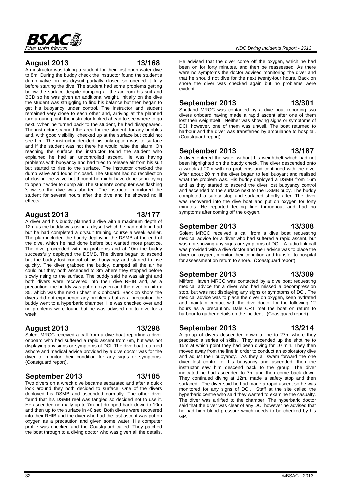

#### **August 2013 13/168**

An instructor was taking a student for their first open water dive to 8m. During the buddy check the instructor found the student's dump valve on his drysuit partially closed so opened it fully before starting the dive. The student had some problems getting below the surface despite dumping all the air from his suit and BCD so he was given an additional weight. Initially on the dive the student was struggling to find his balance but then began to get his buoyancy under control. The instructor and student remained very close to each other and, arriving at the planned turn around point, the instructor looked ahead to see where to go next. When he turned back to the student, he had disappeared. The instructor scanned the area for the student, for any bubbles and, with good visibility, checked up at the surface but could not see him. The instructor decided his only option was to surface and if the student was not there he would raise the alarm. On reaching the surface the instructor found the student who explained he had an uncontrolled ascent. He was having problems with buoyancy and had tried to release air from his suit but started to rise to the surface. The instructor checked the dump valve and found it closed. The student had no recollection of closing the valve but thought he might have done so in trying to open it wider to dump air. The student's computer was flashing 'slow' so the dive was aborted. The instructor monitored the student for several hours after the dive and he showed no ill effects.

### **August 2013 13/177**

A diver and his buddy planned a dive with a maximum depth of 12m as the buddy was using a drysuit which he had not long had but he had completed a drysuit training course a week earlier. The plan included the buddy deploying the DSMB at the end of the dive, which he had done before but wanted more practice. The dive proceeded with no problems and at 10m the buddy successfully deployed the DSMB. The divers began to ascend but the buddy lost control of his buoyancy and started to rise quickly. The diver grabbed the buddy, dumped all the air he could but they both ascended to 3m where they stopped before slowly rising to the surface. The buddy said he was alright and both divers were recovered into their dive RHIB and, as a precaution, the buddy was put on oxygen and the diver on nitrox 35, which was the next richest mix onboard. Back on shore the divers did not experience any problems but as a precaution the buddy went to a hyperbaric chamber. He was checked over and no problems were found but he was advised not to dive for a week.

# **August 2013 13/298**

Solent MRCC received a call from a dive boat reporting a diver onboard who had suffered a rapid ascent from 6m, but was not displaying any signs or symptoms of DCI. The dive boat returned ashore and medical advice provided by a dive doctor was for the diver to monitor their condition for any signs or symptoms. (Coastguard report).

### **September 2013 13/185**

GP.

Two divers on a wreck dive became separated and after a quick look around they both decided to surface. One of the divers deployed his DSMB and ascended normally. The other diver found that his DSMB reel was tangled so decided not to use it. He ascended normally up to 7m but dropped back down to 10m and then up to the surface in 40 sec. Both divers were recovered into their RHIB and the diver who had the fast ascent was put on oxygen as a precaution and given some water. His computer profile was checked and the Coastguard called. They patched the boat through to a diving doctor who was given all the details.

He advised that the diver come off the oxygen, which he had been on for forty minutes, and then be reassessed. As there were no symptoms the doctor advised monitoring the diver and that he should not dive for the next twenty-four hours. Back on shore the diver was checked again but no problems were evident.

## **September 2013 13/301**

Shetland MRCC was contacted by a dive boat reporting two divers onboard having made a rapid ascent after one of them lost their weightbelt. Neither was showing signs or symptoms of DCI, however, one of them was unwell. The boat returned to harbour and the diver was transferred by ambulance to hospital. (Coastguard report).

# **September 2013 13/187**

A diver entered the water without his weightbelt which had not been highlighted on the buddy check. The diver descended onto a wreck at 20m with no problems and continued with the dive. After about 20 min the diver began to feel buoyant and realised what the problem was. His buddy deployed a DSMB from 16m and as they started to ascend the diver lost buoyancy control and ascended to the surface next to the DSMB buoy. The buddy completed a safety stop and surfaced shortly after. The diver was recovered into the dive boat and put on oxygen for forty minutes. He reported feeling fine throughout and had no symptoms after coming off the oxygen.

# **September 2013 13/308**

Solent MRCC received a call from a dive boat requesting medical advice for a diver who had suffered a rapid ascent, but was not showing any signs or symptoms of DCI. A radio link call was provided with a dive doctor and their advice was to place the diver on oxygen, monitor their condition and transfer to hospital for assessment on return to shore. (Coastguard report).

### **September 2013 13/309**

Milford Haven MRCC was contacted by a dive boat requesting medical advice for a diver who had missed a decompression stop, but was not displaying any signs or symptoms of DCI. The medical advice was to place the diver on oxygen, keep hydrated and maintain contact with the dive doctor for the following 12 hours as a precaution. Dale CRT met the boat on return to harbour to gather details on the incident. (Coastguard report).

**September 2013 13/214** A group of divers descended down a line to 27m where they practised a series of skills. They ascended up the shotline to 15m at which point they had been diving for 10 min. They then moved away from the line in order to conduct an exploratory dive and adjust their buoyancy. As they all swam forward the one diver lost control of his buoyancy and ascended, then the instructor saw him descend back to the group. The diver indicated he had ascended to 7m and then come back down. They continued diving at 12m, made a safety stop and then surfaced. The diver said he had made a rapid ascent so he was monitored for any signs of DCI. Staff at the site called the hyperbaric centre who said they wanted to examine the casualty. The diver was airlifted to the chamber. The hyperbaric doctor said that the diver was clear of any DCI however he advised that

he had high blood pressure which needs to be checked by his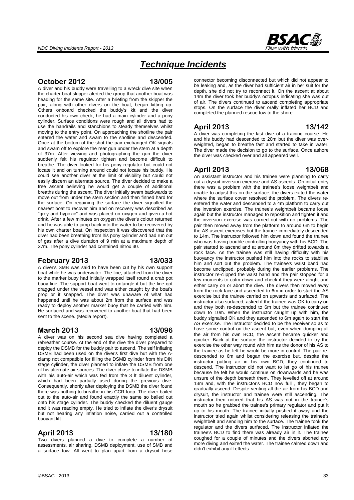

# *Technique Incidents*

#### **October 2012 13/005**

A diver and his buddy were travelling to a wreck dive site when the charter boat skipper alerted the group that another boat was heading for the same site. After a briefing from the skipper the pair, along with other divers on the boat, began kitting up. Others onboard checked the buddy's kit and the diver conducted his own check, he had a main cylinder and a pony cylinder. Surface conditions were rough and all divers had to use the handrails and stanchions to steady themselves whilst moving to the entry point. On approaching the shotline the pair entered the water and swam to the shotline and descended. Once at the bottom of the shot the pair exchanged OK signals and swam off to explore the rear gun under the stern at a depth of 37m. After viewing and photographing the gun the diver suddenly felt his regulator tighten and become difficult to breathe. The diver looked for his pony regulator but could not locate it and on turning around could not locate his buddy. He could see another diver at the limit of visibility but could not easily discern an alternate source. The diver decided to make a free ascent believing he would get a couple of additional breaths during the ascent. The diver initially swam backwards to move out from under the stern section and then finned hard for the surface. On regaining the surface the diver signalled the nearest boat to recover him and on recovery was described as "grey and hypoxic" and was placed on oxygen and given a hot drink. After a few minutes on oxygen the diver's colour returned and he was able to jump back into the water to be recovered by his own charter boat. On inspection it was discovered that the diver had been breathing from his pony cylinder and had run out of gas after a dive duration of 9 min at a maximum depth of 37m. The pony cylinder had contained nitrox 30.

### **February 2013 13/033**

A diver's SMB was said to have been cut by his own support boat while he was underwater. The line, attached from the diver to the marker buoy had initially wrapped itself round a crab pot buoy line. The support boat went to untangle it but the line got dragged under the vessel and was either caught by the boat's prop or it snapped. The diver was unaware of what had happened until he was about 2m from the surface and was ready to deploy another marker buoy that he carried with him. He surfaced and was recovered to another boat that had been sent to the scene. (Media report).

### **March 2013 13/096**

A diver was on his second sea dive having completed a rebreather course. At the end of the dive the diver prepared to deploy the DSMB for the buddy pair to ascend. The self inflating DSMB had been used on the diver's first dive but with the Aclamp not compatible for filling the DSMB cylinder from his DIN stage cylinder, the diver planned to inflate the DSMB from one of his alternate air sources. The diver chose to inflate the DSMB with his auto-air which was fed from the 3 It diluent cylinder. which had been partially used during the previous dive. Consequently, shortly after deploying the DSMB the diver found there was nothing to breathe in his CCR loop. The diver bailed out to the auto-air and found exactly the same so bailed out onto his stage cylinder. The buddy checked the diluent gauge and it was reading empty. He tried to inflate the diver's drysuit but not hearing any inflation noise, carried out a controlled buoyant lift.

### **April 2013 13/180**

Two divers planned a dive to complete a number of assessments, air sharing, DSMB deployment, use of SMB and a surface tow. All went to plan apart from a drysuit hose connector becoming disconnected but which did not appear to be leaking and, as the diver had sufficient air in her suit for the depth, she did not try to reconnect it. On the ascent at about 14m the diver took her buddy's octopus indicating she was out of air. The divers continued to ascend completing appropriate stops. On the surface the diver orally inflated her BCD and completed the planned rescue tow to the shore.

#### **April 2013 13/142**

A diver was completing the last dive of a training course. He and his buddy had descended to 20m but the diver was overweighted, began to breathe fast and started to take in water. The diver made the decision to go to the surface. Once ashore the diver was checked over and all appeared well.

#### **April 2013 13/068**

An assistant instructor and his trainee were planning to carry out a drysuit inversion exercise and AS ascents. On initial entry there was a problem with the trainee's loose weightbelt and unable to adjust this on the surface, the divers exited the water where the surface cover resolved the problem. The divers reentered the water and descended to a 4m platform to carry out the inversion exercise. The trainee's weightbelt became loose again but the instructor managed to reposition and tighten it and the inversion exercise was carried out with no problems. The pair then moved away from the platform to around 6m to begin the AS ascent exercises but the trainee immediately descended to 14m. The instructor followed him down and found the trainee who was having trouble controlling buoyancy with his BCD. The pair started to ascend and at around 8m they drifted towards a rock face. As the trainee was still having difficulty with his buoyancy the instructor pushed him into the rocks to stabilise him and sort out the problem. The trainee's waist band had become unclipped, probably during the earlier problems. The instructor re-clipped the waist band and the pair stopped for a few moments to calm down and check if they were alright and either carry on or abort the dive. The divers then moved away from the rock face and ascended to 6m in order to start the AS exercise but the trainee carried on upwards and surfaced. The instructor also surfaced, asked if the trainee was OK to carry on and they both re-descended to 6m but the trainee continued down to 10m. When the instructor caught up with him, the buddy signalled OK and they ascended to 6m again to start the AS exercise. The instructor decided to be the receiver so as to have some control on the ascent but, even when dumping all the air from his own BCD, the ascent became quicker and quicker. Back at the surface the instructor decided to try the exercise the other way round with him as the donor of his AS to the trainee as he felt he would be more in control. The pair redescended to 6m and began the exercise but, despite the instructor putting air in his own BCD, they continued to descend. The instructor did not want to let go of his trainee because he felt he would continue on downwards and he was unsure of the depth beneath them. They levelled off at around 13m and, with the instructor's BCD now full , they began to gradually ascend. Despite venting all the air from his BCD and drysuit, the instructor and trainee were still ascending. The instructor then noticed that his AS was not in the trainee's mouth so he grabbed the trainee's primary regulator and put it up to his mouth. The trainee initially pushed it away and the instructor tried again whilst considering releasing the trainee's weightbelt and sending him to the surface. The trainee took the regulator and the divers surfaced. The instructor inflated the trainee's BCD to find there was already air in it. The trainee coughed for a couple of minutes and the divers aborted any more diving and exited the water. The trainee calmed down and didn't exhibit any ill effects.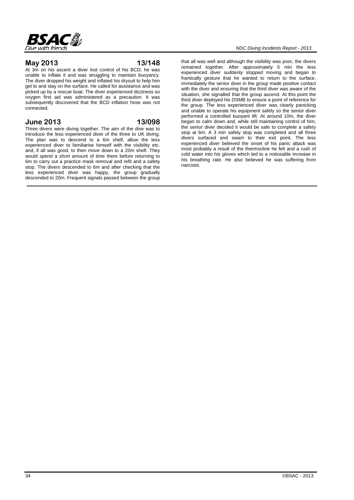

#### **May 2013 13/148**

At 3m on his ascent a diver lost control of his BCD; he was unable to inflate it and was struggling to maintain buoyancy. The diver dropped his weight and inflated his drysuit to help him get to and stay on the surface. He called for assistance and was picked up by a rescue boat. The diver experienced dizziness so oxygen first aid was administered as a precaution. It was subsequently discovered that the BCD inflation hose was not connected.

### **June 2013 13/098**

Three divers were diving together. The aim of the dive was to introduce the less experienced diver of the three to UK diving. The plan was to descend to a 6m shelf, allow the less experienced diver to familiarise himself with the visibility etc. and, if all was good, to then move down to a 20m shelf. They would spend a short amount of time there before returning to 6m to carry out a practice mask removal and refit and a safety stop. The divers descended to 6m and after checking that the less experienced diver was happy, the group gradually descended to 20m. Frequent signals passed between the group

that all was well and although the visibility was poor, the divers remained together. After approximately 5 min the less experienced diver suddenly stopped moving and began to frantically gesture that he wanted to return to the surface. Immediately the senior diver in the group made positive contact with the diver and ensuring that the third diver was aware of the situation, she signalled that the group ascend. At this point the third diver deployed his DSMB to ensure a point of reference for the group. The less experienced diver was clearly panicking and unable to operate his equipment safely so the senior diver performed a controlled buoyant lift. At around 10m, the diver began to calm down and, while still maintaining control of him, the senior diver decided it would be safe to complete a safety stop at 6m. A 3 min safety stop was completed and all three divers surfaced and swam to their exit point. The less experienced diver believed the onset of his panic attack was most probably a result of the thermocline he felt and a rush of cold water into his gloves which led to a noticeable increase in his breathing rate. He also believed he was suffering from narcosis.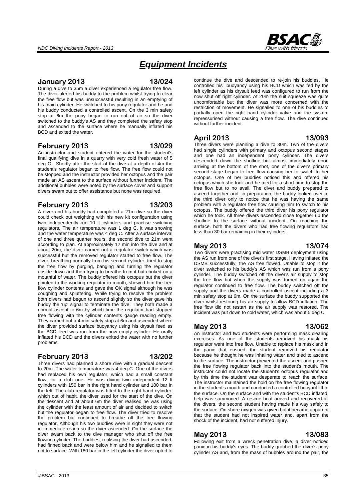

# *Equipment Incidents*

#### **January 2013 13/024**

During a dive to 35m a diver experienced a regulator free flow. The diver alerted his buddy to the problem whilst trying to clear the free flow but was unsuccessful resulting in an emptying of his main cylinder. He switched to his pony regulator and he and his buddy conducted a controlled ascent. On the 3 min safety stop at 6m the pony began to run out of air so the diver switched to the buddy's AS and they completed the safety stop and ascended to the surface where he manually inflated his BCD and exited the water.

### **February 2013 13/029**

An instructor and student entered the water for the student's final qualifying dive in a quarry with very cold fresh water of 5 deg C. Shortly after the start of the dive at a depth of 4m the student's regulator began to free flow. The free flow could not be stopped and the instructor provided her octopus and the pair made an AS ascent to the surface without further incident. The additional bubbles were noted by the surface cover and support divers swam out to offer assistance but none was required.

### **February 2013 13/203**

A diver and his buddy had completed a 21m dive so the diver could check out weighting with his new kit configuration using twin independently run 10 lt cylinders and practise switching regulators. The air temperature was 1 deg C, it was snowing and the water temperature was 4 deg C. After a surface interval of one and three quarter hours, the second dive to 21m went according to plan. At approximately 12 min into the dive and at about 20m, the diver carried out a regulator switch which was successful but the removed regulator started to free flow. The diver, breathing normally from his second cylinder, tried to stop the free flow by purging, banging and turning the regulator upside-down and then trying to breathe from it but choked on a mouthful of water. The buddy offered his octopus but the diver pointed to the working regulator in mouth, showed him the free flow cylinder contents and gave the OK signal although he was coughing and spluttering. While trying to resolve the problem both divers had begun to ascend slightly so the diver gave his buddy the 'up' signal to terminate the dive. They both made a normal ascent to 6m by which time the regulator had stopped free flowing with the cylinder contents gauge reading empty. They carried out a 4 min safety stop at 6m and ascended where the diver provided surface buoyancy using his drysuit feed as the BCD feed was run from the now empty cylinder. He orally inflated his BCD and the divers exited the water with no further problems.

### **February 2013 13/202**

Three divers had planned a shore dive with a gradual descent to 20m. The water temperature was 4 deg C. One of the divers had replaced his own regulator, which had a small constant flow, for a club one. He was diving twin independent 12 lt cylinders with 150 bar in the right hand cylinder and 180 bar in the left. The club regulator was fitted to the right hand cylinder, which out of habit, the diver used for the start of the dive. On the descent and at about 6m the diver realised he was using the cylinder with the least amount of air and decided to switch but the regulator began to free flow. The diver tried to resolve the problem but continued to breathe off the free flowing regulator. Although his two buddies were in sight they were not in immediate reach so the diver ascended. On the surface the diver swam back to the dive manager who shut off the free flowing cylinder. The buddies, realising the diver had ascended, had finned back and were below him and he signalled to them not to surface. With 180 bar in the left cylinder the diver opted to continue the dive and descended to re-join his buddies. He controlled his buoyancy using his BCD which was fed by the left cylinder as his drysuit feed was configured to run from the now shut off right cylinder. At 20m the suit squeeze was quite uncomfortable but the diver was more concerned with the restriction of movement. He signalled to one of his buddies to partially open the right hand cylinder valve and the system repressurised without causing a free flow. The dive continued without further incident.

### **April 2013 13/093**

Three divers were planning a dive to 30m. Two of the divers had single cylinders with primary and octopus second stages and one had an independent pony cylinder. The divers descended down the shotline but almost immediately upon arriving at the bottom of the shot, one of the diver's primary second stage began to free flow causing her to switch to her octopus. One of her buddies noticed this and offered his octopus which she took and he tried for a short time to stop the free flow but to no avail. The diver and buddy prepared to ascend together and, in preparation, the buddy looked over to the third diver only to notice that he was having the same problem with a regulator free flow causing him to switch to his octopus. The buddy offered the third diver his pony regulator which he took. All three divers ascended close together up the shotline to the surface without incident. On reaching the surface, both the divers who had free flowing regulators had less than 30 bar remaining in their cylinders.

### **May 2013 13/074**

### Two divers were practising mid water DSMB deployment using the AS run from one of the diver's first stage. Having inflated the DSMB successfully, the AS free flowed. Unable to stop it the diver switched to his buddy's AS which was run from a pony

cylinder. The buddy switched off the diver's air supply to stop the free flow but when the supply was turned on again the regulator continued to free flow. The buddy switched off the supply and the divers made a controlled ascent including a 3 min safety stop at 6m. On the surface the buddy supported the diver whilst restoring his air supply to allow BCD inflation. The free flow did not restart as the air supply was restored. The incident was put down to cold water, which was about 5 deg C.

### **May 2013 13/062**

An instructor and two students were performing mask clearing exercises. As one of the students removed his mask his regulator went into free flow. Unable to replace his mask and in the panic that ensued, the student removed his regulator because he thought he was inhaling water and tried to ascend to the surface. The instructor prevented the ascent and pushed the free flowing regulator back into the student's mouth. The instructor could not locate the student's octopus regulator and by this time the student was desperate to reach the surface. The instructor maintained the hold on the free flowing regulator in the student's mouth and conducted a controlled buoyant lift to the surface. On the surface and with the student's BCD inflated, help was summoned. A rescue boat arrived and recovered all the divers, the second student having made his way safely to the surface. On shore oxygen was given but it became apparent that the student had not inspired water and, apart from the shock of the incident, had not suffered injury.

### **May 2013 13/083**

Following exit from a wreck penetration dive, a diver noticed panic in his buddy's eyes. The buddy grabbed the diver's pony cylinder AS and, from the mass of bubbles around the pair, the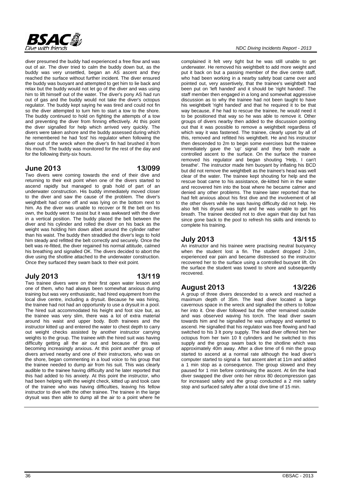

diver presumed the buddy had experienced a free flow and was out of air. The diver tried to calm the buddy down but, as the buddy was very unsettled, began an AS ascent and they reached the surface without further incident. The diver ensured the buddy was buoyant and attempted to get him to lie back and relax but the buddy would not let go of the diver and was using him to lift himself out of the water. The diver's pony AS had run out of gas and the buddy would not take the diver's octopus regulator. The buddy kept saying he was tired and could not fin so the diver attempted to turn him to start a tow to the shore. The buddy continued to hold on fighting the attempts of a tow and preventing the diver from finning effectively. At this point the diver signalled for help which arrived very quickly. The divers were taken ashore and the buddy assessed during which he remembered he had 'lost' his regulator when following the diver out of the wreck when the diver's fin had brushed it from his mouth. The buddy was monitored for the rest of the day and for the following thirty-six hours.

#### **June 2013 13/099**

Two divers were coming towards the end of their dive and returning to their exit point when one of the divers started to ascend rapidly but managed to grab hold of part of an underwater construction. His buddy immediately moved closer to the diver and saw the cause of the problem. The diver's weightbelt had come off and was lying on the bottom next to him. As the diver was unable to recover or fit the belt on his own, the buddy went to assist but it was awkward with the diver in a vertical position. The buddy placed the belt between the diver and his cylinder and rolled the diver on his back as the weight was holding him down albeit around the cylinder rather than his waist. The buddy then straddled the diver's legs to hold him steady and refitted the belt correctly and securely. Once the belt was re-fitted, the diver regained his normal attitude, calmed his breathing and signalled OK. The divers decided to abort the dive using the shotline attached to the underwater construction. Once they surfaced they swam back to their exit point.

### **July 2013 13/119**

Two trainee divers were on their first open water lesson and one of them, who had always been somewhat anxious during training but was very enthusiastic, had hired equipment from the local dive centre, including a drysuit. Because he was hiring, the trainee had not had an opportunity to use a drysuit in a pool. The hired suit accommodated his height and foot size but, as the trainee was very slim, there was a lot of extra material around his waist and upper body. Both trainees and the instructor kitted up and entered the water to chest depth to carry out weight checks assisted by another instructor carrying weights to the group. The trainee with the hired suit was having difficulty getting all the air out and because of this was becoming increasingly anxious. At this point another group of divers arrived nearby and one of their instructors, who was on the shore, began commenting in a loud voice to his group that the trainee needed to dump air from his suit. This was clearly audible to the trainee having difficulty and he later reported that this had added to his anxiety. At this point the instructor, who had been helping with the weight check, kitted up and took care of the trainee who was having difficulties, leaving his fellow instructor to dive with the other trainee. The trainee in the large drysuit was then able to dump all the air to a point where he

complained it felt very tight but he was still unable to get underwater. He removed his weightbelt to add more weight and put it back on but a passing member of the dive centre staff, who had been working in a nearby safety boat came over and pointed out, very assertively, that the trainee's weightbelt had been put on 'left handed' and it should be 'right handed'. The staff member then engaged in a long and somewhat aggressive discussion as to why the trainee had not been taught to have his weightbelt 'right handed' and that he required it to be that way because, if he had to rescue the trainee, he would need it to be positioned that way so he was able to remove it. Other groups of divers nearby then added to the discussion pointing out that it was possible to remove a weightbelt regardless of which way it was fastened. The trainee, clearly upset by all of this, removed and refitted his weightbelt. He and his instructor then descended to 2m to begin some exercises but the trainee immediately gave the 'up' signal and they both made a controlled ascent to the surface. On the surface the trainee removed his regulator and began shouting 'Help, I can't breathe'. The instructor made him buoyant by inflating his BCD but did not remove the weightbelt as the trainee's head was well clear of the water. The trainee kept shouting for help and the rescue boat came to his assistance, de-kitted him in the water and recovered him into the boat where he became calmer and denied any other problems. The trainee later reported that he had felt anxious about his first dive and the involvement of all the other divers while he was having difficulty did not help. He also felt his drysuit was tight and he was unable to get his breath. The trainee decided not to dive again that day but has since gone back to the pool to refresh his skills and intends to complete his training.

### **July 2013 13/115**

An instructor and his trainee were practising neutral buoyancy when the student lost a fin. The student dropped 2-3m, experienced ear pain and became distressed so the instructor recovered her to the surface using a controlled buoyant lift. On the surface the student was towed to shore and subsequently recovered.

### **August 2013 13/226**

A group of three divers descended to a wreck and reached a maximum depth of 35m. The lead diver located a large cavernous space in the wreck and signalled the others to follow her into it. One diver followed but the other remained outside and was observed waving his torch. The lead diver swam towards him and he signalled he was unhappy and wanted to ascend. He signalled that his regulator was free flowing and had switched to his 3 lt pony supply. The lead diver offered him her octopus from her twin 10 lt cylinders and he switched to this supply and the group swam back to the shotline which was approximately 40m away. After a dive time of 6 min the group started to ascend at a normal rate although the lead diver's computer started to signal a fast ascent alert at 11m and added a 1 min stop as a consequence. The group slowed and they paused for 1 min before continuing the ascent. At 6m the lead diver swapped the diver onto her nitrox 80 decompression gas for increased safety and the group conducted a 2 min safety stop and surfaced safely after a total dive time of 15 min.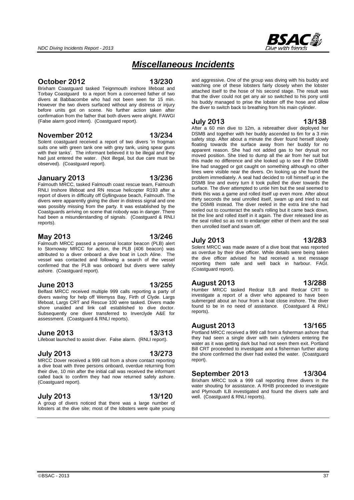#### **November 2012 13/234**

(False alarm good intent). (Coastguard report).

Solent coastguard received a report of two divers 'in frogman suits one with green tank one with grey tank, using spear guns with their tanks'. The informant believed it to be illegal and they had just entered the water. (Not illegal, but due care must be observed). (Coastguard report).

**October 2012 13/230**  Brixham Coastguard tasked Teignmouth inshore lifeboat and Torbay Coastguard to a report from a concerned father of two divers at Babbacombe who had not been seen for 15 min. However the two divers surfaced without any distress or injury

#### **January 2013 13/236**

Falmouth MRCC, tasked Falmouth coast rescue team, Falmouth RNLI Inshore lifeboat and RN rescue helicopter R193 after a report of divers in difficulty off Gyllingvase beach, Falmouth. The divers were apparently giving the diver in distress signal and one was possibly missing from the party. It was established by the Coastguards arriving on scene that nobody was in danger. There had been a misunderstanding of signals. (Coastguard & RNLI reports).

#### **May 2013 13/246**

Falmouth MRCC passed a personal locator beacon (PLB) alert to Stornoway MRCC for action, the PLB (406 beacon) was attributed to a diver onboard a dive boat in Loch Aline. The vessel was contacted and following a search of the vessel confirmed that the PLB was onboard but divers were safely ashore. (Coastguard report).

#### **June 2013 13/255**

Belfast MRCC received multiple 999 calls reporting a party of divers waving for help off Wemyss Bay, Firth of Clyde. Largs lifeboat, Largs CRT and Rescue 100 were tasked. Divers made shore unaided and link call established to dive doctor. Subsequently one diver transferred to Inverclyde A&E for assessment. (Coastguard & RNLI reports).

#### **June 2013 13/313**

Lifeboat launched to assist diver. False alarm. (RNLI report).

#### **July 2013 13/273**

MRCC Dover received a 999 call from a shore contact reporting a dive boat with three persons onboard, overdue returning from their dive, 10 min after the initial call was received the informant called back to confirm they had now returned safely ashore. (Coastguard report).

# **July 2013 13/120**

A group of divers noticed that there was a large number of lobsters at the dive site; most of the lobsters were quite young and aggressive. One of the group was diving with his buddy and watching one of these lobsters fairly closely when the lobster attached itself to the hose of his second stage. The result was that the diver could not get any air so switched to his pony until his buddy managed to prise the lobster off the hose and allow the diver to switch back to breathing from his main cylinder.

#### **July 2013 13/138**

*Miscellaneous Incidents*

After a 60 min dive to 12m, a rebreather diver deployed her DSMB and together with her buddy ascended to 6m for a 3 min safety stop. After about a minute the diver found herself slowly floating towards the surface away from her buddy for no apparent reason. She had not added gas to her drysuit nor moved position. She tried to dump all the air from her suit but this made no difference and she looked up to see if the DSMB line had snagged or got caught on something although no other lines were visible near the divers. On looking up she found the problem immediately. A seal had decided to roll himself up in the DSMB line and every turn it took pulled the diver towards the surface. The diver attempted to untie him but the seal seemed to think this was a game and rolled itself up even more. After about thirty seconds the seal unrolled itself, swam up and tried to eat the DSMB instead. The diver reeled in the extra line she had reeled out to counteract the seal's rolling but it came back down, bit the line and rolled itself in it again. The diver released line as the seal rolled so as not to endanger either of them and the seal then unrolled itself and swam off.

#### **July 2013 13/283**

Solent MRCC was made aware of a dive boat that was reported as overdue by their dive officer. While details were being taken the dive officer advised he had received a text message reporting them safe and well back in harbour. FAGI. (Coastguard report).

#### **August 2013 13/288**

Humber MRCC tasked Redcar ILB and Redcar CRT to investigate a report of a diver who appeared to have been submerged about an hour from a boat close inshore. The diver found to be in no need of assistance. (Coastguard & RNLI reports).

#### **August 2013 13/165**

Portland MRCC received a 999 call from a fisherman ashore that they had seen a single diver with twin cylinders entering the water as it was getting dark but had not seen them exit. Portland Bill CRT proceeded to investigate and a fisherman further along the shore confirmed the diver had exited the water. (Coastguard report).

#### **September 2013 13/304**

Brixham MRCC took a 999 call reporting three divers in the water shouting for assistance. A RHIB proceeded to investigate and Plymouth ILB investigated and found the divers safe and well. (Coastguard & RNLI reports).

 $\odot$ BSAC - 2013  $\ddot{\hspace{1cm}}$  37

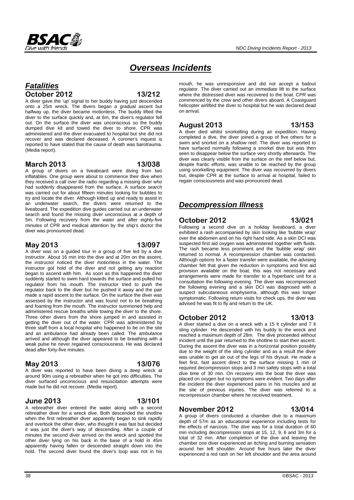

# *Overseas Incidents*

# *Fatalities* **October 2012 13/212**

A diver gave the 'up' signal to her buddy having just descended onto a 25m wreck. The divers began a gradual ascent but halfway up, the diver became motionless. The buddy lifted the diver to the surface quickly and, at 6m, the diver's regulator fell out. On the surface the diver was unconscious so the buddy dumped dive kit and towed the diver to shore. CPR was administered and the diver evacuated to hospital but she did not recover and was declared deceased. A coroner's inquest is reported to have stated that the cause of death was barotrauma. (Media report).

### **March 2013 13/038**

A group of divers on a liveaboard were diving from two inflatables. One group were about to commence their dive when they received a call over the radio regarding a missing diver who had suddenly disappeared from the surface. A surface search was carried out for about fifteen minutes looking for bubbles to try and locate the diver. Although kitted up and ready to assist in an underwater search, the divers were returned to the liveaboard. The expedition dive guides carried out an underwater search and found the missing diver unconscious at a depth of 5m. Following recovery from the water and after eighty-five minutes of CPR and medical attention by the ship's doctor the diver was pronounced dead.

### **May 2013 13/097**

A diver was on a guided tour in a group of five led by a dive instructor. About 16 min into the dive and at 20m on the ascent, the instructor noticed the diver motionless in the water. The instructor got hold of the diver and not getting any reaction began to ascend with him. As soon as this happened the diver suddenly started to swim hard towards the surface and pulled his regulator from his mouth. The instructor tried to push the regulator back to the diver but he pushed it away and the pair made a rapid ascent to the surface. On the surface the diver was assessed by the instructor and was found not to be breathing and foaming from the mouth. The instructor summoned help and administered rescue breaths while towing the diver to the shore. Three other divers from the shore jumped in and assisted in getting the diver out of the water. CPR was administered by three staff from a local hospital who happened to be on the site and an ambulance had already been called. The ambulance arrived and although the diver appeared to be breathing with a weak pulse he never regained consciousness. He was declared dead after forty-five minutes.

### **May 2013 13/076**

A diver was reported to have been diving a deep wreck at around 90m using a rebreather when he got into difficulties. The diver surfaced unconscious and resuscitation attempts were made but he did not recover. (Media report).

### **June 2013 13/101**

A rebreather diver entered the water along with a second rebreather diver for a wreck dive. Both descended the shotline when the first rebreather diver apparently began to sink rapidly and overtook the other diver, who thought it was fast but decided it was just the diver's way of descending. After a couple of minutes the second diver arrived on the wreck and spotted the other diver lying on his back in the base of a hold in 45m apparently having fallen or descended straight down into the hold. The second diver found the diver's loop was not in his

mouth, he was unresponsive and did not accept a bailout regulator. The diver carried out an immediate lift to the surface where the distressed diver was recovered to the boat. CPR was commenced by the crew and other divers aboard. A Coastguard helicopter airlifted the diver to hospital but he was declared dead on arrival.

### **August 2013 13/153**

A diver died whilst snorkelling during an expedition. Having completed a dive, the diver joined a group of five others for a swim and snorkel on a shallow reef. The diver was reported to have surfaced normally following a snorkel dive but was then seen to disappear below the surface very shortly afterwards. The diver was clearly visible from the surface on the reef below but, despite frantic efforts, was unable to be reached by the group using snorkelling equipment. The diver was recovered by divers but, despite CPR at the surface to arrival at hospital, failed to regain consciousness and was pronounced dead.

# *Decompression Illness*

### **October 2012 13/021**

Following a second dive on a holiday liveaboard, a diver exhibited a rash accompanied by skin looking like 'bubble wrap' over the abdomen and on his right hand side. As a skin DCI was suspected first aid oxygen was administered together with fluids. The rash became less prominent and the 'bubble wrap' skin returned to normal. A recompression chamber was contacted. Although options for a faster transfer were available, the advising chamber felt that given the reduction in symptoms and first aid provision available on the boat, this was not necessary and arrangements were made for transfer to a hyperbaric unit for a consultation the following evening. The diver was recompressed the following evening and a skin DCI was diagnosed with a suspect subcutaneous emphysema, although this was longer symptomatic. Following return visits for check ups, the diver was advised he was fit to fly and return to the UK.

# **October 2012 13/013**

A diver started a dive on a wreck with a 15 lt cylinder and 7 lt sling cylinder. He descended with his buddy to the wreck and reached a maximum depth of 28m. The dive proceeded without incident until the pair returned to the shotline to start their ascent. During the ascent the diver was in a horizontal position possibly due to the weight of the sling cylinder and as a result the diver was unable to get air out of the legs of his drysuit. He made a feet first, fast ascent direct to the surface missing 1 min of required decompression stops and 3 min safety stops with a total dive time of 30 min. On recovery into the boat the diver was placed on oxygen but no symptoms were evident. Two days after the incident the diver experienced pains in his muscles and at the site of previous injuries. The diver was referred to a recompression chamber where he received treatment.

### **November 2012 13/014**

A group of divers conducted a chamber dive to a maximum depth of 57m as an educational experience including tests for the effects of narcosis. The dive was for a total duration of 60 min including decompression stops at 15, 12, 9, 6 and 3m for a total of 32 min. After completion of the dive and leaving the chamber one diver experienced an itching and burning sensation around her left shoulder. Around five hours later the diver experienced a red rash on her left shoulder and the area around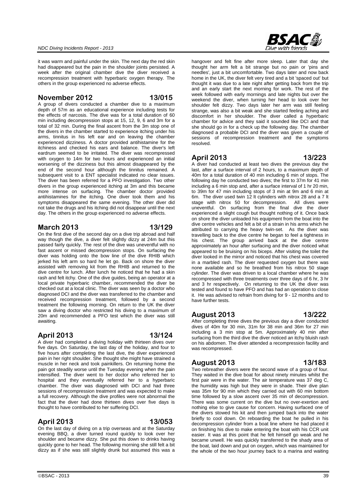it was warm and painful under the skin. The next day the red skin had disappeared but the pain in the shoulder joints persisted. A week after the original chamber dive the diver received a recompression treatment with hyperbaric oxygen therapy. The others in the group experienced no adverse effects.

#### **November 2012 13/015**

A group of divers conducted a chamber dive to a maximum depth of 57m as an educational experience including tests for the effects of narcosis. The dive was for a total duration of 60 min including decompression stops at 15, 12, 9, 6 and 3m for a total of 32 min. During the final ascent from the 3m stop one of the divers in the chamber started to experience itching under his arms, tinnitus in his left ear and on leaving the chamber experienced dizziness. A doctor provided antihistamine for the itchiness and checked his ears and balance. The diver's left eardrum seemed to be irritated. The diver was recompressed with oxygen to 14m for two hours and experienced an initial worsening of the dizziness but this almost disappeared by the end of the second hour although the tinnitus remained. A subsequent visit to a ENT specialist indicated no clear issues. The diver has been referred for a PFO investigation. Two other divers in the group experienced itching at 3m and this became more intense on surfacing. The chamber doctor provided antihistamines for the itching. One diver took them and his symptoms disappeared the same evening. The other diver did not take the drugs and his itching did not disappear until the next day. The others in the group experienced no adverse effects.

### **March 2013 13/129**

On the first dive of the second day on a dive trip abroad and half way though the dive, a diver felt slightly dizzy at 24m but this passed fairly quickly. The rest of the dive was uneventful with no fast ascent or missed decompression stops. On surfacing the diver was holding onto the bow line of the dive RHIB which jerked his left arm so hard he let go. Back on shore the diver assisted with removing kit from the RHIB and returned to the dive centre for lunch. After lunch he noticed that he had a skin rash and felt itchy. One of the dive guides, being an operator at a local private hyperbaric chamber, recommended the diver be checked out at a local clinic. The diver was seen by a doctor who diagnosed DCI and the diver was transferred to the chamber and received recompression treatment, followed by a second treatment the following morning. On return to the UK the diver saw a diving doctor who restricted his diving to a maximum of 20m and recommended a PFO test which the diver was still awaiting.

### **April 2013 13/124**

A diver had completed a diving holiday with thirteen dives over five days. On Saturday, the last day of the holiday, and four to five hours after completing the last dive, the diver experienced pain in her right shoulder. She thought she might have strained a muscle in her neck and took painkillers. On returning home the pain got steadily worse until the Tuesday evening when the pain intensified. The diver went to her doctor who referred her to hospital and they eventually referred her to a hyperbaric chamber. The diver was diagnosed with DCI and had three sessions of recompression treatment and was expected to make a full recovery. Although the dive profiles were not abnormal the fact that the diver had done thirteen dives over five days is thought to have contributed to her suffering DCI.

### **April 2013 13/053**

On the last day of diving on a trip overseas and at the Saturday evening BBQ, a diver turned round quickly to look over her shoulder and became dizzy. She put this down to drinks having quickly gone to her head. The following morning she still felt a bit dizzy as if she was still slightly drunk but assumed this was a



hangover and felt fine after more sleep. Later that day she thought her arm felt a bit strange but no pain or 'pins and needles', just a bit uncomfortable. Two days later and now back home in the UK, the diver felt very tired and a bit 'spaced out' but thought it was due to a late night after getting back from the trip and an early start the next morning for work. The rest of the week followed with early mornings and late nights but over the weekend the diver, when turning her head to look over her shoulder felt dizzy. Two days later her arm was still feeling strange, was also a bit weak and she started feeling aching and discomfort in her shoulder. The diver called a hyperbaric chamber for advice and they said it sounded like DCI and that she should go in for a check up the following day. The chamber diagnosed a probable DCI and the diver was given a couple of sessions of recompression treatment and the symptoms resolved.

### **April 2013 13/223**

A diver had conducted at least two dives the previous day the last, after a surface interval of 2 hours, to a maximum depth of 40m for a total duration of 40 min including 6 min of stops. The following day he conducted two dives; the first to 37m for 41 min including a 6 min stop and, after a surface interval of 1 hr 20 min, to 39m for 47 min including stops of 3 min at 9m and 6 min at 6m. The diver used twin 12 lt cylinders with nitrox 28 and a 7 lt<br>stage with nitrox 50 for decompression. All dives were stage with nitrox 50 for decompression. uneventful. On surfacing from the final dive the diver experienced a slight cough but thought nothing of it. Once back on shore the diver unloaded his equipment from the boat into the dive centre vehicles and felt a bit of a strain in his arms which he attributed to carrying the heavy twin-set. As the diver was travelling back to the dive centre he began to feel a tightness in his chest. The group arrived back at the dive centre approximately an hour after surfacing and the diver noticed what appeared to be bruising on his biceps. After visiting the toilet the diver looked in the mirror and noticed that his chest was covered in a marbled rash. The diver requested oxygen but there was none available and so he breathed from his nitrox 50 stage cylinder. The diver was driven to a local chamber where he was recompressed with three treatments over three days of 6 hr, 3 hr and 3 hr respectively. On returning to the UK the diver was tested and found to have PFO and has had an operation to close it. He was advised to refrain from diving for 9 - 12 months and to have further tests.

### **August 2013 13/222**

After completing three dives the previous day a diver conducted dives of 40m for 30 min, 31m for 38 min and 36m for 27 min including a 3 min stop at 5m. Approximately 40 min after surfacing from the third dive the diver noticed an itchy bluish rash on his abdomen. The diver attended a recompression facility and was recompressed.

### **August 2013 13/183**

Two rebreather divers were the second wave of a group of four. They waited in the dive boat for about ninety minutes whilst the first pair were in the water. The air temperature was 37 deg C, the humidity was high but they were in shade. Their dive plan was 35m for 90 min which they carried out with 60 min bottom time followed by a slow ascent over 35 min of decompression. There was some current on the dive but no over-exertion and nothing else to give cause for concern. Having surfaced one of the divers stowed his kit and then jumped back into the water briefly to cool down. On reboarding the boat he pulled in his decompression cylinder from a boat line where he had placed it on finishing his dive to make entering the boat with his CCR unit easier. It was at this point that he felt himself go weak and he became unwell. He was quickly transferred to the shady area of the boat, laid down and put on oxygen, which was maintained for the whole of the two hour journey back to a marina and waiting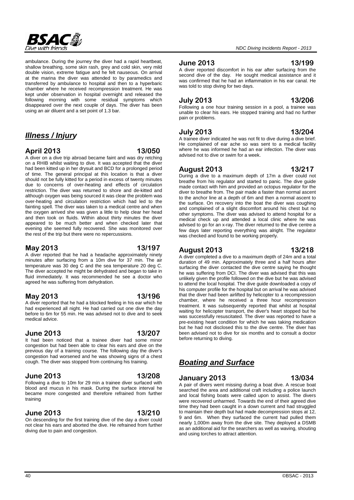

ambulance. During the journey the diver had a rapid heartbeat, shallow breathing, some skin rash, grey and cold skin, very mild double vision, extreme fatigue and he felt nauseous. On arrival at the marina the diver was attended to by paramedics and transferred by ambulance to hospital and then to a hyperbaric chamber where he received recompression treatment. He was kept under observation in hospital overnight and released the following morning with some residual symptoms which disappeared over the next couple of days. The diver has been using an air diluent and a set point of 1.3 bar.

# *Illness / Injury*

### **April 2013 13/050**

A diver on a dive trip abroad became faint and was dry retching on a RHIB whilst waiting to dive. It was accepted that the diver had been kitted up in her drysuit and BCD for a prolonged period of time. The general principal at this location is that a diver should not be fully kitted for a period in excess of twenty minutes due to concerns of over-heating and effects of circulation restriction. The diver was returned to shore and de-kitted and although oxygen was being sourced it was clear the problem was over-heating and circulation restriction which had led to the fainting spell. The diver was taken to a medical centre and when the oxygen arrived she was given a little to help clear her head and then took on fluids. Within about thirty minutes the diver appeared to be much better and when checked later that evening she seemed fully recovered. She was monitored over the rest of the trip but there were no repercussions.

#### **May 2013 13/197**

A diver reported that he had a headache approximately ninety minutes after surfacing from a 10m dive for 37 min. The air temperature was 30 deg C and the sea temperature 20 deg C. The diver accepted he might be dehydrated and began to take in fluid immediately. It was recommended he see a doctor who agreed he was suffering from dehydration.

### **May 2013 13/196**

A diver reported that he had a blocked feeling in his ear which he had experienced all night. He had carried out one dive the day before to 6m for 55 min. He was advised not to dive and to seek medical advice.

### **June 2013 13/207**

It had been noticed that a trainee diver had some minor congestion but had been able to clear his ears and dive on the previous day of a training course. The following day the diver's congestion had worsened and he was showing signs of a chest cough. The diver was stopped from continuing his training.

#### **June 2013 13/208**

Following a dive to 10m for 29 min a trainee diver surfaced with blood and mucus in his mask. During the surface interval he became more congested and therefore refrained from further training

### **June 2013 13/210**

On descending for the first training dive of the day a diver could not clear his ears and aborted the dive. He refrained from further diving due to pain and congestion.

A diver reported discomfort in his ear after surfacing from the second dive of the day. He sought medical assistance and it was confirmed that he had an inflammation in his ear canal. He was told to stop diving for two days.

# **July 2013 13/206**

Following a one hour training session in a pool, a trainee was unable to clear his ears. He stopped training and had no further pain or problems.

**July 2013 13/204** A trainee diver indicated he was not fit to dive during a dive brief. He complained of ear ache so was sent to a medical facility where he was informed he had an ear infection. The diver was advised not to dive or swim for a week.

### **August 2013 13/217**

During a dive to a maximum depth of 17m a diver could not breathe from his regulator and started to panic. The dive guide made contact with him and provided an octopus regulator for the diver to breathe from. The pair made a faster than normal ascent to the anchor line at a depth of 6m and then a normal ascent to the surface. On recovery into the boat the diver was coughing and complained of a slight discomfort around his chest but no other symptoms. The diver was advised to attend hospital for a medical check up and attended a local clinic where he was advised to go for an x-ray. The diver returned to the dive centre a few days later reporting everything was alright. The regulator was checked and found to be working properly.

### **August 2013 13/218**

A diver completed a dive to a maximum depth of 24m and a total duration of 49 min. Approximately three and a half hours after surfacing the diver contacted the dive centre saying he thought he was suffering from DCI. The diver was advised that this was unlikely given the profile followed on the dive but he was advised to attend the local hospital. The dive guide downloaded a copy of his computer profile for the hospital but on arrival he was advised that the diver had been airlifted by helicopter to a recompression chamber, where he received a three hour recompression treatment. It was subsequently reported that whilst at hospital waiting for helicopter transport, the diver's heart stopped but he was successfully resuscitated. The diver was reported to have a pre-existing heart condition for which he was taking medication but he had not disclosed this to the dive centre. The diver has been advised not to dive for six months and to consult a doctor before returning to diving.

# *Boating and Surface*

### **January 2013 13/034**

A pair of divers went missing during a boat dive. A rescue boat searched the area and additional craft including a police launch and local fishing boats were called upon to assist. The divers were recovered unharmed. Towards the end of their agreed dive time they had been caught in a down current and had struggled to maintain their depth but had made decompression stops at 12, 9 and 6m. When they surfaced the current had pulled them nearly 1,000m away from the dive site. They deployed a DSMB as an additional aid for the searchers as well as waving, shouting and using torches to attract attention.

#### *NDC Diving Incidents Report - 2013*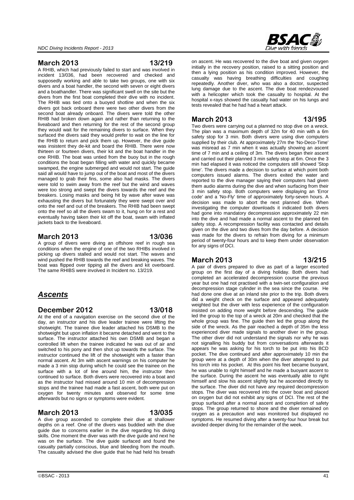#### **March 2013 13/219**

A RHIB, which had previously failed to start and was involved in incident 13/036, had been recovered and checked and supposedly working and able to take two groups, one with six divers and a boat handler, the second with seven or eight divers and a boathandler. There was significant swell on the site but the divers from the first boat completed their dive with no incident. The RHIB was tied onto a buoyed shotline and when the six divers got back onboard there were two other divers from the second boat already onboard. The divers were told the other RHIB had broken down again and rather than returning to the liveaboard and then returning for the rest of the second group they would wait for the remaining divers to surface. When they surfaced the divers said they would prefer to wait on the line for the RHIB to return and pick them up. However, the dive guide was insistent they de-kit and board the RHIB. There were now thirteen or fourteen divers, their kit and the boat handler in the one RHIB. The boat was untied from the buoy but in the rough conditions the boat began filling with water and quickly became swamped, the engine submerged and would not start. The guide said all would have to jump out of the boat and most of the divers managed to grab their fins, some also had masks. The divers were told to swim away from the reef but the wind and waves were too strong and swept the divers towards the reef and the breakers. Losing masks and being hit by wave after wave was exhausting the divers but fortunately they were swept over and onto the reef and out of the breakers. The RHIB had been swept onto the reef so all the divers swam to it, hung on for a rest and eventually having taken their kit off the boat, swam with inflated jackets back to the liveaboard.

### **March 2013 13/036**

A group of divers were diving an offshore reef in rough sea conditions when the engine of one of the two RHIBs involved in picking up divers stalled and would not start. The waves and wind pushed the RHIB towards the reef and breaking waves. The boat was flipped over tipping all the divers and kit overboard. The same RHIBS were involved in Incident no. 13/219.

# *Ascents*

#### **December 2012 13/018**

At the end of a navigation exercise on the second dive of the day, an instructor and his dive leader trainee were lifting the shotweight. The trainee dive leader attached his DSMB to the shotweight but upon inflation it became detached and went to the surface. The instructor attached his own DSMB and began a controlled lift when the trainee indicated he was out of air and switched to his pony and then shot up towards the surface. The instructor continued the lift of the shotweight with a faster than normal ascent. At 3m with ascent warnings on his computer he made a 3 min stop during which he could see the trainee on the surface with a lot of line around him, the instructor then continued to surface. Both divers were recovered into a boat and as the instructor had missed around 10 min of decompression stops and the trainee had made a fast ascent, both were put on oxygen for twenty minutes and observed for some time afterwards but no signs or symptoms were evident.

# **March 2013 13/035**

A dive group ascended to complete their dive at shallower depths on a reef. One of the divers was buddied with the dive guide due to concerns earlier in the dive regarding his diving skills. One moment the diver was with the dive guide and next he was on the surface. The dive guide surfaced and found the casualty partially conscious, blue and bleeding from the mouth. The casualty advised the dive guide that he had held his breath



on ascent. He was recovered to the dive boat and given oxygen initially in the recovery position, raised to a sitting position and then a lying position as his condition improved. However, the casualty was having breathing difficulties and coughing repeatedly. Another diver, who was also a doctor, suspected lung damage due to the ascent. The dive boat rendezvoused with a helicopter which took the casualty to hospital. At the hospital x-rays showed the casualty had water on his lungs and tests revealed that he had had a heart attack.

### **March 2013 13/195**

Two divers were carrying out a planned no stop dive on a wreck. The plan was a maximum depth of 32m for 40 min with a 6m safety stop for 3 min. Both divers were using dive computers supplied by their club. At approximately 27m the 'No-Deco-Time' was misread as 7 min when it was actually showing an ascent time of 7 min and a ceiling of 3m. The divers began their ascent and carried out their planned 3 min safety stop at 6m. Once the 3 min had elapsed it was noticed the computers still showed 'Stop time'. The divers made a decision to surface at which point both computers issued alarms. The divers exited the water and reported to the dive manager saying their computers had given them audio alarms during the dive and when surfacing from their 3 min safety stop. Both computers were displaying an 'Error code' and a 'No-Fly' time of approximately forty-seven hours. A decision was made to abort the next planned dive. When investigating the computer downloads it indicated both divers had gone into mandatory decompression approximately 22 min into the dive and had made a normal ascent to the planned 6m safety stop. A recompression facility was contacted and details given on the dive and two dives from the day before. A decision was made for the divers to refrain from diving for a minimum period of twenty-four hours and to keep them under observation for any signs of DCI.

### **March 2013 13/215**

A pair of divers prepared to dive as part of a larger escorted group on the first day of a diving holiday. Both divers had completed an accelerated decompression course the previous year but one had not practised with a twin-set configuration and decompression stage cylinder in the sea since the course. He had done one dive at an inland site prior to the trip. Both divers did a weight check on the surface and appeared adequately weighted but the diver with less experience of the configuration insisted on adding more weight before descending. The guide led the group to the top of a wreck at 20m and checked that the whole group was fine. The guide then led the group along the side of the wreck. As the pair reached a depth of 35m the less experienced diver made signals to another diver in the group. The other diver did not understand the signals nor why he was not signalling his buddy but from conversations afterwards it appears he was asking for his torch to be put into his BCD pocket. The dive continued and after approximately 10 min the group were at a depth of 30m when the diver attempted to put his torch into his pocket. At this point his feet became buoyant, he was unable to right himself and he made a buoyant ascent to the surface. During the ascent he was eventually able to right himself and slow his ascent slightly but he ascended directly to the surface. The diver did not have any required decompression stops. The diver was recovered into the cover boat and placed on oxygen but did not exhibit any signs of DCI. The rest of the group surfaced after a normal ascent and completion of safety stops. The group returned to shore and the diver remained on oxygen as a precaution and was monitored but displayed no symptoms. He resumed diving after a twenty-four hour break but avoided deeper diving for the remainder of the week.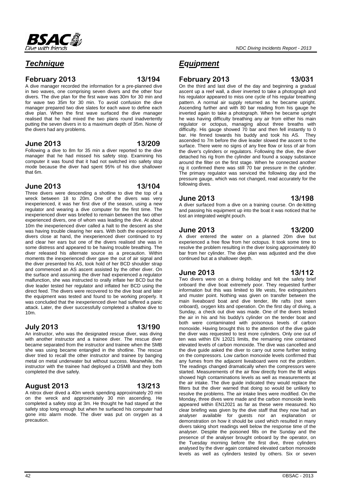# *Technique*

#### **February 2013 13/194**

A dive manager recorded the information for a pre-planned dive in two waves, one comprising seven divers and the other four divers. The dive plan for the first wave was 30m for 30 min and for wave two 35m for 30 min. To avoid confusion the dive manager prepared two dive slates for each wave to define each dive plan. When the first wave surfaced the dive manager realised that he had mixed the two plans round inadvertently putting the seven divers in to a maximum depth of 35m. None of the divers had any problems.

### **June 2013 13/209**

Following a dive to 8m for 35 min a diver reported to the dive manager that he had missed his safety stop. Examining his computer it was found that it had not switched into safety stop mode because the diver had spent 95% of his dive shallower that 6m.

### **June 2013 13/104**

Three divers were descending a shotline to dive the top of a wreck between 18 to 20m. One of the divers was very inexperienced, it was her first dive of the season, using a new regulator and wearing a dive computer for the first time. The inexperienced diver was briefed to remain between the two other experienced divers, one of whom was leading the dive. At about 10m the inexperienced diver called a halt to the descent as she was having trouble clearing her ears. With both the experienced divers close at hand, the inexperienced diver continued to try and clear her ears but one of the divers realised she was in some distress and appeared to be having trouble breathing. The diver released his alternate source as a precaution. Within moments the inexperienced diver gave the out of air signal and the diver presented his AS, took hold of her BCD shoulder strap and commenced an AS ascent assisted by the other diver. On the surface and assuming the diver had experienced a regulator malfunction, she was instructed to orally inflate her BCD but the dive leader tested her regulator and inflated her BCD using the direct feed. The divers were recovered to the dive boat and later the equipment was tested and found to be working properly. It was concluded that the inexperienced diver had suffered a panic attack. Later, the diver successfully completed a shallow dive to 10m.

### **July 2013 13/190**

An instructor, who was the designated rescue diver, was diving with another instructor and a trainee diver. The rescue diver became separated from the instructor and trainee when the SMB she was using became entangled in the shotline. The rescue diver tried to recall the other instructor and trainee by banging metal on metal underwater but without success. Meanwhile, the instructor with the trainee had deployed a DSMB and they both completed the dive safely.

# **August 2013 13/213**

A nitrox diver dived a 40m wreck spending approximately 20 min on the wreck and approximately 30 min ascending. He completed a safety stop at 3m. He thought he had stayed at the safety stop long enough but when he surfaced his computer had gone into alarm mode. The diver was put on oxygen as a precaution.

#### *NDC Diving Incidents Report - 2013*

# *Equipment*

#### **February 2013 13/031**

On the third and last dive of the day and beginning a gradual ascent up a reef wall, a diver inverted to take a photograph and his regulator appeared to miss one cycle of his regular breathing pattern. A normal air supply returned as he became upright. Ascending further and with 80 bar reading from his gauge he inverted again to take a photograph. When he became upright he was having difficulty breathing any air from either his main regulator or octopus, managing about three breaths with difficulty. His gauge showed 70 bar and then fell instantly to 0 bar. He finned towards his buddy and took his AS. They ascended to 7m before the dive leader slowed the ascent to the surface. There were no signs of any free flow or loss of air from the diver's cylinders or regulators. Following the dive, the diver detached his rig from the cylinder and found a soapy substance around the filter on the first stage. When he connected another rig it confirmed there was still 70 bar pressure in the cylinder. The primary regulator was serviced the following day and the pressure gauge, which was not changed, read accurately for the following dives.

### **June 2013 13/198**

#### A diver surfaced from a dive on a training course. On de-kitting and passing his equipment up into the boat it was noticed that he lost an integrated weight pouch.

### **June 2013 13/200**

A diver entered the water on a planned 20m dive but experienced a free flow from her octopus. It took some time to resolve the problem resulting in the diver losing approximately 80 bar from her cylinder. The dive plan was adjusted and the dive continued but at a shallower depth.

# **June 2013 13/112**

Two divers were on a diving holiday and felt the safety brief onboard the dive boat extremely poor. They requested further information but this was limited to life vests, fire extinguishers and muster point. Nothing was given on transfer between the main liveaboard boat and dive tender, life rafts (not seen onboard), oxygen kits and operation. On the first day of diving, a Sunday, a check out dive was made. One of the divers tested the air in his and his buddy's cylinder on the tender boat and both were contaminated with poisonous levels of carbon monoxide. Having brought this to the attention of the dive guide the diver was requested to test more cylinders. Only one out of ten was within EN 12021 limits, the remaining nine contained elevated levels of carbon monoxide. The dive was cancelled and the dive guide asked the diver to carry out some further testing on the compressors. Low carbon monoxide levels confirmed that any fumes from the adjacent liveaboard were not the problem. The readings changed dramatically when the compressors were started. Measurements of the air flow directly from the fill whips showed high contaminations levels as well as measurements at the air intake. The dive guide indicated they would replace the filters but the diver warned that doing so would be unlikely to resolve the problems. The air intake lines were modified. On the Monday, three dives were made and the carbon monoxide levels appeared within EN12021 as far as these were measured. No clear briefing was given by the dive staff that they now had an analyser available for guests nor an explanation or demonstration on how it should be used which resulted in many divers taking short readings well below the response time of the analyser. Despite the poisoned fills on the Sunday and the presence of the analyser brought onboard by the operator, on the Tuesday morning before the first dive, three cylinders analysed by the diver again contained elevated carbon monoxide levels as well as cylinders tested by others. Six or seven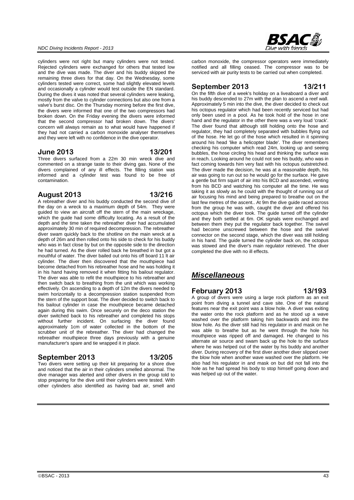#### *NDC Diving Incidents Report - 2013*

cylinders were not right but many cylinders were not tested. Rejected cylinders were exchanged for others that tested low and the dive was made. The diver and his buddy skipped the remaining three dives for that day. On the Wednesday, some cylinders tested were correct, some had slightly elevated levels and occasionally a cylinder would test outside the EN standard. During the dives it was noted that several cylinders were leaking, mostly from the valve to cylinder connections but also one from a valve's burst disc. On the Thursday morning before the first dive, the divers were informed that one of the two compressors had broken down. On the Friday evening the divers were informed that the second compressor had broken down. The divers' concern will always remain as to what would have happened if they had not carried a carbon monoxide analyser themselves and they were left with no confidence in the dive operator.

#### **June 2013 13/201**

Three divers surfaced from a 22m 30 min wreck dive and commented on a strange taste to their diving gas. None of the divers complained of any ill effects. The filling station was informed and a cylinder test was found to be free of contamination.

### **August 2013 13/216**

A rebreather diver and his buddy conducted the second dive of the day on a wreck to a maximum depth of 54m. They were guided to view an aircraft off the stern of the main wreckage, which the guide had some difficulty locating. As a result of the depth and the time taken the rebreather diver had accumulated approximately 30 min of required decompression. The rebreather diver swam quickly back to the shotline on the main wreck at a depth of 26m and then rolled onto his side to check for his buddy who was in fact close by but on the opposite side to the direction he had turned. As the diver rolled back he breathed in but got a mouthful of water. The diver bailed out onto his off board 11 lt air cylinder. The diver then discovered that the mouthpiece had become detached from his rebreather hose and he was holding it in his hand having removed it when fitting his bailout regulator. The diver was able to refit the mouthpiece to his rebreather and then switch back to breathing from the unit which was working effectively. On ascending to a depth of 12m the divers needed to swim horizontally to a decompression station suspended from the stern of the support boat. The diver decided to switch back to his bailout cylinder in case the mouthpiece became detached again during this swim. Once securely on the deco station the diver switched back to his rebreather and completed his stops without further incident. On surfacing the diver found approximately 1cm of water collected in the bottom of the scrubber unit of the rebreather. The diver had changed the rebreather mouthpiece three days previously with a genuine manufacturer's spare and tie wrapped it in place.

#### **September 2013 13/205**

Two divers were setting up their kit preparing for a shore dive and noticed that the air in their cylinders smelled abnormal. The dive manager was alerted and other divers in the group told to stop preparing for the dive until their cylinders were tested. With other cylinders also identified as having bad air, smell and

carbon monoxide, the compressor operators were immediately notified and all filling ceased. The compressor was to be serviced with air purity tests to be carried out when completed.

### **September 2013 13/211**

On the fifth dive of a week's holiday on a liveaboard a diver and his buddy descended to 27m with the plan to ascend a reef wall. Approximately 5 min into the dive, the diver decided to check out his octopus regulator which had been recently serviced but had only been used in a pool. As he took hold of the hose in one hand and the regulator in the other there was a very loud 'crack'. The diver found that although still holding onto the hose and regulator, they had completely separated with bubbles flying out of the hose. He let go of the hose which resulted in it spinning around his head 'like a helicopter blade'. The diver remembers checking his computer which read 24m, looking up and seeing bubbles, the hose circling his head and thinking the surface was in reach. Looking around he could not see his buddy, who was in fact coming towards him very fast with his octopus outstretched. The diver made the decision, he was at a reasonable depth, his air was going to run out so he would go for the surface. He gave a gentle but firm squirt of air into his BCD and ascended, venting from his BCD and watching his computer all the time. He was taking it as slowly as he could with the thought of running out of air focusing his mind and being prepared to breathe out on the last few metres of the ascent.. At 9m the dive guide raced across from the group he was with, caught the diver and offered his octopus which the diver took. The guide turned off the cylinder and they both settled at 6m. OK signals were exchanged and between them they put the regulator back together. The swivel had become unscrewed between the hose and the swivel connector on the second stage, which the diver was still holding in his hand. The guide turned the cylinder back on, the octopus was stowed and the diver's main regulator retrieved. The diver completed the dive with no ill effects.

# *Miscellaneous*

### **February 2013 13/193**

A group of divers were using a large rock platform as an exit point from diving a tunnel and cave site. One of the natural features near the exit point was a blow hole. A diver was exiting the water onto the rock platform and as he stood up a wave washed over the platform taking him backwards and into the blow hole. As the diver still had his regulator in and mask on he was able to breathe but as he went through the hole his mouthpiece was ripped off and damaged. He changed to his alternate air source and swam back up the hole to the surface where he was helped out of the water by his buddy and another diver. During recovery of the first diver another diver slipped over the blow hole when another wave washed over the platform. He also had his regulator in and mask on but did not fall into the hole as he had spread his body to stop himself going down and was helped up out of the water.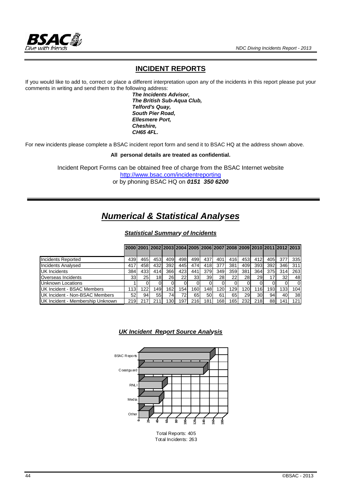

### **INCIDENT REPORTS**

If you would like to add to, correct or place a different interpretation upon any of the incidents in this report please put your comments in writing and send them to the following address:

 *The Incidents Advisor, The British Sub-Aqua Club, Telford's Quay, South Pier Road, Ellesmere Port, Cheshire, CH65 4FL.* 

For new incidents please complete a BSAC incident report form and send it to BSAC HQ at the address shown above.

**All personal details are treated as confidential.** 

Incident Report Forms can be obtained free of charge from the BSAC Internet website http://www.bsac.com/incidentreporting or by phoning BSAC HQ on *0151 350 6200*

# *Numerical & Statistical Analyses*

*Statistical Summary of Incidents*

|                                  |      |                 |     |            |      |     |                 | 2000 2001 2002 2003 2004 2005 2006 2007 2008 2009 2010 2011 2012 2013 |     |                 |     |     |           |     |
|----------------------------------|------|-----------------|-----|------------|------|-----|-----------------|-----------------------------------------------------------------------|-----|-----------------|-----|-----|-----------|-----|
|                                  |      |                 |     |            |      |     |                 |                                                                       |     |                 |     |     |           |     |
| <b>Incidents Reported</b>        | 439  | 465             | 453 | 409        | 498  | 499 | 437             | 401                                                                   | 416 | 453             | 412 | 405 | 377       | 335 |
| <b>Incidents Analysed</b>        | 417  | 4581            | 432 | 392        | 445  | 474 | 418             | 377                                                                   | 381 | 409             | 393 | 392 | 346       | 311 |
| <b>UK Incidents</b>              | 384  | 433             | 414 | 366        | 423  | 441 | 379             | 349                                                                   | 359 | 381             | 364 | 375 | 314       | 263 |
| Overseas Incidents               | 33   | 25 <sup>1</sup> | 18  | <b>261</b> | 22   | 33  | 39 <sub>l</sub> | 28                                                                    |     | 28              | 29  | 17  | <b>32</b> | 481 |
| <b>Unknown Locations</b>         |      |                 |     |            |      |     |                 |                                                                       |     |                 |     |     |           |     |
| UK Incident - BSAC Members       | 113  | 122             | 149 | 162        | 154. | 160 | 148             | 120                                                                   | 129 | 120             | 116 | 193 | 133       | 104 |
| UK Incident - Non-BSAC Members   | 52 I | 94              | 55  | 74ı        |      | 65  | 50              | 61                                                                    | 651 | 29 <sub>1</sub> | 30  | 94  | 40        | 38  |
| UK Incident - Membership Unknown | 219  |                 | 211 | 130        | 197  | 216 | 1811            | 1681                                                                  | 165 | 232             | 218 | 881 | 141.      | 121 |



*UK Incident Report Source Analysis*

Total Incidents: 263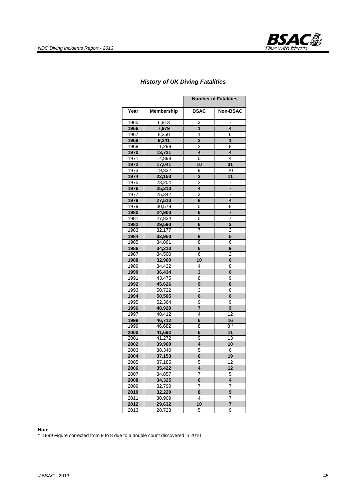

#### *History of UK Diving Fatalities*

|      |                   | <b>Number of Fatalities</b> |                         |  |
|------|-------------------|-----------------------------|-------------------------|--|
| Year | <b>Membership</b> | <b>BSAC</b>                 | <b>Non-BSAC</b>         |  |
| 1965 | 6,813             | 3                           | $\blacksquare$          |  |
| 1966 | 7,979             | 1                           | 4                       |  |
| 1967 | 8,350             | 1                           | 6                       |  |
| 1968 | 9,241             | $\overline{2}$              | $\overline{\mathbf{1}}$ |  |
| 1969 | 11,299            | 2                           | 8                       |  |
| 1970 | 13,721            | 4                           | 4                       |  |
| 1971 | 14,898            | 0                           | 4                       |  |
| 1972 | 17,041            | 10                          | 31                      |  |
| 1973 | 19,332            | 9                           | 20                      |  |
| 1974 | 22,150            | 3                           | 11                      |  |
| 1975 | 23,204            | $\overline{2}$              |                         |  |
| 1976 | 25,310            | 4                           |                         |  |
| 1977 | 25,342            | 3                           |                         |  |
| 1978 | 27,510            | 8                           | 4                       |  |
| 1979 | 30,579            | 5                           | 8                       |  |
| 1980 | 24,900            | 6                           | 7                       |  |
| 1981 | 27,834            | 5                           | 7                       |  |
| 1982 | 29,590            | 6                           | 3                       |  |
| 1983 | 32,177            | 7                           | $\overline{2}$          |  |
| 1984 | 32,950            | 8                           | 5                       |  |
| 1985 | 34,861            | 8                           | 6                       |  |
| 1986 | 34,210            | 6                           | 9                       |  |
| 1987 | 34,500            | 6                           | 2                       |  |
| 1988 | 32,960            | 10                          | 6                       |  |
| 1989 | 34,422            | 4                           | 8                       |  |
| 1990 | 36,434            | 3                           | 6                       |  |
| 1991 | 43,475            | 8                           | 9                       |  |
| 1992 | 45,626            | 9                           | 8                       |  |
| 1993 | 50,722            | 3                           | 6                       |  |
| 1994 | 50,505            | 6                           | 6                       |  |
| 1995 | 52,364            | 9                           | 9                       |  |
| 1996 | 48,920            | 7                           | 9                       |  |
| 1997 | 48,412            | 4                           | $\overline{12}$         |  |
| 1998 | 46,712            | 6                           | <u>16</u>               |  |
| 1999 | 46,682            | 8                           | $8^{\frac{1}{4}}$       |  |
| 2000 | 41,692            | 6                           | 11                      |  |
| 2001 | 41,272            | 9                           | 13                      |  |
| 2002 | 39,960            | 4                           | 10                      |  |
| 2003 | 38,340            | 5                           | 6                       |  |
| 2004 | 37,153            | 6                           | 19                      |  |
| 2005 | 37,185            | э                           | 12                      |  |
| 2006 | 35,422            | 4                           | 12                      |  |
| 2007 | 34,857            | 7                           | 5                       |  |
| 2008 | 34,325            | 6                           | 4                       |  |
| 2009 | 32,790            | 7                           | 7                       |  |
| 2010 | 32,229            | 8                           | 9                       |  |
| 2011 | 30,909            | 4                           | 7                       |  |
| 2012 | 29,632            | 10                          | 7                       |  |
| 2013 | 28,728            | 5                           | 9                       |  |

#### **Note**

\* 1999 Figure corrected from 9 to 8 due to a double count discovered in 2010